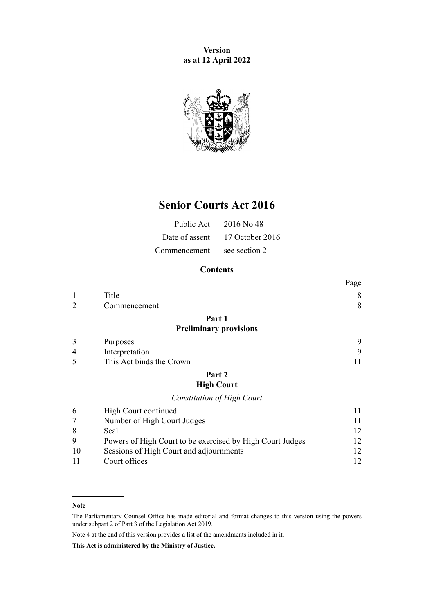**Version as at 12 April 2022**



# **Senior Courts Act 2016**

|              | Public Act $2016$ No 48        |
|--------------|--------------------------------|
|              | Date of assent 17 October 2016 |
| Commencement | see section 2                  |

# **Contents**

|   |                                   | Page |
|---|-----------------------------------|------|
| 1 | Title                             | 8    |
| 2 | Commencement                      | 8    |
|   | Part 1                            |      |
|   | <b>Preliminary provisions</b>     |      |
| 3 | Purposes                          | 9    |
| 4 | Interpretation                    | 9    |
| 5 | This Act binds the Crown          | 11   |
|   | Part 2                            |      |
|   | <b>High Court</b>                 |      |
|   | <b>Constitution of High Court</b> |      |
| 6 | High Court continued              | 11   |
| 7 | Number of High Court Judges       | 11   |
|   |                                   |      |

| 8        | Seal                                                      |    |
|----------|-----------------------------------------------------------|----|
| <b>Q</b> | Powers of High Court to be exercised by High Court Judges | 12 |
| 10       | Sessions of High Court and adjournments                   |    |
| -11      | Court offices                                             |    |

Note 4 at the end of this version provides a list of the amendments included in it.

**This Act is administered by the Ministry of Justice.**

**Note**

The Parliamentary Counsel Office has made editorial and format changes to this version using the powers under [subpart 2](http://legislation.govt.nz/pdflink.aspx?id=DLM7298371) of Part 3 of the Legislation Act 2019.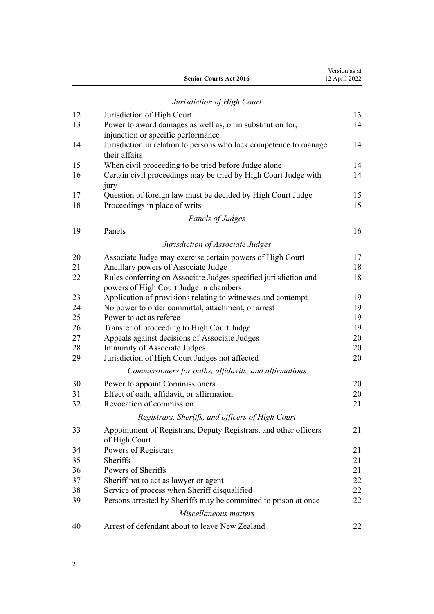|                               | Version as at |
|-------------------------------|---------------|
| <b>Senior Courts Act 2016</b> | 12 April 2022 |

# *[Jurisdiction of High Court](#page-12-0)*

| 12       | Jurisdiction of High Court                                                                                | 13       |
|----------|-----------------------------------------------------------------------------------------------------------|----------|
| 13       | Power to award damages as well as, or in substitution for,                                                | 14       |
|          | injunction or specific performance                                                                        |          |
| 14       | Jurisdiction in relation to persons who lack competence to manage<br>their affairs                        | 14       |
| 15       | When civil proceeding to be tried before Judge alone                                                      | 14       |
| 16       | Certain civil proceedings may be tried by High Court Judge with<br>jury                                   | 14       |
| 17<br>18 | Question of foreign law must be decided by High Court Judge<br>Proceedings in place of writs              | 15<br>15 |
|          | Panels of Judges                                                                                          |          |
| 19       | Panels                                                                                                    | 16       |
|          | Jurisdiction of Associate Judges                                                                          |          |
| 20       | Associate Judge may exercise certain powers of High Court                                                 | 17       |
| 21       | Ancillary powers of Associate Judge                                                                       | 18       |
| 22       | Rules conferring on Associate Judges specified jurisdiction and<br>powers of High Court Judge in chambers | 18       |
| 23       | Application of provisions relating to witnesses and contempt                                              | 19       |
| 24       | No power to order committal, attachment, or arrest                                                        | 19       |
| 25       | Power to act as referee                                                                                   | 19       |
| 26       | Transfer of proceeding to High Court Judge                                                                | 19       |
| 27       | Appeals against decisions of Associate Judges                                                             | 20       |
| 28       | Immunity of Associate Judges                                                                              | 20       |
| 29       | Jurisdiction of High Court Judges not affected                                                            | 20       |
|          | Commissioners for oaths, affidavits, and affirmations                                                     |          |
| 30       | Power to appoint Commissioners                                                                            | 20       |
| 31       | Effect of oath, affidavit, or affirmation                                                                 | 20       |
| 32       | Revocation of commission                                                                                  | 21       |
|          | Registrars, Sheriffs, and officers of High Court                                                          |          |
| 33       | Appointment of Registrars, Deputy Registrars, and other officers<br>of High Court                         | 21       |
| 34       | Powers of Registrars                                                                                      | 21       |
| 35       | Sheriffs                                                                                                  | 21       |
| 36       | Powers of Sheriffs                                                                                        | 21       |
| 37       | Sheriff not to act as lawyer or agent                                                                     | 22       |
| 38       | Service of process when Sheriff disqualified                                                              | 22       |
| 39       | Persons arrested by Sheriffs may be committed to prison at once                                           | 22       |
|          | Miscellaneous matters                                                                                     |          |
| 40       | Arrest of defendant about to leave New Zealand                                                            | 22       |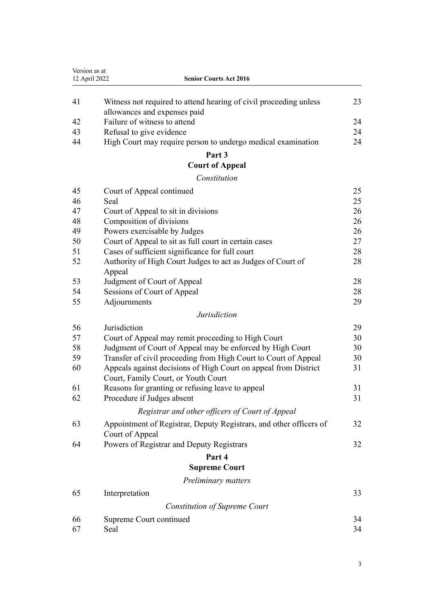| Version as at |                                                                                                        |    |
|---------------|--------------------------------------------------------------------------------------------------------|----|
| 12 April 2022 | <b>Senior Courts Act 2016</b>                                                                          |    |
| 41            | Witness not required to attend hearing of civil proceeding unless<br>allowances and expenses paid      | 23 |
| 42            | Failure of witness to attend                                                                           | 24 |
| 43            | Refusal to give evidence                                                                               | 24 |
| 44            | High Court may require person to undergo medical examination                                           | 24 |
|               | Part 3                                                                                                 |    |
|               | <b>Court of Appeal</b>                                                                                 |    |
|               | Constitution                                                                                           |    |
| 45            | Court of Appeal continued                                                                              | 25 |
| 46            | Seal                                                                                                   | 25 |
| 47            | Court of Appeal to sit in divisions                                                                    | 26 |
| 48            | Composition of divisions                                                                               | 26 |
| 49            | Powers exercisable by Judges                                                                           | 26 |
| 50            | Court of Appeal to sit as full court in certain cases                                                  | 27 |
| 51            | Cases of sufficient significance for full court                                                        | 28 |
| 52            | Authority of High Court Judges to act as Judges of Court of<br>Appeal                                  | 28 |
| 53            | Judgment of Court of Appeal                                                                            | 28 |
| 54            | Sessions of Court of Appeal                                                                            | 28 |
| 55            | Adjournments                                                                                           | 29 |
|               | <b>Jurisdiction</b>                                                                                    |    |
| 56            | Jurisdiction                                                                                           | 29 |
| 57            | Court of Appeal may remit proceeding to High Court                                                     | 30 |
| 58            | Judgment of Court of Appeal may be enforced by High Court                                              | 30 |
| 59            | Transfer of civil proceeding from High Court to Court of Appeal                                        | 30 |
| 60            | Appeals against decisions of High Court on appeal from District<br>Court, Family Court, or Youth Court | 31 |
| 61            | Reasons for granting or refusing leave to appeal                                                       | 31 |
| 62            | Procedure if Judges absent                                                                             | 31 |
|               | Registrar and other officers of Court of Appeal                                                        |    |
| 63            | Appointment of Registrar, Deputy Registrars, and other officers of<br>Court of Appeal                  | 32 |
| 64            | Powers of Registrar and Deputy Registrars                                                              | 32 |
|               | Part 4                                                                                                 |    |
|               | <b>Supreme Court</b>                                                                                   |    |
|               | Preliminary matters                                                                                    |    |
| 65            | Interpretation                                                                                         | 33 |
|               | <b>Constitution of Supreme Court</b>                                                                   |    |
| 66            | Supreme Court continued                                                                                | 34 |
| 67            | Seal                                                                                                   | 34 |
|               |                                                                                                        |    |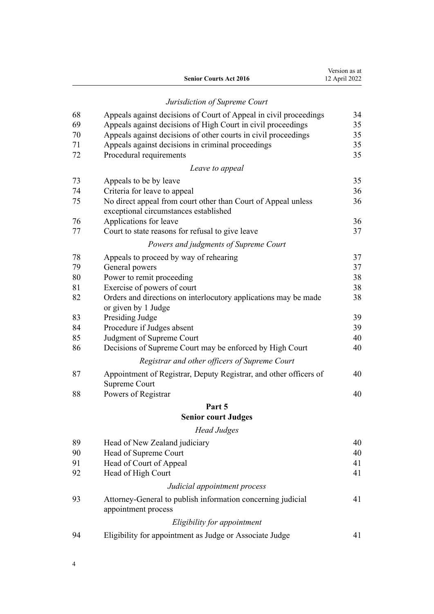|    | <b>Senior Courts Act 2016</b>                                                                          | Version as at<br>12 April 2022 |
|----|--------------------------------------------------------------------------------------------------------|--------------------------------|
|    | Jurisdiction of Supreme Court                                                                          |                                |
| 68 | Appeals against decisions of Court of Appeal in civil proceedings                                      | 34                             |
| 69 | Appeals against decisions of High Court in civil proceedings                                           | 35                             |
| 70 | Appeals against decisions of other courts in civil proceedings                                         | 35                             |
| 71 | Appeals against decisions in criminal proceedings                                                      | 35                             |
| 72 | Procedural requirements                                                                                | 35                             |
|    | Leave to appeal                                                                                        |                                |
| 73 | Appeals to be by leave                                                                                 | 35                             |
| 74 | Criteria for leave to appeal                                                                           | 36                             |
| 75 | No direct appeal from court other than Court of Appeal unless<br>exceptional circumstances established | 36                             |
| 76 | Applications for leave                                                                                 | 36                             |
| 77 | Court to state reasons for refusal to give leave                                                       | 37                             |
|    | Powers and judgments of Supreme Court                                                                  |                                |
| 78 | Appeals to proceed by way of rehearing                                                                 | 37                             |
| 79 | General powers                                                                                         | 37                             |
| 80 | Power to remit proceeding                                                                              | 38                             |
| 81 | Exercise of powers of court                                                                            | 38                             |
| 82 | Orders and directions on interlocutory applications may be made<br>or given by 1 Judge                 | 38                             |
| 83 | Presiding Judge                                                                                        | 39                             |
| 84 | Procedure if Judges absent                                                                             | 39                             |
| 85 | Judgment of Supreme Court                                                                              | 40                             |
| 86 | Decisions of Supreme Court may be enforced by High Court                                               | 40                             |
|    | Registrar and other officers of Supreme Court                                                          |                                |
| 87 | Appointment of Registrar, Deputy Registrar, and other officers of<br>Supreme Court                     | 40                             |
| 88 | Powers of Registrar                                                                                    | 40                             |
|    | Part 5                                                                                                 |                                |
|    | <b>Senior court Judges</b>                                                                             |                                |
|    | <b>Head Judges</b>                                                                                     |                                |
| 89 | Head of New Zealand judiciary                                                                          | 40                             |
| 90 | Head of Supreme Court                                                                                  | 40                             |
| 91 | Head of Court of Appeal                                                                                | 41                             |
| 92 | Head of High Court                                                                                     | 41                             |
|    | Judicial appointment process                                                                           |                                |
| 93 | Attorney-General to publish information concerning judicial<br>appointment process                     | 41                             |
|    | Eligibility for appointment                                                                            |                                |
| 94 | Eligibility for appointment as Judge or Associate Judge                                                | 41                             |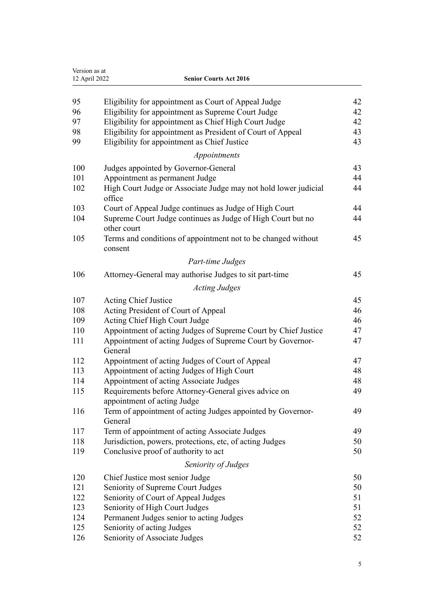| Version as at<br>12 April 2022 | <b>Senior Courts Act 2016</b>                                                       |    |
|--------------------------------|-------------------------------------------------------------------------------------|----|
|                                |                                                                                     |    |
| 95                             | Eligibility for appointment as Court of Appeal Judge                                | 42 |
| 96                             | Eligibility for appointment as Supreme Court Judge                                  | 42 |
| 97                             | Eligibility for appointment as Chief High Court Judge                               | 42 |
| 98                             | Eligibility for appointment as President of Court of Appeal                         | 43 |
| 99                             | Eligibility for appointment as Chief Justice                                        | 43 |
|                                | Appointments                                                                        |    |
| 100                            | Judges appointed by Governor-General                                                | 43 |
| 101                            | Appointment as permanent Judge                                                      | 44 |
| 102                            | High Court Judge or Associate Judge may not hold lower judicial<br>office           | 44 |
| 103                            | Court of Appeal Judge continues as Judge of High Court                              | 44 |
| 104                            | Supreme Court Judge continues as Judge of High Court but no<br>other court          | 44 |
| 105                            | Terms and conditions of appointment not to be changed without<br>consent            | 45 |
|                                | Part-time Judges                                                                    |    |
| 106                            | Attorney-General may authorise Judges to sit part-time                              | 45 |
|                                | <b>Acting Judges</b>                                                                |    |
| 107                            | <b>Acting Chief Justice</b>                                                         | 45 |
| 108                            | Acting President of Court of Appeal                                                 | 46 |
| 109                            | Acting Chief High Court Judge                                                       | 46 |
| 110                            | Appointment of acting Judges of Supreme Court by Chief Justice                      | 47 |
| 111                            | Appointment of acting Judges of Supreme Court by Governor-<br>General               | 47 |
| 112                            | Appointment of acting Judges of Court of Appeal                                     | 47 |
| 113                            | Appointment of acting Judges of High Court                                          | 48 |
| 114                            | Appointment of acting Associate Judges                                              | 48 |
| 115                            | Requirements before Attorney-General gives advice on<br>appointment of acting Judge | 49 |
| 116                            | Term of appointment of acting Judges appointed by Governor-<br>General              | 49 |
| 117                            | Term of appointment of acting Associate Judges                                      | 49 |
| 118                            | Jurisdiction, powers, protections, etc, of acting Judges                            | 50 |
| 119                            | Conclusive proof of authority to act                                                | 50 |
|                                | Seniority of Judges                                                                 |    |
| 120                            | Chief Justice most senior Judge                                                     | 50 |
| 121                            | Seniority of Supreme Court Judges                                                   | 50 |
| 122                            | Seniority of Court of Appeal Judges                                                 | 51 |
| 123                            | Seniority of High Court Judges                                                      | 51 |
| 124                            | Permanent Judges senior to acting Judges                                            | 52 |
| 125                            | Seniority of acting Judges                                                          | 52 |
| 126                            | Seniority of Associate Judges                                                       | 52 |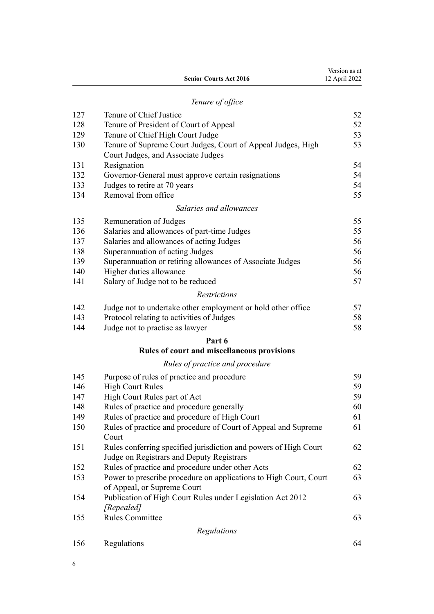|     | Tenure of office                                             |    |
|-----|--------------------------------------------------------------|----|
| 127 | Tenure of Chief Justice                                      | 52 |
| 128 | Tenure of President of Court of Appeal                       | 52 |
| 129 | Tenure of Chief High Court Judge                             | 53 |
| 130 | Tenure of Supreme Court Judges, Court of Appeal Judges, High | 53 |
|     | Court Judges, and Associate Judges                           |    |
| 131 | Resignation                                                  | 54 |

Version as at 12 April 2022

**Senior Courts Act 2016**

| 132 | Governor-General must approve certain resignations        | 54 |
|-----|-----------------------------------------------------------|----|
| 133 | Judges to retire at 70 years                              | 54 |
| 134 | Removal from office                                       | 55 |
|     | Salaries and allowances                                   |    |
| 135 | Remuneration of Judges                                    | 55 |
| 136 | Salaries and allowances of part-time Judges               | 55 |
| 137 | Salaries and allowances of acting Judges                  | 56 |
| 138 | Superannuation of acting Judges                           | 56 |
| 139 | Superannuation or retiring allowances of Associate Judges | 56 |
| 140 | Higher duties allowance                                   | 56 |
| 141 | Salary of Judge not to be reduced                         | 57 |

# *[Restrictions](#page-56-0)*

| 142 | Judge not to undertake other employment or hold other office | 57 |
|-----|--------------------------------------------------------------|----|
| 143 | Protocol relating to activities of Judges                    | 58 |

[Judge not to practise as lawyer](#page-57-0) [58](#page-57-0)

# **[Part 6](#page-58-0)**

# **[Rules of court and miscellaneous provisions](#page-58-0)**

# *[Rules of practice and procedure](#page-58-0)*

| 145 | Purpose of rules of practice and procedure                        | 59 |
|-----|-------------------------------------------------------------------|----|
| 146 | <b>High Court Rules</b>                                           | 59 |
| 147 | High Court Rules part of Act                                      | 59 |
| 148 | Rules of practice and procedure generally                         | 60 |
| 149 | Rules of practice and procedure of High Court                     | 61 |
| 150 | Rules of practice and procedure of Court of Appeal and Supreme    | 61 |
|     | Court                                                             |    |
| 151 | Rules conferring specified jurisdiction and powers of High Court  | 62 |
|     | Judge on Registrars and Deputy Registrars                         |    |
| 152 | Rules of practice and procedure under other Acts                  | 62 |
| 153 | Power to prescribe procedure on applications to High Court, Court | 63 |
|     | of Appeal, or Supreme Court                                       |    |
| 154 | Publication of High Court Rules under Legislation Act 2012        | 63 |
|     | [Repealed]                                                        |    |
| 155 | <b>Rules Committee</b>                                            | 63 |
|     | Regulations                                                       |    |
| 156 | Regulations                                                       | 64 |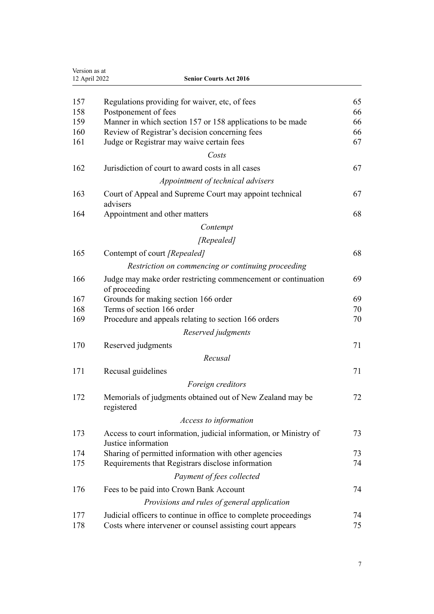| Version as at<br>12 April 2022<br><b>Senior Courts Act 2016</b> |                                                                                          |    |
|-----------------------------------------------------------------|------------------------------------------------------------------------------------------|----|
| 157                                                             | Regulations providing for waiver, etc, of fees                                           | 65 |
| 158                                                             | Postponement of fees                                                                     | 66 |
| 159                                                             | Manner in which section 157 or 158 applications to be made                               | 66 |
| 160                                                             | Review of Registrar's decision concerning fees                                           | 66 |
| 161                                                             | Judge or Registrar may waive certain fees                                                | 67 |
|                                                                 | Costs                                                                                    |    |
| 162                                                             | Jurisdiction of court to award costs in all cases                                        | 67 |
|                                                                 | Appointment of technical advisers                                                        |    |
| 163                                                             | Court of Appeal and Supreme Court may appoint technical<br>advisers                      | 67 |
| 164                                                             | Appointment and other matters                                                            | 68 |
|                                                                 | Contempt                                                                                 |    |
|                                                                 | [Repealed]                                                                               |    |
| 165                                                             | Contempt of court [Repealed]                                                             | 68 |
|                                                                 | Restriction on commencing or continuing proceeding                                       |    |
| 166                                                             | Judge may make order restricting commencement or continuation<br>of proceeding           | 69 |
| 167                                                             | Grounds for making section 166 order                                                     | 69 |
| 168                                                             | Terms of section 166 order                                                               | 70 |
| 169                                                             | Procedure and appeals relating to section 166 orders                                     | 70 |
|                                                                 | Reserved judgments                                                                       |    |
| 170                                                             | Reserved judgments                                                                       | 71 |
|                                                                 | Recusal                                                                                  |    |
| 171                                                             | Recusal guidelines                                                                       | 71 |
|                                                                 | Foreign creditors                                                                        |    |
| 172                                                             | Memorials of judgments obtained out of New Zealand may be<br>registered                  | 72 |
|                                                                 | Access to information                                                                    |    |
| 173                                                             | Access to court information, judicial information, or Ministry of<br>Justice information | 73 |
| 174                                                             | Sharing of permitted information with other agencies                                     | 73 |
| 175                                                             | Requirements that Registrars disclose information                                        | 74 |
|                                                                 | Payment of fees collected                                                                |    |
| 176                                                             | Fees to be paid into Crown Bank Account                                                  | 74 |
|                                                                 | Provisions and rules of general application                                              |    |
| 177                                                             | Judicial officers to continue in office to complete proceedings                          | 74 |
| 178                                                             | Costs where intervener or counsel assisting court appears                                | 75 |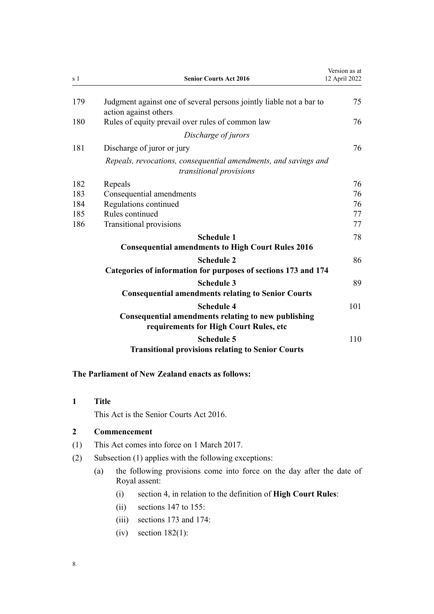<span id="page-7-0"></span>

| s 1 | <b>Senior Courts Act 2016</b>                                                                                      | Version as at<br>12 April 2022 |
|-----|--------------------------------------------------------------------------------------------------------------------|--------------------------------|
| 179 | Judgment against one of several persons jointly liable not a bar to<br>action against others                       | 75                             |
| 180 | Rules of equity prevail over rules of common law                                                                   | 76                             |
|     | Discharge of jurors                                                                                                |                                |
| 181 | Discharge of juror or jury                                                                                         | 76                             |
|     | Repeals, revocations, consequential amendments, and savings and<br>transitional provisions                         |                                |
| 182 | Repeals                                                                                                            | 76                             |
| 183 | Consequential amendments                                                                                           | 76                             |
| 184 | Regulations continued                                                                                              | 76                             |
| 185 | Rules continued                                                                                                    | 77                             |
| 186 | Transitional provisions                                                                                            | 77                             |
|     | <b>Schedule 1</b><br><b>Consequential amendments to High Court Rules 2016</b>                                      | 78                             |
|     | <b>Schedule 2</b><br>Categories of information for purposes of sections 173 and 174                                | 86                             |
|     | <b>Schedule 3</b><br><b>Consequential amendments relating to Senior Courts</b>                                     | 89                             |
|     | <b>Schedule 4</b><br>Consequential amendments relating to new publishing<br>requirements for High Court Rules, etc | 101                            |
|     | <b>Schedule 5</b><br><b>Transitional provisions relating to Senior Courts</b>                                      | 110                            |

# **The Parliament of New Zealand enacts as follows:**

**1 Title**

This Act is the Senior Courts Act 2016.

# **2 Commencement**

- (1) This Act comes into force on 1 March 2017.
- (2) Subsection (1) applies with the following exceptions:
	- (a) the following provisions come into force on the day after the date of Royal assent:
		- (i) [section 4](#page-8-0), in relation to the definition of **High Court Rules**:
		- (ii) [sections 147 to 155](#page-58-0):
		- (iii) [sections 173](#page-72-0) and [174:](#page-72-0)
		- $(iv)$  [section 182\(1\)](#page-75-0):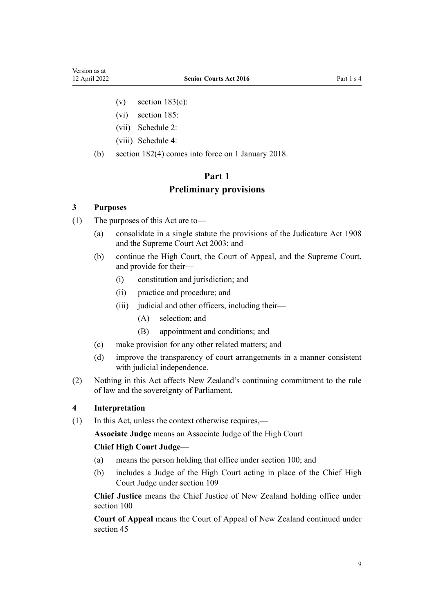- <span id="page-8-0"></span>(v) section  $183(c)$ :
- (vi) [section 185:](#page-76-0)
- (vii) [Schedule 2:](#page-85-0)
- (viii) [Schedule 4:](#page-100-0)
- (b) [section 182\(4\)](#page-75-0) comes into force on 1 January 2018.

# **Part 1 Preliminary provisions**

#### **3 Purposes**

- (1) The purposes of this Act are to—
	- (a) consolidate in a single statute the provisions of the [Judicature Act 1908](http://legislation.govt.nz/pdflink.aspx?id=DLM144692) and the [Supreme Court Act 2003;](http://legislation.govt.nz/pdflink.aspx?id=DLM214027) and
	- (b) continue the High Court, the Court of Appeal, and the Supreme Court, and provide for their—
		- (i) constitution and jurisdiction; and
		- (ii) practice and procedure; and
		- (iii) judicial and other officers, including their—
			- (A) selection; and
			- (B) appointment and conditions; and
	- (c) make provision for any other related matters; and
	- (d) improve the transparency of court arrangements in a manner consistent with judicial independence.
- (2) Nothing in this Act affects New Zealand's continuing commitment to the rule of law and the sovereignty of Parliament.

#### **4 Interpretation**

(1) In this Act, unless the context otherwise requires,—

**Associate Judge** means an Associate Judge of the High Court

#### **Chief High Court Judge**—

- (a) means the person holding that office under [section 100](#page-42-0); and
- (b) includes a Judge of the High Court acting in place of the Chief High Court Judge under [section 109](#page-45-0)

**Chief Justice** means the Chief Justice of New Zealand holding office under [section 100](#page-42-0)

**Court of Appeal** means the Court of Appeal of New Zealand continued under [section 45](#page-24-0)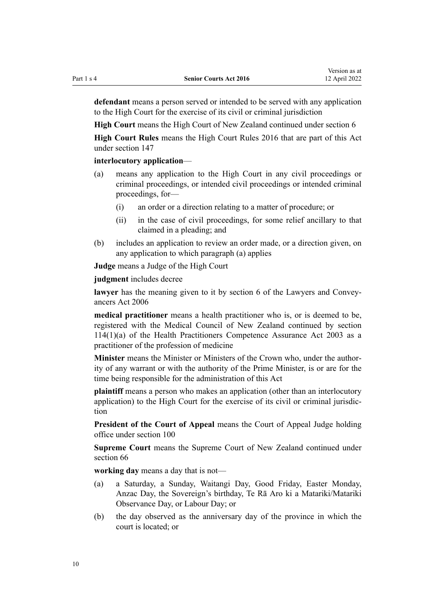**defendant** means a person served or intended to be served with any application to the High Court for the exercise of its civil or criminal jurisdiction

**High Court** means the High Court of New Zealand continued under [section 6](#page-10-0)

**High Court Rules** means the [High Court Rules 2016](http://legislation.govt.nz/pdflink.aspx?id=DLM6959800) that are part of this Act under [section 147](#page-58-0)

#### **interlocutory application**—

- (a) means any application to the High Court in any civil proceedings or criminal proceedings, or intended civil proceedings or intended criminal proceedings, for—
	- (i) an order or a direction relating to a matter of procedure; or
	- (ii) in the case of civil proceedings, for some relief ancillary to that claimed in a pleading; and
- (b) includes an application to review an order made, or a direction given, on any application to which paragraph (a) applies

**Judge** means a Judge of the High Court

**judgment** includes decree

lawyer has the meaning given to it by [section 6](http://legislation.govt.nz/pdflink.aspx?id=DLM364948) of the Lawyers and Conveyancers Act 2006

**medical practitioner** means a health practitioner who is, or is deemed to be, registered with the Medical Council of New Zealand continued by [section](http://legislation.govt.nz/pdflink.aspx?id=DLM204329) [114\(1\)\(a\)](http://legislation.govt.nz/pdflink.aspx?id=DLM204329) of the Health Practitioners Competence Assurance Act 2003 as a practitioner of the profession of medicine

**Minister** means the Minister or Ministers of the Crown who, under the author‐ ity of any warrant or with the authority of the Prime Minister, is or are for the time being responsible for the administration of this Act

**plaintiff** means a person who makes an application (other than an interlocutory application) to the High Court for the exercise of its civil or criminal jurisdic‐ tion

**President of the Court of Appeal** means the Court of Appeal Judge holding office under [section 100](#page-42-0)

**Supreme Court** means the Supreme Court of New Zealand continued under [section 66](#page-33-0)

**working day** means a day that is not—

- (a) a Saturday, a Sunday, Waitangi Day, Good Friday, Easter Monday, Anzac Day, the Sovereign's birthday, Te Rā Aro ki a Matariki/Matariki Observance Day, or Labour Day; or
- (b) the day observed as the anniversary day of the province in which the court is located; or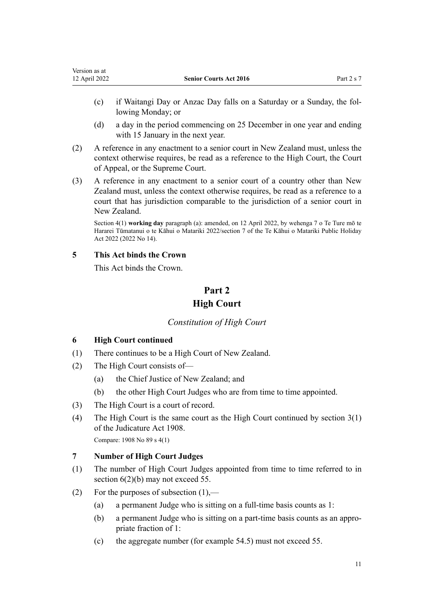- <span id="page-10-0"></span>(c) if Waitangi Day or Anzac Day falls on a Saturday or a Sunday, the fol‐ lowing Monday; or
- (d) a day in the period commencing on 25 December in one year and ending with 15 January in the next year.
- (2) A reference in any enactment to a senior court in New Zealand must, unless the context otherwise requires, be read as a reference to the High Court, the Court of Appeal, or the Supreme Court.
- (3) A reference in any enactment to a senior court of a country other than New Zealand must, unless the context otherwise requires, be read as a reference to a court that has jurisdiction comparable to the jurisdiction of a senior court in New Zealand.

Section 4(1) **working day** paragraph (a): amended, on 12 April 2022, by [wehenga 7](http://legislation.govt.nz/pdflink.aspx?id=LMS557838) o Te Ture mō te Hararei Tūmatanui o te Kāhui o Matariki 2022/[section 7](http://legislation.govt.nz/pdflink.aspx?id=LMS557848) of the Te Kāhui o Matariki Public Holiday Act 2022 (2022 No 14).

## **5 This Act binds the Crown**

This Act binds the Crown.

# **Part 2 High Court**

# *Constitution of High Court*

# **6 High Court continued**

- (1) There continues to be a High Court of New Zealand.
- (2) The High Court consists of—
	- (a) the Chief Justice of New Zealand; and
	- (b) the other High Court Judges who are from time to time appointed.
- (3) The High Court is a court of record.
- (4) The High Court is the same court as the High Court continued by [section 3\(1\)](http://legislation.govt.nz/pdflink.aspx?id=DLM145540) of the Judicature Act 1908.

Compare: 1908 No 89 [s 4\(1\)](http://legislation.govt.nz/pdflink.aspx?id=DLM145542)

# **7 Number of High Court Judges**

- (1) The number of High Court Judges appointed from time to time referred to in section 6(2)(b) may not exceed 55.
- (2) For the purposes of subsection (1),—
	- (a) a permanent Judge who is sitting on a full-time basis counts as 1:
	- (b) a permanent Judge who is sitting on a part-time basis counts as an appro‐ priate fraction of 1:
	- (c) the aggregate number (for example 54.5) must not exceed 55.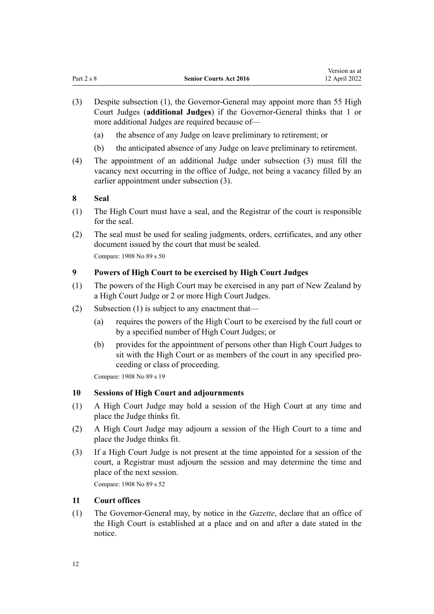- <span id="page-11-0"></span>(3) Despite subsection (1), the Governor-General may appoint more than 55 High Court Judges (**additional Judges**) if the Governor-General thinks that 1 or more additional Judges are required because of—
	- (a) the absence of any Judge on leave preliminary to retirement; or
	- (b) the anticipated absence of any Judge on leave preliminary to retirement.
- (4) The appointment of an additional Judge under subsection (3) must fill the vacancy next occurring in the office of Judge, not being a vacancy filled by an earlier appointment under subsection (3).

#### **8 Seal**

- (1) The High Court must have a seal, and the Registrar of the court is responsible for the seal.
- (2) The seal must be used for sealing judgments, orders, certificates, and any other document issued by the court that must be sealed. Compare: 1908 No 89 [s 50](http://legislation.govt.nz/pdflink.aspx?id=DLM146491)

#### **9 Powers of High Court to be exercised by High Court Judges**

- (1) The powers of the High Court may be exercised in any part of New Zealand by a High Court Judge or 2 or more High Court Judges.
- (2) Subsection (1) is subject to any enactment that—
	- (a) requires the powers of the High Court to be exercised by the full court or by a specified number of High Court Judges; or
	- (b) provides for the appointment of persons other than High Court Judges to sit with the High Court or as members of the court in any specified pro‐ ceeding or class of proceeding.

Compare: 1908 No 89 [s 19](http://legislation.govt.nz/pdflink.aspx?id=DLM145749)

#### **10 Sessions of High Court and adjournments**

- (1) A High Court Judge may hold a session of the High Court at any time and place the Judge thinks fit.
- (2) A High Court Judge may adjourn a session of the High Court to a time and place the Judge thinks fit.
- (3) If a High Court Judge is not present at the time appointed for a session of the court, a Registrar must adjourn the session and may determine the time and place of the next session.

Compare: 1908 No 89 [s 52](http://legislation.govt.nz/pdflink.aspx?id=DLM146623)

# **11 Court offices**

(1) The Governor-General may, by notice in the *Gazette*, declare that an office of the High Court is established at a place and on and after a date stated in the notice.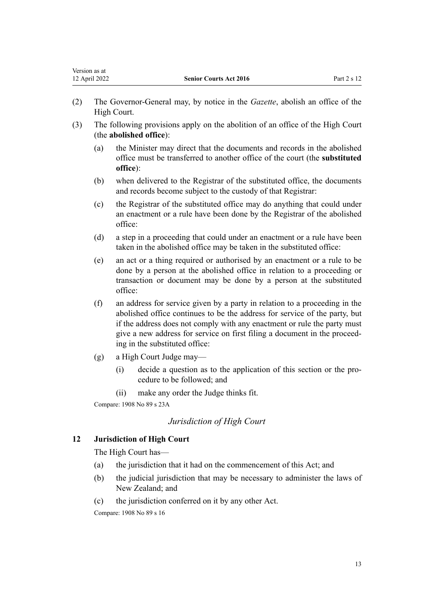- <span id="page-12-0"></span>(2) The Governor-General may, by notice in the *Gazette*, abolish an office of the High Court.
- (3) The following provisions apply on the abolition of an office of the High Court (the **abolished office**):
	- (a) the Minister may direct that the documents and records in the abolished office must be transferred to another office of the court (the **substituted office**):
	- (b) when delivered to the Registrar of the substituted office, the documents and records become subject to the custody of that Registrar:
	- (c) the Registrar of the substituted office may do anything that could under an enactment or a rule have been done by the Registrar of the abolished office:
	- (d) a step in a proceeding that could under an enactment or a rule have been taken in the abolished office may be taken in the substituted office:
	- (e) an act or a thing required or authorised by an enactment or a rule to be done by a person at the abolished office in relation to a proceeding or transaction or document may be done by a person at the substituted office:
	- (f) an address for service given by a party in relation to a proceeding in the abolished office continues to be the address for service of the party, but if the address does not comply with any enactment or rule the party must give a new address for service on first filing a document in the proceed‐ ing in the substituted office:
	- (g) a High Court Judge may—
		- (i) decide a question as to the application of this section or the pro‐ cedure to be followed; and
		- (ii) make any order the Judge thinks fit.

Compare: 1908 No 89 [s 23A](http://legislation.govt.nz/pdflink.aspx?id=DLM145773)

# *Jurisdiction of High Court*

# **12 Jurisdiction of High Court**

The High Court has—

- (a) the jurisdiction that it had on the commencement of this Act; and
- (b) the judicial jurisdiction that may be necessary to administer the laws of New Zealand; and
- (c) the jurisdiction conferred on it by any other Act.

Compare: 1908 No 89 [s 16](http://legislation.govt.nz/pdflink.aspx?id=DLM145728)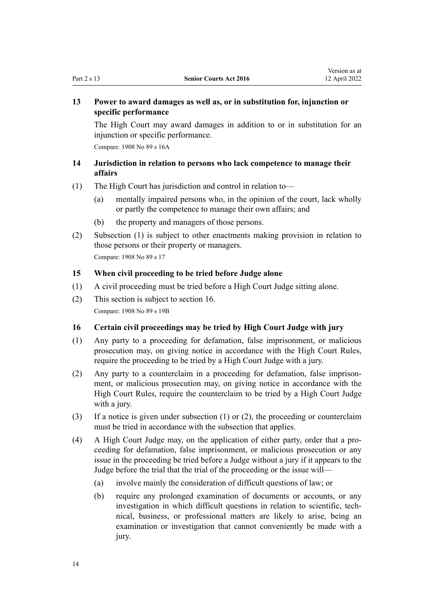# <span id="page-13-0"></span>**13 Power to award damages as well as, or in substitution for, injunction or specific performance**

The High Court may award damages in addition to or in substitution for an injunction or specific performance.

Compare: 1908 No 89 [s 16A](http://legislation.govt.nz/pdflink.aspx?id=DLM145729)

# **14 Jurisdiction in relation to persons who lack competence to manage their affairs**

- (1) The High Court has jurisdiction and control in relation to—
	- (a) mentally impaired persons who, in the opinion of the court, lack wholly or partly the competence to manage their own affairs; and
	- (b) the property and managers of those persons.
- (2) Subsection (1) is subject to other enactments making provision in relation to those persons or their property or managers. Compare: 1908 No 89 [s 17](http://legislation.govt.nz/pdflink.aspx?id=DLM145731)

#### **15 When civil proceeding to be tried before Judge alone**

- (1) A civil proceeding must be tried before a High Court Judge sitting alone.
- (2) This section is subject to section 16. Compare: 1908 No 89 [s 19B](http://legislation.govt.nz/pdflink.aspx?id=DLM145760)

#### **16 Certain civil proceedings may be tried by High Court Judge with jury**

- (1) Any party to a proceeding for defamation, false imprisonment, or malicious prosecution may, on giving notice in accordance with the High Court Rules, require the proceeding to be tried by a High Court Judge with a jury.
- (2) Any party to a counterclaim in a proceeding for defamation, false imprison‐ ment, or malicious prosecution may, on giving notice in accordance with the High Court Rules, require the counterclaim to be tried by a High Court Judge with a jury.
- (3) If a notice is given under subsection (1) or (2), the proceeding or counterclaim must be tried in accordance with the subsection that applies.
- (4) A High Court Judge may, on the application of either party, order that a pro‐ ceeding for defamation, false imprisonment, or malicious prosecution or any issue in the proceeding be tried before a Judge without a jury if it appears to the Judge before the trial that the trial of the proceeding or the issue will—
	- (a) involve mainly the consideration of difficult questions of law; or
	- (b) require any prolonged examination of documents or accounts, or any investigation in which difficult questions in relation to scientific, tech‐ nical, business, or professional matters are likely to arise, being an examination or investigation that cannot conveniently be made with a jury.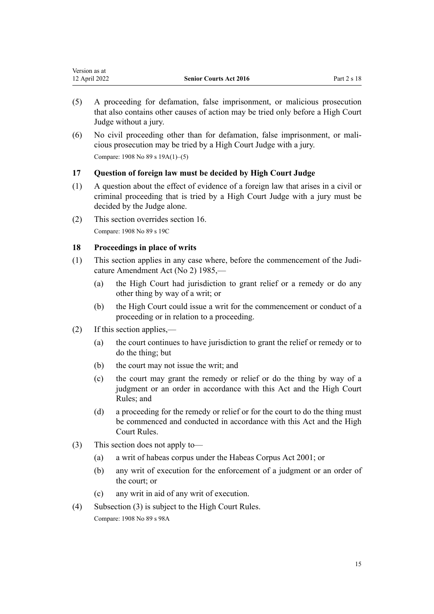<span id="page-14-0"></span>

| Version as at |                               |             |
|---------------|-------------------------------|-------------|
| 12 April 2022 | <b>Senior Courts Act 2016</b> | Part 2 s 18 |

- (5) A proceeding for defamation, false imprisonment, or malicious prosecution that also contains other causes of action may be tried only before a High Court Judge without a jury.
- (6) No civil proceeding other than for defamation, false imprisonment, or mali‐ cious prosecution may be tried by a High Court Judge with a jury. Compare: 1908 No 89 [s 19A\(1\)–\(5\)](http://legislation.govt.nz/pdflink.aspx?id=DLM145752)

#### **17 Question of foreign law must be decided by High Court Judge**

- (1) A question about the effect of evidence of a foreign law that arises in a civil or criminal proceeding that is tried by a High Court Judge with a jury must be decided by the Judge alone.
- (2) This section overrides [section 16.](#page-13-0) Compare: 1908 No 89 [s 19C](http://legislation.govt.nz/pdflink.aspx?id=DLM145764)

#### **18 Proceedings in place of writs**

- (1) This section applies in any case where, before the commencement of the [Judi‐](http://legislation.govt.nz/pdflink.aspx?id=DLM75946) [cature Amendment Act \(No 2\) 1985,](http://legislation.govt.nz/pdflink.aspx?id=DLM75946)—
	- (a) the High Court had jurisdiction to grant relief or a remedy or do any other thing by way of a writ; or
	- (b) the High Court could issue a writ for the commencement or conduct of a proceeding or in relation to a proceeding.
- (2) If this section applies,—
	- (a) the court continues to have jurisdiction to grant the relief or remedy or to do the thing; but
	- (b) the court may not issue the writ; and
	- (c) the court may grant the remedy or relief or do the thing by way of a judgment or an order in accordance with this Act and the High Court Rules; and
	- (d) a proceeding for the remedy or relief or for the court to do the thing must be commenced and conducted in accordance with this Act and the High Court Rules.
- (3) This section does not apply to—
	- (a) a writ of habeas corpus under the [Habeas Corpus Act 2001](http://legislation.govt.nz/pdflink.aspx?id=DLM91754); or
	- (b) any writ of execution for the enforcement of a judgment or an order of the court; or
	- (c) any writ in aid of any writ of execution.
- (4) Subsection (3) is subject to the High Court Rules. Compare: 1908 No 89 [s 98A](http://legislation.govt.nz/pdflink.aspx?id=DLM147623)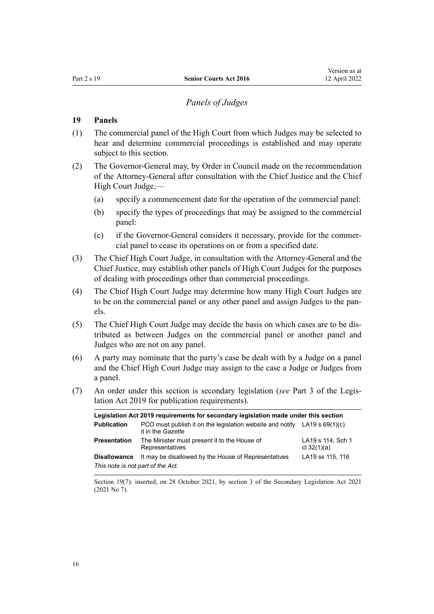# *Panels of Judges*

## <span id="page-15-0"></span>**19 Panels**

- (1) The commercial panel of the High Court from which Judges may be selected to hear and determine commercial proceedings is established and may operate subject to this section.
- (2) The Governor-General may, by Order in Council made on the recommendation of the Attorney-General after consultation with the Chief Justice and the Chief High Court Judge,—
	- (a) specify a commencement date for the operation of the commercial panel:
	- (b) specify the types of proceedings that may be assigned to the commercial panel:
	- (c) if the Governor-General considers it necessary, provide for the commer‐ cial panel to cease its operations on or from a specified date.
- (3) The Chief High Court Judge, in consultation with the Attorney-General and the Chief Justice, may establish other panels of High Court Judges for the purposes of dealing with proceedings other than commercial proceedings.
- (4) The Chief High Court Judge may determine how many High Court Judges are to be on the commercial panel or any other panel and assign Judges to the panels.
- (5) The Chief High Court Judge may decide the basis on which cases are to be dis‐ tributed as between Judges on the commercial panel or another panel and Judges who are not on any panel.
- (6) A party may nominate that the party's case be dealt with by a Judge on a panel and the Chief High Court Judge may assign to the case a Judge or Judges from a panel.
- (7) An order under this section is secondary legislation (*see* [Part 3](http://legislation.govt.nz/pdflink.aspx?id=DLM7298343) of the Legis‐ lation Act 2019 for publication requirements).

|                                   | Legislation Act 2019 requirements for secondary legislation made under this section              |                                    |
|-----------------------------------|--------------------------------------------------------------------------------------------------|------------------------------------|
| <b>Publication</b>                | PCO must publish it on the legislation website and notify $LA19 s 69(1)(c)$<br>it in the Gazette |                                    |
| <b>Presentation</b>               | The Minister must present it to the House of<br>Representatives                                  | LA19 s 114, Sch 1<br>cl $32(1)(a)$ |
| <b>Disallowance</b>               | It may be disallowed by the House of Representatives                                             | LA19 ss 115, 116                   |
| This note is not part of the Act. |                                                                                                  |                                    |

Section 19(7): inserted, on 28 October 2021, by [section 3](http://legislation.govt.nz/pdflink.aspx?id=LMS268932) of the Secondary Legislation Act 2021 (2021 No 7).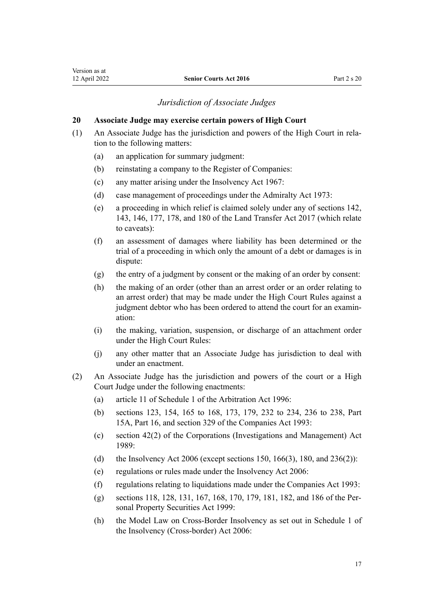#### *Jurisdiction of Associate Judges*

#### <span id="page-16-0"></span>**20 Associate Judge may exercise certain powers of High Court**

- (1) An Associate Judge has the jurisdiction and powers of the High Court in rela‐ tion to the following matters:
	- (a) an application for summary judgment:
	- (b) reinstating a company to the Register of Companies:
	- (c) any matter arising under the [Insolvency Act 1967:](http://legislation.govt.nz/pdflink.aspx?id=DLM382333)
	- (d) case management of proceedings under the [Admiralty Act 1973](http://legislation.govt.nz/pdflink.aspx?id=DLM411612):
	- (e) a proceeding in which relief is claimed solely under any of [sections 142](http://legislation.govt.nz/pdflink.aspx?id=DLM6731320), [143](http://legislation.govt.nz/pdflink.aspx?id=DLM6731321), [146,](http://legislation.govt.nz/pdflink.aspx?id=DLM6731324) [177,](http://legislation.govt.nz/pdflink.aspx?id=DLM6731369) [178,](http://legislation.govt.nz/pdflink.aspx?id=DLM6731370) and [180](http://legislation.govt.nz/pdflink.aspx?id=DLM6731372) of the Land Transfer Act 2017 (which relate to caveats):
	- (f) an assessment of damages where liability has been determined or the trial of a proceeding in which only the amount of a debt or damages is in dispute:
	- (g) the entry of a judgment by consent or the making of an order by consent:
	- (h) the making of an order (other than an arrest order or an order relating to an arrest order) that may be made under the High Court Rules against a judgment debtor who has been ordered to attend the court for an examination:
	- (i) the making, variation, suspension, or discharge of an attachment order under the High Court Rules:
	- (j) any other matter that an Associate Judge has jurisdiction to deal with under an enactment.
- (2) An Associate Judge has the jurisdiction and powers of the court or a High Court Judge under the following enactments:
	- (a) [article 11](http://legislation.govt.nz/pdflink.aspx?id=DLM405731) of Schedule 1 of the Arbitration Act 1996:
	- (b) [sections 123,](http://legislation.govt.nz/pdflink.aspx?id=DLM320623) [154](http://legislation.govt.nz/pdflink.aspx?id=DLM320697), [165 to 168](http://legislation.govt.nz/pdflink.aspx?id=DLM320825), [173,](http://legislation.govt.nz/pdflink.aspx?id=DLM320834) [179](http://legislation.govt.nz/pdflink.aspx?id=DLM320842), [232 to 234,](http://legislation.govt.nz/pdflink.aspx?id=DLM321175) [236 to 238](http://legislation.govt.nz/pdflink.aspx?id=DLM321187), [Part](http://legislation.govt.nz/pdflink.aspx?id=DLM321191) [15A](http://legislation.govt.nz/pdflink.aspx?id=DLM321191), [Part 16,](http://legislation.govt.nz/pdflink.aspx?id=DLM321666) and [section 329](http://legislation.govt.nz/pdflink.aspx?id=DLM322857) of the Companies Act 1993:
	- (c) [section 42\(2\)](http://legislation.govt.nz/pdflink.aspx?id=DLM144948) of the Corporations (Investigations and Management) Act 1989:
	- (d) the [Insolvency Act 2006](http://legislation.govt.nz/pdflink.aspx?id=DLM385298) (except [sections 150,](http://legislation.govt.nz/pdflink.aspx?id=DLM386480) [166\(3\)](http://legislation.govt.nz/pdflink.aspx?id=DLM386907), [180](http://legislation.govt.nz/pdflink.aspx?id=DLM386924), and [236\(2\)](http://legislation.govt.nz/pdflink.aspx?id=DLM387217)):
	- (e) regulations or rules made under the [Insolvency Act 2006](http://legislation.govt.nz/pdflink.aspx?id=DLM385298):
	- (f) regulations relating to liquidations made under the [Companies Act 1993](http://legislation.govt.nz/pdflink.aspx?id=DLM319569):
	- (g) [sections 118](http://legislation.govt.nz/pdflink.aspx?id=DLM47113), [128](http://legislation.govt.nz/pdflink.aspx?id=DLM47125), [131](http://legislation.govt.nz/pdflink.aspx?id=DLM47128), [167,](http://legislation.govt.nz/pdflink.aspx?id=DLM47195) [168,](http://legislation.govt.nz/pdflink.aspx?id=DLM47197) [170,](http://legislation.govt.nz/pdflink.aspx?id=DLM47603) [179](http://legislation.govt.nz/pdflink.aspx?id=DLM47624), [181](http://legislation.govt.nz/pdflink.aspx?id=DLM47626), [182](http://legislation.govt.nz/pdflink.aspx?id=DLM47627), and [186](http://legislation.govt.nz/pdflink.aspx?id=DLM47633) of the Per‐ sonal Property Securities Act 1999:
	- (h) the Model Law on Cross-Border Insolvency as set out in [Schedule 1](http://legislation.govt.nz/pdflink.aspx?id=DLM389648) of the Insolvency (Cross-border) Act 2006: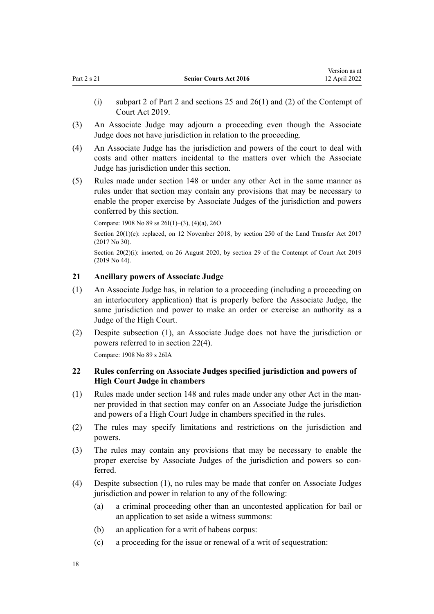- <span id="page-17-0"></span>(i) [subpart 2](http://legislation.govt.nz/pdflink.aspx?id=LMS24809) of Part 2 and [sections 25](http://legislation.govt.nz/pdflink.aspx?id=LMS24835) and [26\(1\) and \(2\)](http://legislation.govt.nz/pdflink.aspx?id=LMS24836) of the Contempt of Court Act 2019.
- (3) An Associate Judge may adjourn a proceeding even though the Associate Judge does not have jurisdiction in relation to the proceeding.
- (4) An Associate Judge has the jurisdiction and powers of the court to deal with costs and other matters incidental to the matters over which the Associate Judge has jurisdiction under this section.
- (5) Rules made under [section 148](#page-59-0) or under any other Act in the same manner as rules under that section may contain any provisions that may be necessary to enable the proper exercise by Associate Judges of the jurisdiction and powers conferred by this section.

Compare: 1908 No 89 [ss 26I\(1\)–\(3\), \(4\)\(a\)](http://legislation.govt.nz/pdflink.aspx?id=DLM146070), [26O](http://legislation.govt.nz/pdflink.aspx?id=DLM146419)

Section  $20(1)(e)$ : replaced, on 12 November 2018, by [section 250](http://legislation.govt.nz/pdflink.aspx?id=DLM6731493) of the Land Transfer Act 2017 (2017 No 30).

Section 20(2)(i): inserted, on 26 August 2020, by [section 29](http://legislation.govt.nz/pdflink.aspx?id=LMS24838) of the Contempt of Court Act 2019 (2019 No 44).

#### **21 Ancillary powers of Associate Judge**

- (1) An Associate Judge has, in relation to a proceeding (including a proceeding on an interlocutory application) that is properly before the Associate Judge, the same jurisdiction and power to make an order or exercise an authority as a Judge of the High Court.
- (2) Despite subsection (1), an Associate Judge does not have the jurisdiction or powers referred to in section 22(4).

Compare: 1908 No 89 [s 26IA](http://legislation.govt.nz/pdflink.aspx?id=DLM146085)

#### **22 Rules conferring on Associate Judges specified jurisdiction and powers of High Court Judge in chambers**

- (1) Rules made under [section 148](#page-59-0) and rules made under any other Act in the man‐ ner provided in that section may confer on an Associate Judge the jurisdiction and powers of a High Court Judge in chambers specified in the rules.
- (2) The rules may specify limitations and restrictions on the jurisdiction and powers.
- (3) The rules may contain any provisions that may be necessary to enable the proper exercise by Associate Judges of the jurisdiction and powers so conferred.
- (4) Despite subsection (1), no rules may be made that confer on Associate Judges jurisdiction and power in relation to any of the following:
	- (a) a criminal proceeding other than an uncontested application for bail or an application to set aside a witness summons:
	- (b) an application for a writ of habeas corpus:
	- (c) a proceeding for the issue or renewal of a writ of sequestration: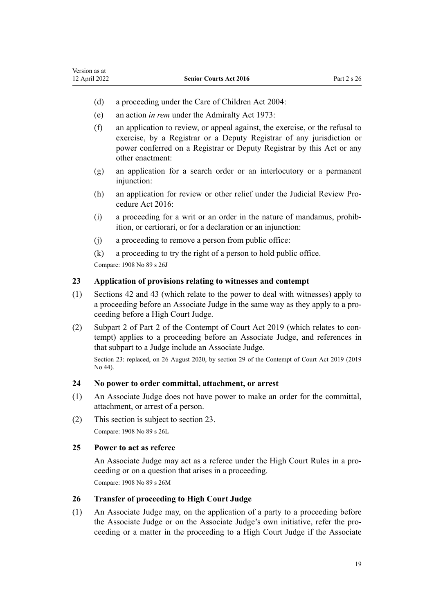- <span id="page-18-0"></span>(d) a proceeding under the [Care of Children Act 2004:](http://legislation.govt.nz/pdflink.aspx?id=DLM317232)
- (e) an action *in rem* under the [Admiralty Act 1973:](http://legislation.govt.nz/pdflink.aspx?id=DLM411612)
- (f) an application to review, or appeal against, the exercise, or the refusal to exercise, by a Registrar or a Deputy Registrar of any jurisdiction or power conferred on a Registrar or Deputy Registrar by this Act or any other enactment:
- (g) an application for a search order or an interlocutory or a permanent injunction:
- (h) an application for review or other relief under the [Judicial Review Pro‐](http://legislation.govt.nz/pdflink.aspx?id=DLM6942104) [cedure Act 2016](http://legislation.govt.nz/pdflink.aspx?id=DLM6942104):
- (i) a proceeding for a writ or an order in the nature of mandamus, prohib‐ ition, or certiorari, or for a declaration or an injunction:
- (j) a proceeding to remove a person from public office:
- (k) a proceeding to try the right of a person to hold public office.

Compare: 1908 No 89 [s 26J](http://legislation.govt.nz/pdflink.aspx?id=DLM146092)

## **23 Application of provisions relating to witnesses and contempt**

- (1) [Sections 42](#page-23-0) and [43](#page-23-0) (which relate to the power to deal with witnesses) apply to a proceeding before an Associate Judge in the same way as they apply to a pro‐ ceeding before a High Court Judge.
- (2) [Subpart 2](http://legislation.govt.nz/pdflink.aspx?id=LMS24809) of Part 2 of the Contempt of Court Act 2019 (which relates to con‐ tempt) applies to a proceeding before an Associate Judge, and references in that subpart to a Judge include an Associate Judge.

Section 23: replaced, on 26 August 2020, by [section 29](http://legislation.govt.nz/pdflink.aspx?id=LMS24838) of the Contempt of Court Act 2019 (2019 No 44).

#### **24 No power to order committal, attachment, or arrest**

- (1) An Associate Judge does not have power to make an order for the committal, attachment, or arrest of a person.
- (2) This section is subject to section 23. Compare: 1908 No 89 [s 26L](http://legislation.govt.nz/pdflink.aspx?id=DLM146404)

#### **25 Power to act as referee**

An Associate Judge may act as a referee under the High Court Rules in a pro‐ ceeding or on a question that arises in a proceeding. Compare: 1908 No 89 [s 26M](http://legislation.govt.nz/pdflink.aspx?id=DLM146408)

#### **26 Transfer of proceeding to High Court Judge**

(1) An Associate Judge may, on the application of a party to a proceeding before the Associate Judge or on the Associate Judge's own initiative, refer the pro‐ ceeding or a matter in the proceeding to a High Court Judge if the Associate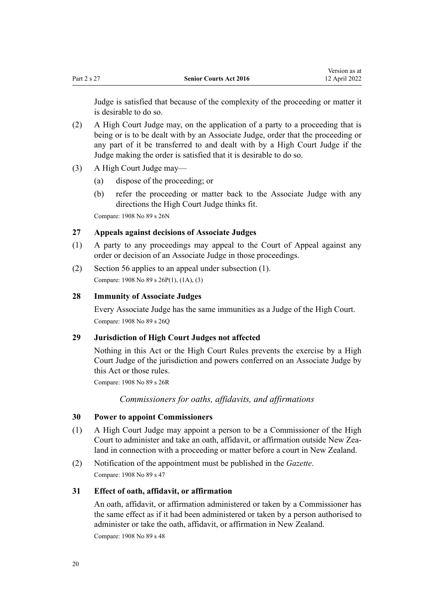<span id="page-19-0"></span>Judge is satisfied that because of the complexity of the proceeding or matter it is desirable to do so.

- (2) A High Court Judge may, on the application of a party to a proceeding that is being or is to be dealt with by an Associate Judge, order that the proceeding or any part of it be transferred to and dealt with by a High Court Judge if the Judge making the order is satisfied that it is desirable to do so.
- (3) A High Court Judge may—
	- (a) dispose of the proceeding; or
	- (b) refer the proceeding or matter back to the Associate Judge with any directions the High Court Judge thinks fit.

Compare: 1908 No 89 [s 26N](http://legislation.govt.nz/pdflink.aspx?id=DLM146413)

#### **27 Appeals against decisions of Associate Judges**

- (1) A party to any proceedings may appeal to the Court of Appeal against any order or decision of an Associate Judge in those proceedings.
- (2) [Section 56](#page-28-0) applies to an appeal under subsection (1). Compare: 1908 No 89 [s 26P\(1\), \(1A\), \(3\)](http://legislation.govt.nz/pdflink.aspx?id=DLM146424)

#### **28 Immunity of Associate Judges**

Every Associate Judge has the same immunities as a Judge of the High Court. Compare: 1908 No 89 [s 26Q](http://legislation.govt.nz/pdflink.aspx?id=DLM146433)

#### **29 Jurisdiction of High Court Judges not affected**

Nothing in this Act or the High Court Rules prevents the exercise by a High Court Judge of the jurisdiction and powers conferred on an Associate Judge by this Act or those rules.

Compare: 1908 No 89 [s 26R](http://legislation.govt.nz/pdflink.aspx?id=DLM146436)

*Commissioners for oaths, affidavits, and affirmations*

#### **30 Power to appoint Commissioners**

- (1) A High Court Judge may appoint a person to be a Commissioner of the High Court to administer and take an oath, affidavit, or affirmation outside New Zea‐ land in connection with a proceeding or matter before a court in New Zealand.
- (2) Notification of the appointment must be published in the *Gazette*. Compare: 1908 No 89 [s 47](http://legislation.govt.nz/pdflink.aspx?id=DLM146486)

#### **31 Effect of oath, affidavit, or affirmation**

An oath, affidavit, or affirmation administered or taken by a Commissioner has the same effect as if it had been administered or taken by a person authorised to administer or take the oath, affidavit, or affirmation in New Zealand.

Compare: 1908 No 89 [s 48](http://legislation.govt.nz/pdflink.aspx?id=DLM146488)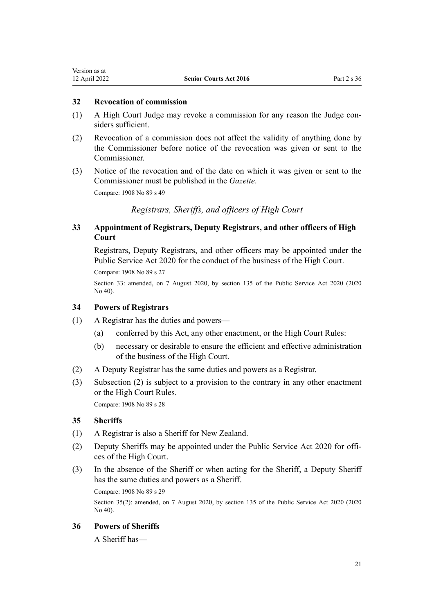## <span id="page-20-0"></span>**32 Revocation of commission**

- (1) A High Court Judge may revoke a commission for any reason the Judge con‐ siders sufficient.
- (2) Revocation of a commission does not affect the validity of anything done by the Commissioner before notice of the revocation was given or sent to the Commissioner.
- (3) Notice of the revocation and of the date on which it was given or sent to the Commissioner must be published in the *Gazette*.

Compare: 1908 No 89 [s 49](http://legislation.govt.nz/pdflink.aspx?id=DLM146489)

*Registrars, Sheriffs, and officers of High Court*

# **33 Appointment of Registrars, Deputy Registrars, and other officers of High Court**

Registrars, Deputy Registrars, and other officers may be appointed under the [Public Service Act 2020](http://legislation.govt.nz/pdflink.aspx?id=LMS106157) for the conduct of the business of the High Court.

Compare: 1908 No 89 [s 27](http://legislation.govt.nz/pdflink.aspx?id=DLM146440)

Section 33: amended, on 7 August 2020, by [section 135](http://legislation.govt.nz/pdflink.aspx?id=LMS176959) of the Public Service Act 2020 (2020 No 40).

#### **34 Powers of Registrars**

- (1) A Registrar has the duties and powers—
	- (a) conferred by this Act, any other enactment, or the High Court Rules:
	- (b) necessary or desirable to ensure the efficient and effective administration of the business of the High Court.
- (2) A Deputy Registrar has the same duties and powers as a Registrar.
- (3) Subsection (2) is subject to a provision to the contrary in any other enactment or the High Court Rules. Compare: 1908 No 89 [s 28](http://legislation.govt.nz/pdflink.aspx?id=DLM146443)

# **35 Sheriffs**

- (1) A Registrar is also a Sheriff for New Zealand.
- (2) Deputy Sheriffs may be appointed under the [Public Service Act 2020](http://legislation.govt.nz/pdflink.aspx?id=LMS106157) for offi‐ ces of the High Court.
- (3) In the absence of the Sheriff or when acting for the Sheriff, a Deputy Sheriff has the same duties and powers as a Sheriff.

Compare: 1908 No 89 [s 29](http://legislation.govt.nz/pdflink.aspx?id=DLM146446)

Section 35(2): amended, on 7 August 2020, by [section 135](http://legislation.govt.nz/pdflink.aspx?id=LMS176959) of the Public Service Act 2020 (2020 No 40).

#### **36 Powers of Sheriffs**

A Sheriff has—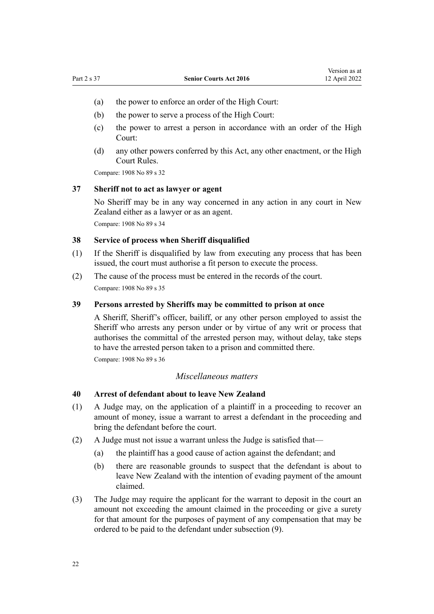- <span id="page-21-0"></span>(a) the power to enforce an order of the High Court:
- (b) the power to serve a process of the High Court:
- (c) the power to arrest a person in accordance with an order of the High Court:
- (d) any other powers conferred by this Act, any other enactment, or the High Court Rules.

Compare: 1908 No 89 [s 32](http://legislation.govt.nz/pdflink.aspx?id=DLM146454)

#### **37 Sheriff not to act as lawyer or agent**

No Sheriff may be in any way concerned in any action in any court in New Zealand either as a lawyer or as an agent.

Compare: 1908 No 89 [s 34](http://legislation.govt.nz/pdflink.aspx?id=DLM146457)

# **38 Service of process when Sheriff disqualified**

- (1) If the Sheriff is disqualified by law from executing any process that has been issued, the court must authorise a fit person to execute the process.
- (2) The cause of the process must be entered in the records of the court. Compare: 1908 No 89 [s 35](http://legislation.govt.nz/pdflink.aspx?id=DLM146458)

#### **39 Persons arrested by Sheriffs may be committed to prison at once**

A Sheriff, Sheriff's officer, bailiff, or any other person employed to assist the Sheriff who arrests any person under or by virtue of any writ or process that authorises the committal of the arrested person may, without delay, take steps to have the arrested person taken to a prison and committed there.

Compare: 1908 No 89 [s 36](http://legislation.govt.nz/pdflink.aspx?id=DLM146460)

#### *Miscellaneous matters*

#### **40 Arrest of defendant about to leave New Zealand**

- (1) A Judge may, on the application of a plaintiff in a proceeding to recover an amount of money, issue a warrant to arrest a defendant in the proceeding and bring the defendant before the court.
- (2) A Judge must not issue a warrant unless the Judge is satisfied that—
	- (a) the plaintiff has a good cause of action against the defendant; and
	- (b) there are reasonable grounds to suspect that the defendant is about to leave New Zealand with the intention of evading payment of the amount claimed.
- (3) The Judge may require the applicant for the warrant to deposit in the court an amount not exceeding the amount claimed in the proceeding or give a surety for that amount for the purposes of payment of any compensation that may be ordered to be paid to the defendant under subsection (9).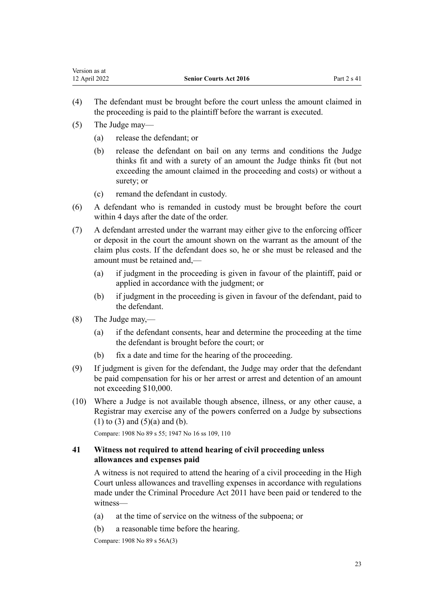- <span id="page-22-0"></span>(4) The defendant must be brought before the court unless the amount claimed in the proceeding is paid to the plaintiff before the warrant is executed.
- (5) The Judge may—
	- (a) release the defendant; or
	- (b) release the defendant on bail on any terms and conditions the Judge thinks fit and with a surety of an amount the Judge thinks fit (but not exceeding the amount claimed in the proceeding and costs) or without a surety; or
	- (c) remand the defendant in custody.
- (6) A defendant who is remanded in custody must be brought before the court within 4 days after the date of the order.
- (7) A defendant arrested under the warrant may either give to the enforcing officer or deposit in the court the amount shown on the warrant as the amount of the claim plus costs. If the defendant does so, he or she must be released and the amount must be retained and,—
	- (a) if judgment in the proceeding is given in favour of the plaintiff, paid or applied in accordance with the judgment; or
	- (b) if judgment in the proceeding is given in favour of the defendant, paid to the defendant.
- (8) The Judge may,—
	- (a) if the defendant consents, hear and determine the proceeding at the time the defendant is brought before the court; or
	- (b) fix a date and time for the hearing of the proceeding.
- (9) If judgment is given for the defendant, the Judge may order that the defendant be paid compensation for his or her arrest or arrest and detention of an amount not exceeding \$10,000.
- (10) Where a Judge is not available though absence, illness, or any other cause, a Registrar may exercise any of the powers conferred on a Judge by subsections  $(1)$  to  $(3)$  and  $(5)(a)$  and  $(b)$ .

Compare: 1908 No 89 [s 55](http://legislation.govt.nz/pdflink.aspx?id=DLM146653); 1947 No 16 [ss 109,](http://legislation.govt.nz/pdflink.aspx?id=DLM244413) [110](http://legislation.govt.nz/pdflink.aspx?id=DLM244420)

## **41 Witness not required to attend hearing of civil proceeding unless allowances and expenses paid**

A witness is not required to attend the hearing of a civil proceeding in the High Court unless allowances and travelling expenses in accordance with regulations made under the [Criminal Procedure Act 2011](http://legislation.govt.nz/pdflink.aspx?id=DLM3359902) have been paid or tendered to the witness—

- (a) at the time of service on the witness of the subpoena; or
- (b) a reasonable time before the hearing.

Compare: 1908 No 89 [s 56A\(3\)](http://legislation.govt.nz/pdflink.aspx?id=DLM146664)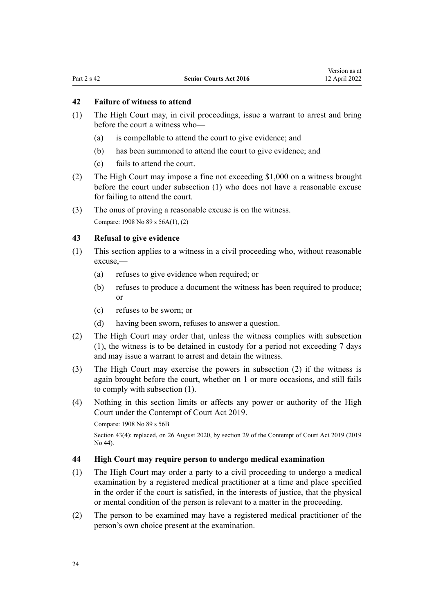# <span id="page-23-0"></span>**42 Failure of witness to attend**

- (1) The High Court may, in civil proceedings, issue a warrant to arrest and bring before the court a witness who—
	- (a) is compellable to attend the court to give evidence; and
	- (b) has been summoned to attend the court to give evidence; and
	- (c) fails to attend the court.
- (2) The High Court may impose a fine not exceeding \$1,000 on a witness brought before the court under subsection (1) who does not have a reasonable excuse for failing to attend the court.
- (3) The onus of proving a reasonable excuse is on the witness.

Compare: 1908 No 89 [s 56A\(1\), \(2\)](http://legislation.govt.nz/pdflink.aspx?id=DLM146664)

#### **43 Refusal to give evidence**

- (1) This section applies to a witness in a civil proceeding who, without reasonable excuse,—
	- (a) refuses to give evidence when required; or
	- (b) refuses to produce a document the witness has been required to produce; or
	- (c) refuses to be sworn; or
	- (d) having been sworn, refuses to answer a question.
- (2) The High Court may order that, unless the witness complies with subsection (1), the witness is to be detained in custody for a period not exceeding 7 days and may issue a warrant to arrest and detain the witness.
- (3) The High Court may exercise the powers in subsection (2) if the witness is again brought before the court, whether on 1 or more occasions, and still fails to comply with subsection (1).
- (4) Nothing in this section limits or affects any power or authority of the High Court under the [Contempt of Court Act 2019.](http://legislation.govt.nz/pdflink.aspx?id=LMS24741)

Compare: 1908 No 89 [s 56B](http://legislation.govt.nz/pdflink.aspx?id=DLM146670)

Section 43(4): replaced, on 26 August 2020, by [section 29](http://legislation.govt.nz/pdflink.aspx?id=LMS24838) of the Contempt of Court Act 2019 (2019 No 44).

#### **44 High Court may require person to undergo medical examination**

- (1) The High Court may order a party to a civil proceeding to undergo a medical examination by a registered medical practitioner at a time and place specified in the order if the court is satisfied, in the interests of justice, that the physical or mental condition of the person is relevant to a matter in the proceeding.
- (2) The person to be examined may have a registered medical practitioner of the person's own choice present at the examination.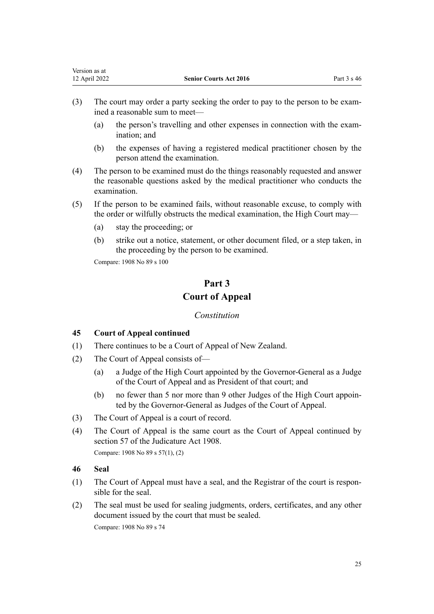- <span id="page-24-0"></span>(3) The court may order a party seeking the order to pay to the person to be exam‐ ined a reasonable sum to meet—
	- (a) the person's travelling and other expenses in connection with the exam‐ ination; and
	- (b) the expenses of having a registered medical practitioner chosen by the person attend the examination.
- (4) The person to be examined must do the things reasonably requested and answer the reasonable questions asked by the medical practitioner who conducts the examination.
- (5) If the person to be examined fails, without reasonable excuse, to comply with the order or wilfully obstructs the medical examination, the High Court may—
	- (a) stay the proceeding; or
	- (b) strike out a notice, statement, or other document filed, or a step taken, in the proceeding by the person to be examined.

Compare: 1908 No 89 [s 100](http://legislation.govt.nz/pdflink.aspx?id=DLM147639)

# **Part 3 Court of Appeal**

# *Constitution*

# **45 Court of Appeal continued**

- (1) There continues to be a Court of Appeal of New Zealand.
- (2) The Court of Appeal consists of—
	- (a) a Judge of the High Court appointed by the Governor-General as a Judge of the Court of Appeal and as President of that court; and
	- (b) no fewer than 5 nor more than 9 other Judges of the High Court appoin‐ ted by the Governor-General as Judges of the Court of Appeal.
- (3) The Court of Appeal is a court of record.
- (4) The Court of Appeal is the same court as the Court of Appeal continued by [section 57](http://legislation.govt.nz/pdflink.aspx?id=DLM146928) of the Judicature Act 1908. Compare: 1908 No 89 [s 57\(1\), \(2\)](http://legislation.govt.nz/pdflink.aspx?id=DLM146928)
- **46 Seal**
- (1) The Court of Appeal must have a seal, and the Registrar of the court is respon‐ sible for the seal.
- (2) The seal must be used for sealing judgments, orders, certificates, and any other document issued by the court that must be sealed.

Compare: 1908 No 89 [s 74](http://legislation.govt.nz/pdflink.aspx?id=DLM147351)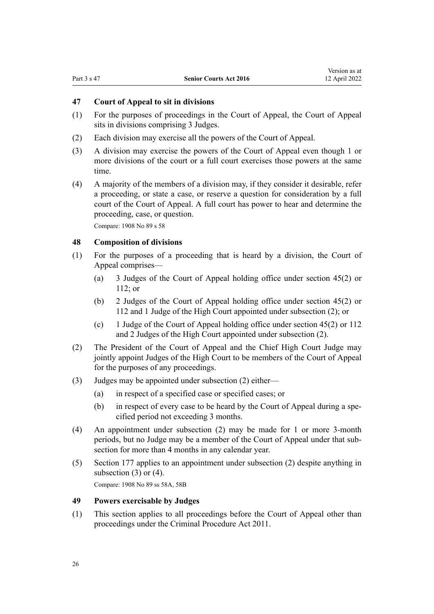# <span id="page-25-0"></span>**47 Court of Appeal to sit in divisions**

- (1) For the purposes of proceedings in the Court of Appeal, the Court of Appeal sits in divisions comprising 3 Judges.
- (2) Each division may exercise all the powers of the Court of Appeal.
- (3) A division may exercise the powers of the Court of Appeal even though 1 or more divisions of the court or a full court exercises those powers at the same time.
- (4) A majority of the members of a division may, if they consider it desirable, refer a proceeding, or state a case, or reserve a question for consideration by a full court of the Court of Appeal. A full court has power to hear and determine the proceeding, case, or question.

Compare: 1908 No 89 [s 58](http://legislation.govt.nz/pdflink.aspx?id=DLM146949)

## **48 Composition of divisions**

- (1) For the purposes of a proceeding that is heard by a division, the Court of Appeal comprises—
	- (a) 3 Judges of the Court of Appeal holding office under [section 45\(2\)](#page-24-0) or [112](#page-46-0); or
	- (b) 2 Judges of the Court of Appeal holding office under [section 45\(2\)](#page-24-0) or [112](#page-46-0) and 1 Judge of the High Court appointed under subsection (2); or
	- (c) 1 Judge of the Court of Appeal holding office under [section 45\(2\)](#page-24-0) or [112](#page-46-0) and 2 Judges of the High Court appointed under subsection (2).
- (2) The President of the Court of Appeal and the Chief High Court Judge may jointly appoint Judges of the High Court to be members of the Court of Appeal for the purposes of any proceedings.
- (3) Judges may be appointed under subsection (2) either—
	- (a) in respect of a specified case or specified cases; or
	- (b) in respect of every case to be heard by the Court of Appeal during a specified period not exceeding 3 months.
- (4) An appointment under subsection (2) may be made for 1 or more 3-month periods, but no Judge may be a member of the Court of Appeal under that sub‐ section for more than 4 months in any calendar year.
- (5) [Section 177](#page-73-0) applies to an appointment under subsection (2) despite anything in subsection  $(3)$  or  $(4)$ .

Compare: 1908 No 89 [ss 58A](http://legislation.govt.nz/pdflink.aspx?id=DLM146961), [58B](http://legislation.govt.nz/pdflink.aspx?id=DLM146967)

## **49 Powers exercisable by Judges**

(1) This section applies to all proceedings before the Court of Appeal other than proceedings under the [Criminal Procedure Act 2011.](http://legislation.govt.nz/pdflink.aspx?id=DLM3359902)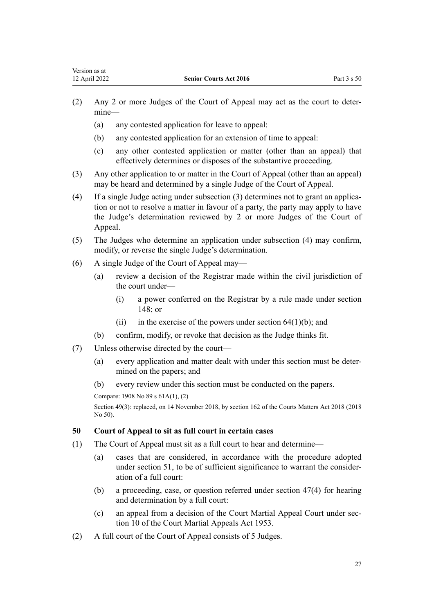- <span id="page-26-0"></span>(2) Any 2 or more Judges of the Court of Appeal may act as the court to deter‐ mine—
	- (a) any contested application for leave to appeal:
	- (b) any contested application for an extension of time to appeal:
	- (c) any other contested application or matter (other than an appeal) that effectively determines or disposes of the substantive proceeding.
- (3) Any other application to or matter in the Court of Appeal (other than an appeal) may be heard and determined by a single Judge of the Court of Appeal.
- (4) If a single Judge acting under subsection (3) determines not to grant an applica‐ tion or not to resolve a matter in favour of a party, the party may apply to have the Judge's determination reviewed by 2 or more Judges of the Court of Appeal.
- (5) The Judges who determine an application under subsection (4) may confirm, modify, or reverse the single Judge's determination.
- (6) A single Judge of the Court of Appeal may—
	- (a) review a decision of the Registrar made within the civil jurisdiction of the court under—
		- (i) a power conferred on the Registrar by a rule made under [section](#page-59-0) [148](#page-59-0); or
		- (ii) in the exercise of the powers under section  $64(1)(b)$ ; and
	- (b) confirm, modify, or revoke that decision as the Judge thinks fit.
- (7) Unless otherwise directed by the court—
	- (a) every application and matter dealt with under this section must be deter‐ mined on the papers; and
	- (b) every review under this section must be conducted on the papers.

Section 49(3): replaced, on 14 November 2018, by [section 162](http://legislation.govt.nz/pdflink.aspx?id=LMS104265) of the Courts Matters Act 2018 (2018 No 50).

#### **50 Court of Appeal to sit as full court in certain cases**

- (1) The Court of Appeal must sit as a full court to hear and determine—
	- (a) cases that are considered, in accordance with the procedure adopted under [section 51,](#page-27-0) to be of sufficient significance to warrant the consideration of a full court:
	- (b) a proceeding, case, or question referred under [section 47\(4\)](#page-25-0) for hearing and determination by a full court:
	- (c) an appeal from a decision of the Court Martial Appeal Court under [sec‐](http://legislation.govt.nz/pdflink.aspx?id=DLM283262) [tion 10](http://legislation.govt.nz/pdflink.aspx?id=DLM283262) of the Court Martial Appeals Act 1953.
- (2) A full court of the Court of Appeal consists of 5 Judges.

Compare: 1908 No 89 [s 61A\(1\), \(2\)](http://legislation.govt.nz/pdflink.aspx?id=DLM147301)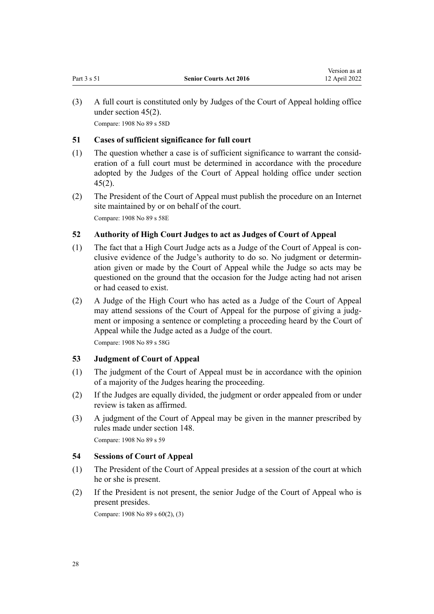<span id="page-27-0"></span>(3) A full court is constituted only by Judges of the Court of Appeal holding office under [section 45\(2\).](#page-24-0) Compare: 1908 No 89 [s 58D](http://legislation.govt.nz/pdflink.aspx?id=DLM146975)

#### **51 Cases of sufficient significance for full court**

- (1) The question whether a case is of sufficient significance to warrant the consid‐ eration of a full court must be determined in accordance with the procedure adopted by the Judges of the Court of Appeal holding office under [section](#page-24-0) [45\(2\)](#page-24-0).
- (2) The President of the Court of Appeal must publish the procedure on an Internet site maintained by or on behalf of the court.

Compare: 1908 No 89 [s 58E](http://legislation.govt.nz/pdflink.aspx?id=DLM146978)

# **52 Authority of High Court Judges to act as Judges of Court of Appeal**

- (1) The fact that a High Court Judge acts as a Judge of the Court of Appeal is con‐ clusive evidence of the Judge's authority to do so. No judgment or determin‐ ation given or made by the Court of Appeal while the Judge so acts may be questioned on the ground that the occasion for the Judge acting had not arisen or had ceased to exist.
- (2) A Judge of the High Court who has acted as a Judge of the Court of Appeal may attend sessions of the Court of Appeal for the purpose of giving a judgment or imposing a sentence or completing a proceeding heard by the Court of Appeal while the Judge acted as a Judge of the court.

Compare: 1908 No 89 [s 58G](http://legislation.govt.nz/pdflink.aspx?id=DLM146982)

# **53 Judgment of Court of Appeal**

- (1) The judgment of the Court of Appeal must be in accordance with the opinion of a majority of the Judges hearing the proceeding.
- (2) If the Judges are equally divided, the judgment or order appealed from or under review is taken as affirmed.
- (3) A judgment of the Court of Appeal may be given in the manner prescribed by rules made under [section 148.](#page-59-0) Compare: 1908 No 89 [s 59](http://legislation.govt.nz/pdflink.aspx?id=DLM146984)

# **54 Sessions of Court of Appeal**

- (1) The President of the Court of Appeal presides at a session of the court at which he or she is present.
- (2) If the President is not present, the senior Judge of the Court of Appeal who is present presides.

Compare: 1908 No 89 [s 60\(2\), \(3\)](http://legislation.govt.nz/pdflink.aspx?id=DLM146991)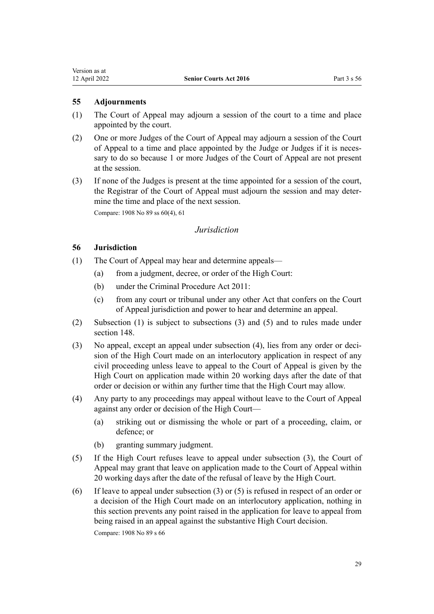<span id="page-28-0"></span>Version as at<br>12 April 2022

- **55 Adjournments**
- (1) The Court of Appeal may adjourn a session of the court to a time and place appointed by the court.
- (2) One or more Judges of the Court of Appeal may adjourn a session of the Court of Appeal to a time and place appointed by the Judge or Judges if it is neces‐ sary to do so because 1 or more Judges of the Court of Appeal are not present at the session.
- (3) If none of the Judges is present at the time appointed for a session of the court, the Registrar of the Court of Appeal must adjourn the session and may deter‐ mine the time and place of the next session.

Compare: 1908 No 89 [ss 60\(4\)](http://legislation.govt.nz/pdflink.aspx?id=DLM146991), [61](http://legislation.govt.nz/pdflink.aspx?id=DLM147300)

## *Jurisdiction*

# **56 Jurisdiction**

- (1) The Court of Appeal may hear and determine appeals—
	- (a) from a judgment, decree, or order of the High Court:
	- (b) under the [Criminal Procedure Act 2011:](http://legislation.govt.nz/pdflink.aspx?id=DLM3359902)
	- (c) from any court or tribunal under any other Act that confers on the Court of Appeal jurisdiction and power to hear and determine an appeal.
- (2) Subsection (1) is subject to subsections (3) and (5) and to rules made under [section 148.](#page-59-0)
- (3) No appeal, except an appeal under subsection (4), lies from any order or decision of the High Court made on an interlocutory application in respect of any civil proceeding unless leave to appeal to the Court of Appeal is given by the High Court on application made within 20 working days after the date of that order or decision or within any further time that the High Court may allow.
- (4) Any party to any proceedings may appeal without leave to the Court of Appeal against any order or decision of the High Court—
	- (a) striking out or dismissing the whole or part of a proceeding, claim, or defence; or
	- (b) granting summary judgment.
- (5) If the High Court refuses leave to appeal under subsection (3), the Court of Appeal may grant that leave on application made to the Court of Appeal within 20 working days after the date of the refusal of leave by the High Court.
- (6) If leave to appeal under subsection (3) or (5) is refused in respect of an order or a decision of the High Court made on an interlocutory application, nothing in this section prevents any point raised in the application for leave to appeal from being raised in an appeal against the substantive High Court decision.

Compare: 1908 No 89 [s 66](http://legislation.govt.nz/pdflink.aspx?id=DLM147320)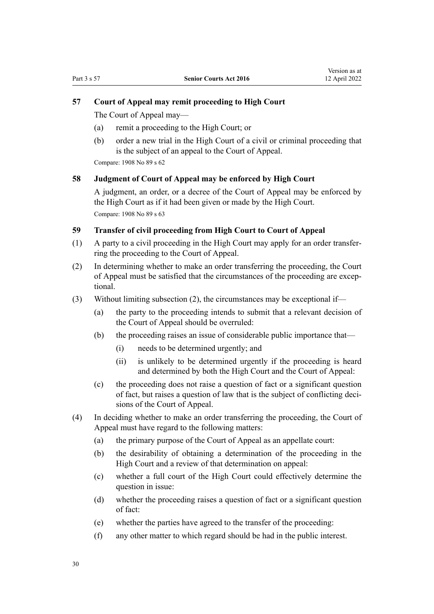#### <span id="page-29-0"></span>**57 Court of Appeal may remit proceeding to High Court**

The Court of Appeal may—

- (a) remit a proceeding to the High Court; or
- (b) order a new trial in the High Court of a civil or criminal proceeding that is the subject of an appeal to the Court of Appeal.

Compare: 1908 No 89 [s 62](http://legislation.govt.nz/pdflink.aspx?id=DLM147307)

#### **58 Judgment of Court of Appeal may be enforced by High Court**

A judgment, an order, or a decree of the Court of Appeal may be enforced by the High Court as if it had been given or made by the High Court. Compare: 1908 No 89 [s 63](http://legislation.govt.nz/pdflink.aspx?id=DLM147309)

## **59 Transfer of civil proceeding from High Court to Court of Appeal**

- (1) A party to a civil proceeding in the High Court may apply for an order transfer‐ ring the proceeding to the Court of Appeal.
- (2) In determining whether to make an order transferring the proceeding, the Court of Appeal must be satisfied that the circumstances of the proceeding are excep‐ tional.
- (3) Without limiting subsection (2), the circumstances may be exceptional if—
	- (a) the party to the proceeding intends to submit that a relevant decision of the Court of Appeal should be overruled:
	- (b) the proceeding raises an issue of considerable public importance that—
		- (i) needs to be determined urgently; and
		- (ii) is unlikely to be determined urgently if the proceeding is heard and determined by both the High Court and the Court of Appeal:
	- (c) the proceeding does not raise a question of fact or a significant question of fact, but raises a question of law that is the subject of conflicting deci‐ sions of the Court of Appeal.
- (4) In deciding whether to make an order transferring the proceeding, the Court of Appeal must have regard to the following matters:
	- (a) the primary purpose of the Court of Appeal as an appellate court:
	- (b) the desirability of obtaining a determination of the proceeding in the High Court and a review of that determination on appeal:
	- (c) whether a full court of the High Court could effectively determine the question in issue:
	- (d) whether the proceeding raises a question of fact or a significant question of fact:
	- (e) whether the parties have agreed to the transfer of the proceeding:
	- (f) any other matter to which regard should be had in the public interest.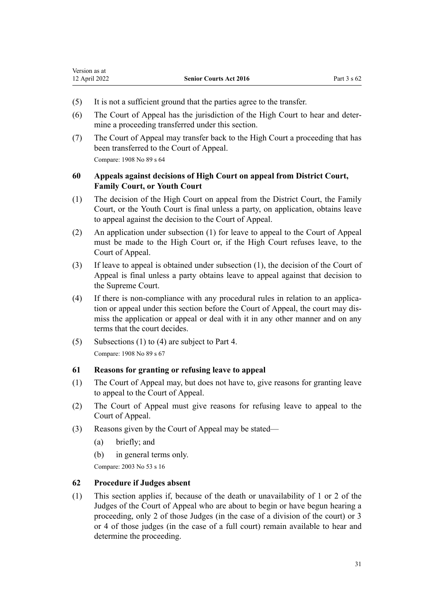- <span id="page-30-0"></span>(5) It is not a sufficient ground that the parties agree to the transfer.
- (6) The Court of Appeal has the jurisdiction of the High Court to hear and deter‐ mine a proceeding transferred under this section.
- (7) The Court of Appeal may transfer back to the High Court a proceeding that has been transferred to the Court of Appeal.

Compare: 1908 No 89 [s 64](http://legislation.govt.nz/pdflink.aspx?id=DLM147313)

# **60 Appeals against decisions of High Court on appeal from District Court, Family Court, or Youth Court**

- (1) The decision of the High Court on appeal from the District Court, the Family Court, or the Youth Court is final unless a party, on application, obtains leave to appeal against the decision to the Court of Appeal.
- (2) An application under subsection (1) for leave to appeal to the Court of Appeal must be made to the High Court or, if the High Court refuses leave, to the Court of Appeal.
- (3) If leave to appeal is obtained under subsection (1), the decision of the Court of Appeal is final unless a party obtains leave to appeal against that decision to the Supreme Court.
- (4) If there is non-compliance with any procedural rules in relation to an applica‐ tion or appeal under this section before the Court of Appeal, the court may dis‐ miss the application or appeal or deal with it in any other manner and on any terms that the court decides.
- (5) Subsections (1) to (4) are subject to [Part 4.](#page-32-0) Compare: 1908 No 89 [s 67](http://legislation.govt.nz/pdflink.aspx?id=DLM147323)

# **61 Reasons for granting or refusing leave to appeal**

- (1) The Court of Appeal may, but does not have to, give reasons for granting leave to appeal to the Court of Appeal.
- (2) The Court of Appeal must give reasons for refusing leave to appeal to the Court of Appeal.
- (3) Reasons given by the Court of Appeal may be stated—
	- (a) briefly; and
	- (b) in general terms only.

Compare: 2003 No 53 [s 16](http://legislation.govt.nz/pdflink.aspx?id=DLM214077)

# **62 Procedure if Judges absent**

(1) This section applies if, because of the death or unavailability of 1 or 2 of the Judges of the Court of Appeal who are about to begin or have begun hearing a proceeding, only 2 of those Judges (in the case of a division of the court) or 3 or 4 of those judges (in the case of a full court) remain available to hear and determine the proceeding.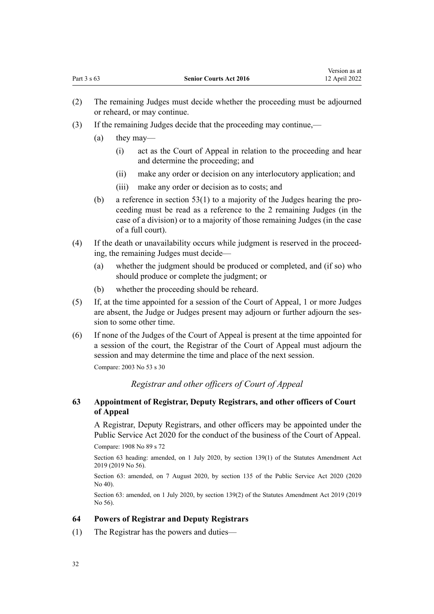- <span id="page-31-0"></span>(2) The remaining Judges must decide whether the proceeding must be adjourned or reheard, or may continue.
- (3) If the remaining Judges decide that the proceeding may continue,—
	- (a) they may—
		- (i) act as the Court of Appeal in relation to the proceeding and hear and determine the proceeding; and
		- (ii) make any order or decision on any interlocutory application; and
		- (iii) make any order or decision as to costs; and
	- (b) a reference in section  $53(1)$  to a majority of the Judges hearing the proceeding must be read as a reference to the 2 remaining Judges (in the case of a division) or to a majority of those remaining Judges (in the case of a full court).
- (4) If the death or unavailability occurs while judgment is reserved in the proceed‐ ing, the remaining Judges must decide—
	- (a) whether the judgment should be produced or completed, and (if so) who should produce or complete the judgment; or
	- (b) whether the proceeding should be reheard.
- (5) If, at the time appointed for a session of the Court of Appeal, 1 or more Judges are absent, the Judge or Judges present may adjourn or further adjourn the session to some other time.
- (6) If none of the Judges of the Court of Appeal is present at the time appointed for a session of the court, the Registrar of the Court of Appeal must adjourn the session and may determine the time and place of the next session.

Compare: 2003 No 53 [s 30](http://legislation.govt.nz/pdflink.aspx?id=DLM214093)

# *Registrar and other officers of Court of Appeal*

## **63 Appointment of Registrar, Deputy Registrars, and other officers of Court of Appeal**

A Registrar, Deputy Registrars, and other officers may be appointed under the [Public Service Act 2020](http://legislation.govt.nz/pdflink.aspx?id=LMS106157) for the conduct of the business of the Court of Appeal.

Compare: 1908 No 89 [s 72](http://legislation.govt.nz/pdflink.aspx?id=DLM147346)

Section 63 heading: amended, on 1 July 2020, by [section 139\(1\)](http://legislation.govt.nz/pdflink.aspx?id=LMS264157) of the Statutes Amendment Act 2019 (2019 No 56).

Section 63: amended, on 7 August 2020, by [section 135](http://legislation.govt.nz/pdflink.aspx?id=LMS176959) of the Public Service Act 2020 (2020 No 40).

Section 63: amended, on 1 July 2020, by [section 139\(2\)](http://legislation.govt.nz/pdflink.aspx?id=LMS264157) of the Statutes Amendment Act 2019 (2019 No 56).

## **64 Powers of Registrar and Deputy Registrars**

(1) The Registrar has the powers and duties—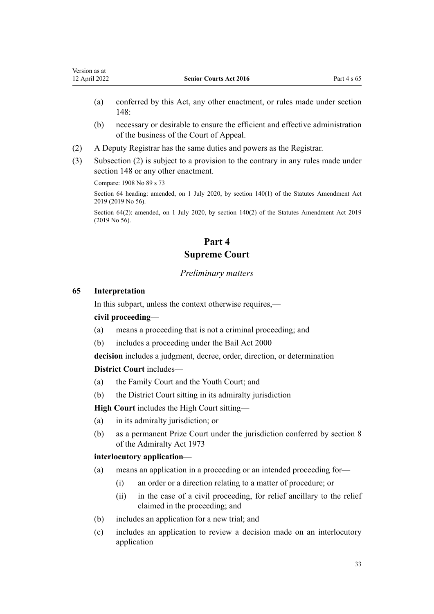- <span id="page-32-0"></span>(a) conferred by this Act, any other enactment, or rules made under [section](#page-59-0) [148](#page-59-0):
- (b) necessary or desirable to ensure the efficient and effective administration of the business of the Court of Appeal.
- (2) A Deputy Registrar has the same duties and powers as the Registrar.
- (3) Subsection (2) is subject to a provision to the contrary in any rules made under [section 148](#page-59-0) or any other enactment.

Compare: 1908 No 89 [s 73](http://legislation.govt.nz/pdflink.aspx?id=DLM147350)

Section 64 heading: amended, on 1 July 2020, by [section 140\(1\)](http://legislation.govt.nz/pdflink.aspx?id=LMS264184) of the Statutes Amendment Act 2019 (2019 No 56).

Section 64(2): amended, on 1 July 2020, by [section 140\(2\)](http://legislation.govt.nz/pdflink.aspx?id=LMS264184) of the Statutes Amendment Act 2019 (2019 No 56).

# **Part 4 Supreme Court**

#### *Preliminary matters*

#### **65 Interpretation**

In this subpart, unless the context otherwise requires,—

# **civil proceeding**—

- (a) means a proceeding that is not a criminal proceeding; and
- (b) includes a proceeding under the [Bail Act 2000](http://legislation.govt.nz/pdflink.aspx?id=DLM68379)

**decision** includes a judgment, decree, order, direction, or determination

**District Court** includes—

- (a) the Family Court and the Youth Court; and
- (b) the District Court sitting in its admiralty jurisdiction

**High Court** includes the High Court sitting—

- (a) in its admiralty jurisdiction; or
- (b) as a permanent Prize Court under the jurisdiction conferred by [section 8](http://legislation.govt.nz/pdflink.aspx?id=DLM411661) of the Admiralty Act 1973

#### **interlocutory application**—

- (a) means an application in a proceeding or an intended proceeding for—
	- (i) an order or a direction relating to a matter of procedure; or
	- (ii) in the case of a civil proceeding, for relief ancillary to the relief claimed in the proceeding; and
- (b) includes an application for a new trial; and
- (c) includes an application to review a decision made on an interlocutory application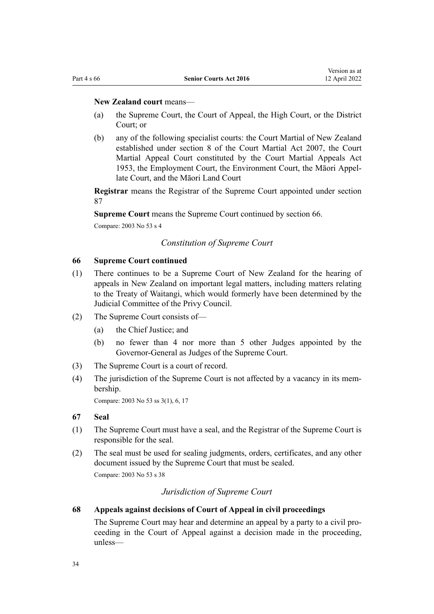#### <span id="page-33-0"></span>**New Zealand court** means—

- (a) the Supreme Court, the Court of Appeal, the High Court, or the District Court; or
- (b) any of the following specialist courts: the Court Martial of New Zealand established under [section 8](http://legislation.govt.nz/pdflink.aspx?id=DLM1001934) of the Court Martial Act 2007, the Court Martial Appeal Court constituted by the [Court Martial Appeals Act](http://legislation.govt.nz/pdflink.aspx?id=DLM282966) [1953](http://legislation.govt.nz/pdflink.aspx?id=DLM282966), the Employment Court, the Environment Court, the Māori Appel‐ late Court, and the Māori Land Court

**Registrar** means the Registrar of the Supreme Court appointed under [section](#page-39-0) [87](#page-39-0)

**Supreme Court** means the Supreme Court continued by section 66.

Compare: 2003 No 53 [s 4](http://legislation.govt.nz/pdflink.aspx?id=DLM214036)

#### *Constitution of Supreme Court*

#### **66 Supreme Court continued**

- (1) There continues to be a Supreme Court of New Zealand for the hearing of appeals in New Zealand on important legal matters, including matters relating to the [Treaty of Waitangi,](http://legislation.govt.nz/pdflink.aspx?id=DLM435834) which would formerly have been determined by the Judicial Committee of the Privy Council.
- (2) The Supreme Court consists of—
	- (a) the Chief Justice; and
	- (b) no fewer than 4 nor more than 5 other Judges appointed by the Governor-General as Judges of the Supreme Court.
- (3) The Supreme Court is a court of record.
- (4) The jurisdiction of the Supreme Court is not affected by a vacancy in its mem‐ bership.

Compare: 2003 No 53 [ss 3\(1\),](http://legislation.govt.nz/pdflink.aspx?id=DLM214035) [6,](http://legislation.govt.nz/pdflink.aspx?id=DLM214066) [17](http://legislation.govt.nz/pdflink.aspx?id=DLM214079)

#### **67 Seal**

- (1) The Supreme Court must have a seal, and the Registrar of the Supreme Court is responsible for the seal.
- (2) The seal must be used for sealing judgments, orders, certificates, and any other document issued by the Supreme Court that must be sealed. Compare: 2003 No 53 [s 38](http://legislation.govt.nz/pdflink.aspx?id=DLM214502)

## *Jurisdiction of Supreme Court*

#### **68 Appeals against decisions of Court of Appeal in civil proceedings**

The Supreme Court may hear and determine an appeal by a party to a civil proceeding in the Court of Appeal against a decision made in the proceeding, unless—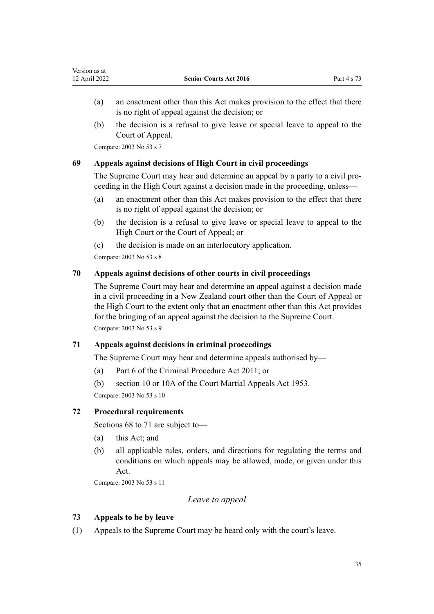- <span id="page-34-0"></span>(a) an enactment other than this Act makes provision to the effect that there is no right of appeal against the decision; or
- (b) the decision is a refusal to give leave or special leave to appeal to the Court of Appeal.

Compare: 2003 No 53 [s 7](http://legislation.govt.nz/pdflink.aspx?id=DLM214067)

# **69 Appeals against decisions of High Court in civil proceedings**

The Supreme Court may hear and determine an appeal by a party to a civil proceeding in the High Court against a decision made in the proceeding, unless—

- (a) an enactment other than this Act makes provision to the effect that there is no right of appeal against the decision; or
- (b) the decision is a refusal to give leave or special leave to appeal to the High Court or the Court of Appeal; or
- (c) the decision is made on an interlocutory application.

Compare: 2003 No 53 [s 8](http://legislation.govt.nz/pdflink.aspx?id=DLM214068)

# **70 Appeals against decisions of other courts in civil proceedings**

The Supreme Court may hear and determine an appeal against a decision made in a civil proceeding in a New Zealand court other than the Court of Appeal or the High Court to the extent only that an enactment other than this Act provides for the bringing of an appeal against the decision to the Supreme Court. Compare: 2003 No 53 [s 9](http://legislation.govt.nz/pdflink.aspx?id=DLM214069)

# **71 Appeals against decisions in criminal proceedings**

The Supreme Court may hear and determine appeals authorised by—

- (a) [Part 6](http://legislation.govt.nz/pdflink.aspx?id=DLM3360366) of the Criminal Procedure Act 2011; or
- (b) [section 10](http://legislation.govt.nz/pdflink.aspx?id=DLM283262) or [10A](http://legislation.govt.nz/pdflink.aspx?id=DLM283267) of the Court Martial Appeals Act 1953.

Compare: 2003 No 53 [s 10](http://legislation.govt.nz/pdflink.aspx?id=DLM214070)

# **72 Procedural requirements**

[Sections 68 to 71](#page-33-0) are subject to—

- (a) this Act; and
- (b) all applicable rules, orders, and directions for regulating the terms and conditions on which appeals may be allowed, made, or given under this Act.

Compare: 2003 No 53 [s 11](http://legislation.govt.nz/pdflink.aspx?id=DLM214071)

# *Leave to appeal*

# **73 Appeals to be by leave**

(1) Appeals to the Supreme Court may be heard only with the court's leave.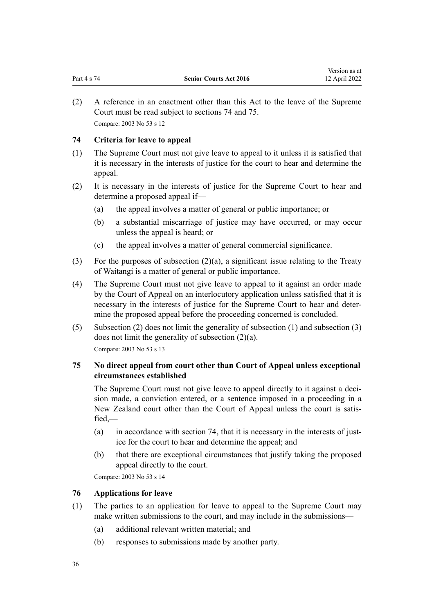<span id="page-35-0"></span>(2) A reference in an enactment other than this Act to the leave of the Supreme Court must be read subject to sections 74 and 75. Compare: 2003 No 53 [s 12](http://legislation.govt.nz/pdflink.aspx?id=DLM214073)

# **74 Criteria for leave to appeal**

- (1) The Supreme Court must not give leave to appeal to it unless it is satisfied that it is necessary in the interests of justice for the court to hear and determine the appeal.
- (2) It is necessary in the interests of justice for the Supreme Court to hear and determine a proposed appeal if—
	- (a) the appeal involves a matter of general or public importance; or
	- (b) a substantial miscarriage of justice may have occurred, or may occur unless the appeal is heard; or
	- (c) the appeal involves a matter of general commercial significance.
- (3) For the purposes of subsection  $(2)(a)$ , a significant issue relating to the [Treaty](http://legislation.govt.nz/pdflink.aspx?id=DLM435834) [of Waitangi](http://legislation.govt.nz/pdflink.aspx?id=DLM435834) is a matter of general or public importance.
- (4) The Supreme Court must not give leave to appeal to it against an order made by the Court of Appeal on an interlocutory application unless satisfied that it is necessary in the interests of justice for the Supreme Court to hear and deter‐ mine the proposed appeal before the proceeding concerned is concluded.
- (5) Subsection (2) does not limit the generality of subsection (1) and subsection (3) does not limit the generality of subsection (2)(a). Compare: 2003 No 53 [s 13](http://legislation.govt.nz/pdflink.aspx?id=DLM214074)

# **75 No direct appeal from court other than Court of Appeal unless exceptional circumstances established**

The Supreme Court must not give leave to appeal directly to it against a decision made, a conviction entered, or a sentence imposed in a proceeding in a New Zealand court other than the Court of Appeal unless the court is satisfied,—

- (a) in accordance with section 74, that it is necessary in the interests of justice for the court to hear and determine the appeal; and
- (b) that there are exceptional circumstances that justify taking the proposed appeal directly to the court.

Compare: 2003 No 53 [s 14](http://legislation.govt.nz/pdflink.aspx?id=DLM214075)

#### **76 Applications for leave**

- (1) The parties to an application for leave to appeal to the Supreme Court may make written submissions to the court, and may include in the submissions—
	- (a) additional relevant written material; and
	- (b) responses to submissions made by another party.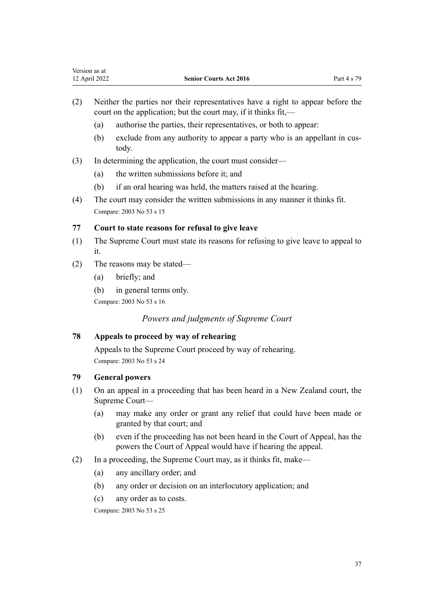- (2) Neither the parties nor their representatives have a right to appear before the court on the application; but the court may, if it thinks fit,—
	- (a) authorise the parties, their representatives, or both to appear:
	- (b) exclude from any authority to appear a party who is an appellant in custody.
- (3) In determining the application, the court must consider—
	- (a) the written submissions before it; and
	- (b) if an oral hearing was held, the matters raised at the hearing.
- (4) The court may consider the written submissions in any manner it thinks fit. Compare: 2003 No 53 [s 15](http://legislation.govt.nz/pdflink.aspx?id=DLM214076)

## **77 Court to state reasons for refusal to give leave**

- (1) The Supreme Court must state its reasons for refusing to give leave to appeal to it.
- (2) The reasons may be stated—
	- (a) briefly; and
	- (b) in general terms only.

Compare: 2003 No 53 [s 16](http://legislation.govt.nz/pdflink.aspx?id=DLM214077)

*Powers and judgments of Supreme Court*

# **78 Appeals to proceed by way of rehearing**

Appeals to the Supreme Court proceed by way of rehearing. Compare: 2003 No 53 [s 24](http://legislation.govt.nz/pdflink.aspx?id=DLM214087)

# **79 General powers**

- (1) On an appeal in a proceeding that has been heard in a New Zealand court, the Supreme Court—
	- (a) may make any order or grant any relief that could have been made or granted by that court; and
	- (b) even if the proceeding has not been heard in the Court of Appeal, has the powers the Court of Appeal would have if hearing the appeal.
- (2) In a proceeding, the Supreme Court may, as it thinks fit, make—
	- (a) any ancillary order; and
	- (b) any order or decision on an interlocutory application; and
	- (c) any order as to costs.

Compare: 2003 No 53 [s 25](http://legislation.govt.nz/pdflink.aspx?id=DLM214088)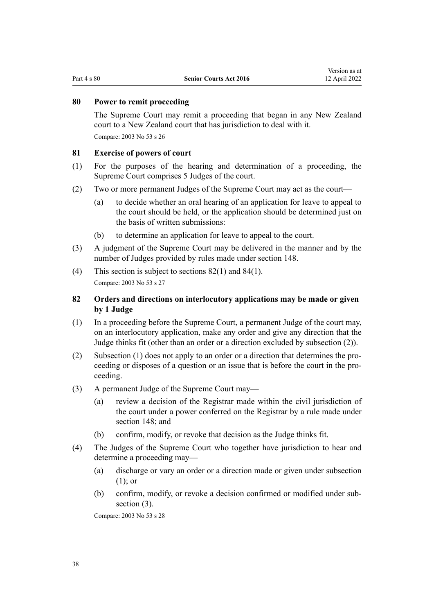#### **80 Power to remit proceeding**

The Supreme Court may remit a proceeding that began in any New Zealand court to a New Zealand court that has jurisdiction to deal with it. Compare: 2003 No 53 [s 26](http://legislation.govt.nz/pdflink.aspx?id=DLM214089)

#### **81 Exercise of powers of court**

- (1) For the purposes of the hearing and determination of a proceeding, the Supreme Court comprises 5 Judges of the court.
- (2) Two or more permanent Judges of the Supreme Court may act as the court—
	- (a) to decide whether an oral hearing of an application for leave to appeal to the court should be held, or the application should be determined just on the basis of written submissions:
	- (b) to determine an application for leave to appeal to the court.
- (3) A judgment of the Supreme Court may be delivered in the manner and by the number of Judges provided by rules made under [section 148.](#page-59-0)
- (4) This section is subject to sections 82(1) and [84\(1\).](#page-38-0) Compare: 2003 No 53 [s 27](http://legislation.govt.nz/pdflink.aspx?id=DLM214090)

# **82 Orders and directions on interlocutory applications may be made or given by 1 Judge**

- (1) In a proceeding before the Supreme Court, a permanent Judge of the court may, on an interlocutory application, make any order and give any direction that the Judge thinks fit (other than an order or a direction excluded by subsection (2)).
- (2) Subsection (1) does not apply to an order or a direction that determines the pro‐ ceeding or disposes of a question or an issue that is before the court in the proceeding.
- (3) A permanent Judge of the Supreme Court may—
	- (a) review a decision of the Registrar made within the civil jurisdiction of the court under a power conferred on the Registrar by a rule made under [section 148;](#page-59-0) and
	- (b) confirm, modify, or revoke that decision as the Judge thinks fit.
- (4) The Judges of the Supreme Court who together have jurisdiction to hear and determine a proceeding may—
	- (a) discharge or vary an order or a direction made or given under subsection (1); or
	- (b) confirm, modify, or revoke a decision confirmed or modified under sub‐ section  $(3)$ .

Compare: 2003 No 53 [s 28](http://legislation.govt.nz/pdflink.aspx?id=DLM214091)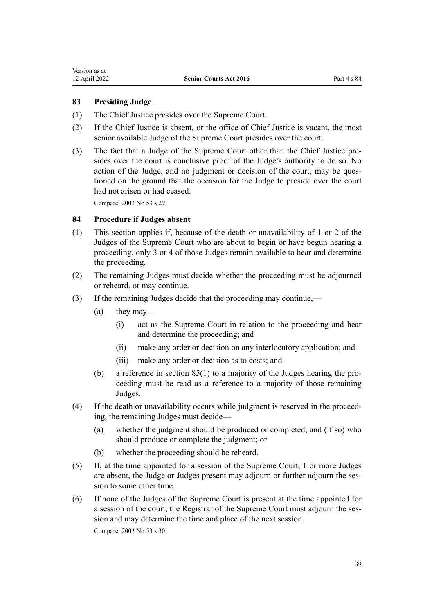# <span id="page-38-0"></span>**83 Presiding Judge**

- (1) The Chief Justice presides over the Supreme Court.
- (2) If the Chief Justice is absent, or the office of Chief Justice is vacant, the most senior available Judge of the Supreme Court presides over the court.
- (3) The fact that a Judge of the Supreme Court other than the Chief Justice pre‐ sides over the court is conclusive proof of the Judge's authority to do so. No action of the Judge, and no judgment or decision of the court, may be questioned on the ground that the occasion for the Judge to preside over the court had not arisen or had ceased.

Compare: 2003 No 53 [s 29](http://legislation.govt.nz/pdflink.aspx?id=DLM214092)

# **84 Procedure if Judges absent**

- (1) This section applies if, because of the death or unavailability of 1 or 2 of the Judges of the Supreme Court who are about to begin or have begun hearing a proceeding, only 3 or 4 of those Judges remain available to hear and determine the proceeding.
- (2) The remaining Judges must decide whether the proceeding must be adjourned or reheard, or may continue.
- (3) If the remaining Judges decide that the proceeding may continue,—
	- (a) they may—
		- (i) act as the Supreme Court in relation to the proceeding and hear and determine the proceeding; and
		- (ii) make any order or decision on any interlocutory application; and
		- (iii) make any order or decision as to costs; and
	- (b) a reference in section  $85(1)$  to a majority of the Judges hearing the proceeding must be read as a reference to a majority of those remaining Judges.
- (4) If the death or unavailability occurs while judgment is reserved in the proceed‐ ing, the remaining Judges must decide—
	- (a) whether the judgment should be produced or completed, and (if so) who should produce or complete the judgment; or
	- (b) whether the proceeding should be reheard.
- (5) If, at the time appointed for a session of the Supreme Court, 1 or more Judges are absent, the Judge or Judges present may adjourn or further adjourn the session to some other time.
- (6) If none of the Judges of the Supreme Court is present at the time appointed for a session of the court, the Registrar of the Supreme Court must adjourn the session and may determine the time and place of the next session.

Compare: 2003 No 53 [s 30](http://legislation.govt.nz/pdflink.aspx?id=DLM214093)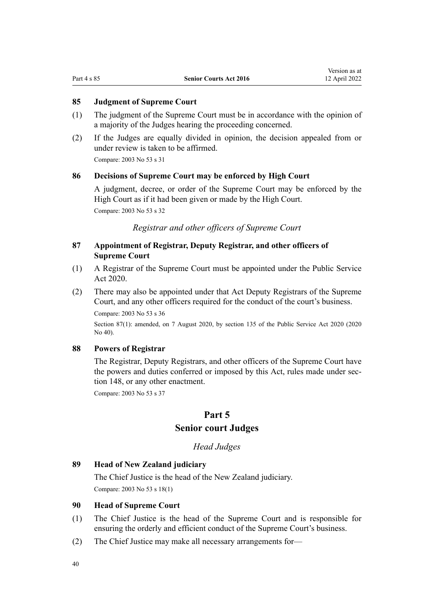# <span id="page-39-0"></span>**85 Judgment of Supreme Court**

- (1) The judgment of the Supreme Court must be in accordance with the opinion of a majority of the Judges hearing the proceeding concerned.
- (2) If the Judges are equally divided in opinion, the decision appealed from or under review is taken to be affirmed.

Compare: 2003 No 53 [s 31](http://legislation.govt.nz/pdflink.aspx?id=DLM214094)

#### **86 Decisions of Supreme Court may be enforced by High Court**

A judgment, decree, or order of the Supreme Court may be enforced by the High Court as if it had been given or made by the High Court.

Compare: 2003 No 53 [s 32](http://legislation.govt.nz/pdflink.aspx?id=DLM214095)

*Registrar and other officers of Supreme Court*

# **87 Appointment of Registrar, Deputy Registrar, and other officers of Supreme Court**

- (1) A Registrar of the Supreme Court must be appointed under the [Public Service](http://legislation.govt.nz/pdflink.aspx?id=LMS106157) [Act 2020.](http://legislation.govt.nz/pdflink.aspx?id=LMS106157)
- (2) There may also be appointed under that Act Deputy Registrars of the Supreme Court, and any other officers required for the conduct of the court's business.

Compare: 2003 No 53 [s 36](http://legislation.govt.nz/pdflink.aspx?id=DLM214500)

Section 87(1): amended, on 7 August 2020, by [section 135](http://legislation.govt.nz/pdflink.aspx?id=LMS176959) of the Public Service Act 2020 (2020) No 40).

## **88 Powers of Registrar**

The Registrar, Deputy Registrars, and other officers of the Supreme Court have the powers and duties conferred or imposed by this Act, rules made under sec[tion 148](#page-59-0), or any other enactment.

Compare: 2003 No 53 [s 37](http://legislation.govt.nz/pdflink.aspx?id=DLM214501)

# **Part 5 Senior court Judges**

*Head Judges*

# **89 Head of New Zealand judiciary**

The Chief Justice is the head of the New Zealand judiciary. Compare: 2003 No 53 [s 18\(1\)](http://legislation.govt.nz/pdflink.aspx?id=DLM214080)

## **90 Head of Supreme Court**

- (1) The Chief Justice is the head of the Supreme Court and is responsible for ensuring the orderly and efficient conduct of the Supreme Court's business.
- (2) The Chief Justice may make all necessary arrangements for—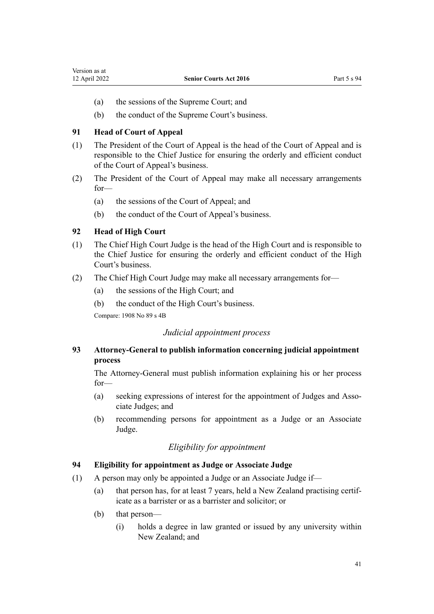- <span id="page-40-0"></span>(a) the sessions of the Supreme Court; and
- (b) the conduct of the Supreme Court's business.

# **91 Head of Court of Appeal**

- (1) The President of the Court of Appeal is the head of the Court of Appeal and is responsible to the Chief Justice for ensuring the orderly and efficient conduct of the Court of Appeal's business.
- (2) The President of the Court of Appeal may make all necessary arrangements for—
	- (a) the sessions of the Court of Appeal; and
	- (b) the conduct of the Court of Appeal's business.

# **92 Head of High Court**

- (1) The Chief High Court Judge is the head of the High Court and is responsible to the Chief Justice for ensuring the orderly and efficient conduct of the High Court's business.
- (2) The Chief High Court Judge may make all necessary arrangements for—
	- (a) the sessions of the High Court; and
	- (b) the conduct of the High Court's business.

Compare: 1908 No 89 [s 4B](http://legislation.govt.nz/pdflink.aspx?id=DLM145569)

# *Judicial appointment process*

# **93 Attorney-General to publish information concerning judicial appointment process**

The Attorney-General must publish information explaining his or her process for—

- (a) seeking expressions of interest for the appointment of Judges and Associate Judges; and
- (b) recommending persons for appointment as a Judge or an Associate Judge.

# *Eligibility for appointment*

## **94 Eligibility for appointment as Judge or Associate Judge**

- (1) A person may only be appointed a Judge or an Associate Judge if—
	- (a) that person has, for at least 7 years, held a New Zealand practising certif‐ icate as a barrister or as a barrister and solicitor; or
	- (b) that person—
		- (i) holds a degree in law granted or issued by any university within New Zealand; and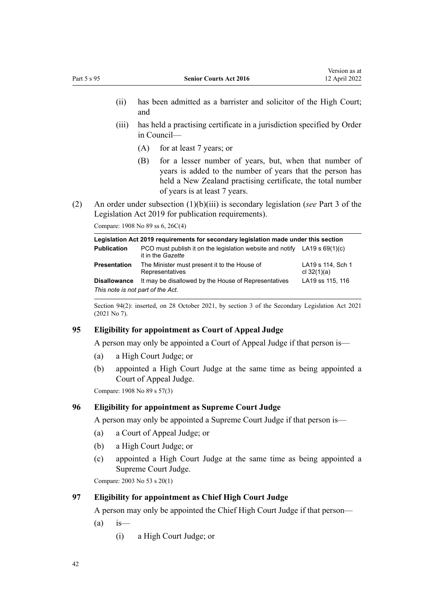- (ii) has been admitted as a barrister and solicitor of the High Court; and
- (iii) has held a practising certificate in a jurisdiction specified by Order in Council—
	- (A) for at least 7 years; or
	- (B) for a lesser number of years, but, when that number of years is added to the number of years that the person has held a New Zealand practising certificate, the total number of years is at least 7 years.
- (2) An order under subsection (1)(b)(iii) is secondary legislation (*see* [Part 3](http://legislation.govt.nz/pdflink.aspx?id=DLM7298343) of the Legislation Act 2019 for publication requirements).

Compare: 1908 No 89 [ss 6](http://legislation.govt.nz/pdflink.aspx?id=DLM145576), [26C\(4\)](http://legislation.govt.nz/pdflink.aspx?id=DLM146026)

| Legislation Act 2019 reguirements for secondary legislation made under this section |                                                                                                  |                                    |  |
|-------------------------------------------------------------------------------------|--------------------------------------------------------------------------------------------------|------------------------------------|--|
| <b>Publication</b>                                                                  | PCO must publish it on the legislation website and notify LA19 s $69(1)(c)$<br>it in the Gazette |                                    |  |
| Presentation                                                                        | The Minister must present it to the House of<br>Representatives                                  | LA19 s 114, Sch 1<br>cl $32(1)(a)$ |  |
| Disallowance                                                                        | It may be disallowed by the House of Representatives                                             | LA19 ss 115, 116                   |  |
| This note is not part of the Act.                                                   |                                                                                                  |                                    |  |

Section 94(2): inserted, on 28 October 2021, by [section 3](http://legislation.govt.nz/pdflink.aspx?id=LMS268932) of the Secondary Legislation Act 2021 (2021 No 7).

## **95 Eligibility for appointment as Court of Appeal Judge**

A person may only be appointed a Court of Appeal Judge if that person is—

- (a) a High Court Judge; or
- (b) appointed a High Court Judge at the same time as being appointed a Court of Appeal Judge.

Compare: 1908 No 89 [s 57\(3\)](http://legislation.govt.nz/pdflink.aspx?id=DLM146928)

## **96 Eligibility for appointment as Supreme Court Judge**

A person may only be appointed a Supreme Court Judge if that person is—

- (a) a Court of Appeal Judge; or
- (b) a High Court Judge; or
- (c) appointed a High Court Judge at the same time as being appointed a Supreme Court Judge.

Compare: 2003 No 53 [s 20\(1\)](http://legislation.govt.nz/pdflink.aspx?id=DLM214082)

#### **97 Eligibility for appointment as Chief High Court Judge**

A person may only be appointed the Chief High Court Judge if that person—

- $(a)$  is—
	- (i) a High Court Judge; or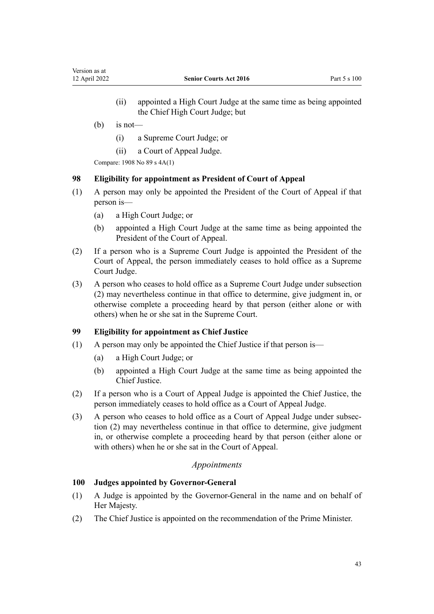- (ii) appointed a High Court Judge at the same time as being appointed the Chief High Court Judge; but
- $(b)$  is not—
	- (i) a Supreme Court Judge; or
	- (ii) a Court of Appeal Judge.

Compare: 1908 No 89 [s 4A\(1\)](http://legislation.govt.nz/pdflink.aspx?id=DLM145567)

#### **98 Eligibility for appointment as President of Court of Appeal**

- (1) A person may only be appointed the President of the Court of Appeal if that person is—
	- (a) a High Court Judge; or
	- (b) appointed a High Court Judge at the same time as being appointed the President of the Court of Appeal.
- (2) If a person who is a Supreme Court Judge is appointed the President of the Court of Appeal, the person immediately ceases to hold office as a Supreme Court Judge.
- (3) A person who ceases to hold office as a Supreme Court Judge under subsection (2) may nevertheless continue in that office to determine, give judgment in, or otherwise complete a proceeding heard by that person (either alone or with others) when he or she sat in the Supreme Court.

# **99 Eligibility for appointment as Chief Justice**

- (1) A person may only be appointed the Chief Justice if that person is—
	- (a) a High Court Judge; or
	- (b) appointed a High Court Judge at the same time as being appointed the Chief Justice.
- (2) If a person who is a Court of Appeal Judge is appointed the Chief Justice, the person immediately ceases to hold office as a Court of Appeal Judge.
- (3) A person who ceases to hold office as a Court of Appeal Judge under subsec‐ tion (2) may nevertheless continue in that office to determine, give judgment in, or otherwise complete a proceeding heard by that person (either alone or with others) when he or she sat in the Court of Appeal.

# *Appointments*

# **100 Judges appointed by Governor-General**

- (1) A Judge is appointed by the Governor-General in the name and on behalf of Her Majesty.
- (2) The Chief Justice is appointed on the recommendation of the Prime Minister.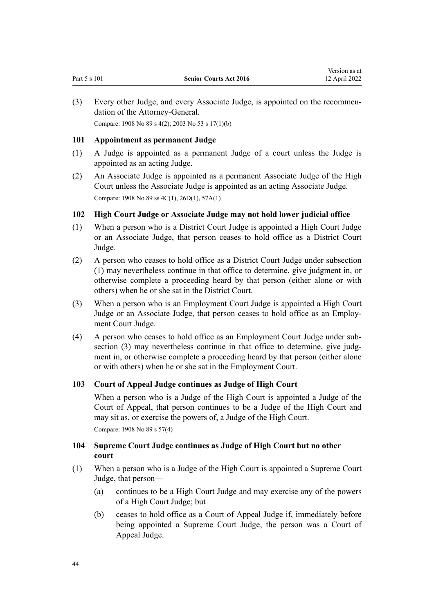<span id="page-43-0"></span>(3) Every other Judge, and every Associate Judge, is appointed on the recommen‐ dation of the Attorney-General. Compare: 1908 No 89 [s 4\(2\)](http://legislation.govt.nz/pdflink.aspx?id=DLM145542); 2003 No 53 [s 17\(1\)\(b\)](http://legislation.govt.nz/pdflink.aspx?id=DLM214079)

## **101 Appointment as permanent Judge**

- (1) A Judge is appointed as a permanent Judge of a court unless the Judge is appointed as an acting Judge.
- (2) An Associate Judge is appointed as a permanent Associate Judge of the High Court unless the Associate Judge is appointed as an acting Associate Judge. Compare: 1908 No 89 [ss 4C\(1\),](http://legislation.govt.nz/pdflink.aspx?id=DLM145571) [26D\(1\)](http://legislation.govt.nz/pdflink.aspx?id=DLM146030), [57A\(1\)](http://legislation.govt.nz/pdflink.aspx?id=DLM146947)

# **102 High Court Judge or Associate Judge may not hold lower judicial office**

- (1) When a person who is a District Court Judge is appointed a High Court Judge or an Associate Judge, that person ceases to hold office as a District Court Judge.
- (2) A person who ceases to hold office as a District Court Judge under subsection (1) may nevertheless continue in that office to determine, give judgment in, or otherwise complete a proceeding heard by that person (either alone or with others) when he or she sat in the District Court.
- (3) When a person who is an Employment Court Judge is appointed a High Court Judge or an Associate Judge, that person ceases to hold office as an Employ‐ ment Court Judge.
- (4) A person who ceases to hold office as an Employment Court Judge under sub‐ section (3) may nevertheless continue in that office to determine, give judgment in, or otherwise complete a proceeding heard by that person (either alone or with others) when he or she sat in the Employment Court.

## **103 Court of Appeal Judge continues as Judge of High Court**

When a person who is a Judge of the High Court is appointed a Judge of the Court of Appeal, that person continues to be a Judge of the High Court and may sit as, or exercise the powers of, a Judge of the High Court.

Compare: 1908 No 89 [s 57\(4\)](http://legislation.govt.nz/pdflink.aspx?id=DLM146928)

# **104 Supreme Court Judge continues as Judge of High Court but no other court**

- (1) When a person who is a Judge of the High Court is appointed a Supreme Court Judge, that person—
	- (a) continues to be a High Court Judge and may exercise any of the powers of a High Court Judge; but
	- (b) ceases to hold office as a Court of Appeal Judge if, immediately before being appointed a Supreme Court Judge, the person was a Court of Appeal Judge.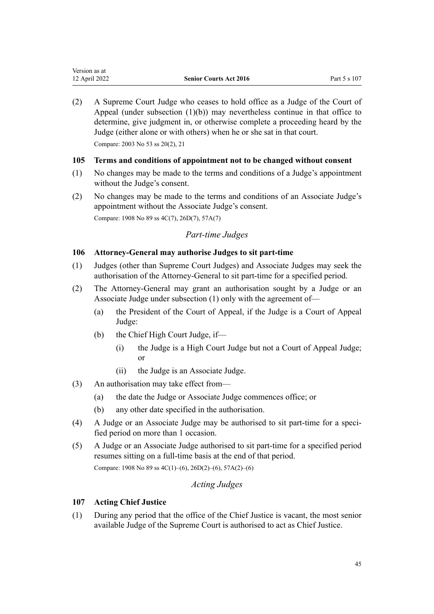<span id="page-44-0"></span>(2) A Supreme Court Judge who ceases to hold office as a Judge of the Court of Appeal (under subsection  $(1)(b)$ ) may nevertheless continue in that office to determine, give judgment in, or otherwise complete a proceeding heard by the Judge (either alone or with others) when he or she sat in that court.

Compare: 2003 No 53 [ss 20\(2\)](http://legislation.govt.nz/pdflink.aspx?id=DLM214082), [21](http://legislation.govt.nz/pdflink.aspx?id=DLM214083)

# **105 Terms and conditions of appointment not to be changed without consent**

- (1) No changes may be made to the terms and conditions of a Judge's appointment without the Judge's consent.
- (2) No changes may be made to the terms and conditions of an Associate Judge's appointment without the Associate Judge's consent. Compare: 1908 No 89 [ss 4C\(7\),](http://legislation.govt.nz/pdflink.aspx?id=DLM145571) [26D\(7\)](http://legislation.govt.nz/pdflink.aspx?id=DLM146030), [57A\(7\)](http://legislation.govt.nz/pdflink.aspx?id=DLM146947)

# *Part-time Judges*

# **106 Attorney-General may authorise Judges to sit part-time**

- (1) Judges (other than Supreme Court Judges) and Associate Judges may seek the authorisation of the Attorney-General to sit part-time for a specified period.
- (2) The Attorney-General may grant an authorisation sought by a Judge or an Associate Judge under subsection (1) only with the agreement of—
	- (a) the President of the Court of Appeal, if the Judge is a Court of Appeal Judge:
	- (b) the Chief High Court Judge, if—
		- (i) the Judge is a High Court Judge but not a Court of Appeal Judge; or
		- (ii) the Judge is an Associate Judge.
- (3) An authorisation may take effect from—
	- (a) the date the Judge or Associate Judge commences office; or
	- (b) any other date specified in the authorisation.
- (4) A Judge or an Associate Judge may be authorised to sit part-time for a speci‐ fied period on more than 1 occasion.
- (5) A Judge or an Associate Judge authorised to sit part-time for a specified period resumes sitting on a full-time basis at the end of that period.

Compare: 1908 No 89 [ss 4C\(1\)–\(6\),](http://legislation.govt.nz/pdflink.aspx?id=DLM145571) [26D\(2\)–\(6\)](http://legislation.govt.nz/pdflink.aspx?id=DLM146030), [57A\(2\)–\(6\)](http://legislation.govt.nz/pdflink.aspx?id=DLM146947)

# *Acting Judges*

# **107 Acting Chief Justice**

(1) During any period that the office of the Chief Justice is vacant, the most senior available Judge of the Supreme Court is authorised to act as Chief Justice.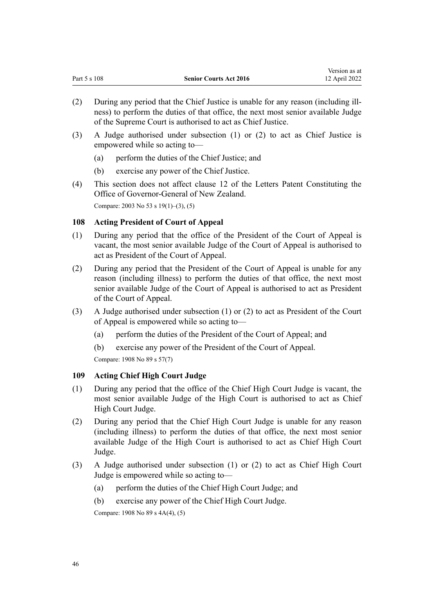Version as at

- <span id="page-45-0"></span>(2) During any period that the Chief Justice is unable for any reason (including ill‐ ness) to perform the duties of that office, the next most senior available Judge of the Supreme Court is authorised to act as Chief Justice.
- (3) A Judge authorised under subsection (1) or (2) to act as Chief Justice is empowered while so acting to—
	- (a) perform the duties of the Chief Justice; and
	- (b) exercise any power of the Chief Justice.
- (4) This section does not affect [clause 12](http://legislation.govt.nz/pdflink.aspx?id=DLM3967713) of the Letters Patent Constituting the Office of Governor-General of New Zealand. Compare: 2003 No 53 [s 19\(1\)–\(3\), \(5\)](http://legislation.govt.nz/pdflink.aspx?id=DLM214081)

# **108 Acting President of Court of Appeal**

- (1) During any period that the office of the President of the Court of Appeal is vacant, the most senior available Judge of the Court of Appeal is authorised to act as President of the Court of Appeal.
- (2) During any period that the President of the Court of Appeal is unable for any reason (including illness) to perform the duties of that office, the next most senior available Judge of the Court of Appeal is authorised to act as President of the Court of Appeal.
- (3) A Judge authorised under subsection (1) or (2) to act as President of the Court of Appeal is empowered while so acting to—
	- (a) perform the duties of the President of the Court of Appeal; and
	- (b) exercise any power of the President of the Court of Appeal.
	- Compare: 1908 No 89 [s 57\(7\)](http://legislation.govt.nz/pdflink.aspx?id=DLM146928)

# **109 Acting Chief High Court Judge**

- (1) During any period that the office of the Chief High Court Judge is vacant, the most senior available Judge of the High Court is authorised to act as Chief High Court Judge.
- (2) During any period that the Chief High Court Judge is unable for any reason (including illness) to perform the duties of that office, the next most senior available Judge of the High Court is authorised to act as Chief High Court Judge.
- (3) A Judge authorised under subsection (1) or (2) to act as Chief High Court Judge is empowered while so acting to—
	- (a) perform the duties of the Chief High Court Judge; and
	- (b) exercise any power of the Chief High Court Judge.

Compare: 1908 No 89 [s 4A\(4\), \(5\)](http://legislation.govt.nz/pdflink.aspx?id=DLM145567)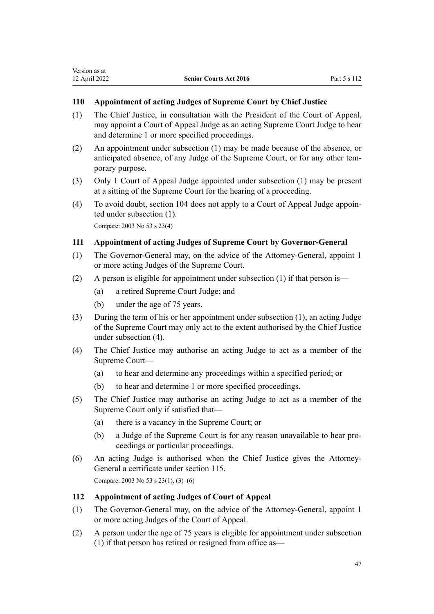# <span id="page-46-0"></span>**110 Appointment of acting Judges of Supreme Court by Chief Justice**

- (1) The Chief Justice, in consultation with the President of the Court of Appeal, may appoint a Court of Appeal Judge as an acting Supreme Court Judge to hear and determine 1 or more specified proceedings.
- (2) An appointment under subsection (1) may be made because of the absence, or anticipated absence, of any Judge of the Supreme Court, or for any other tem‐ porary purpose.
- (3) Only 1 Court of Appeal Judge appointed under subsection (1) may be present at a sitting of the Supreme Court for the hearing of a proceeding.
- (4) To avoid doubt, [section 104](#page-43-0) does not apply to a Court of Appeal Judge appoin‐ ted under subsection (1). Compare: 2003 No 53 [s 23\(4\)](http://legislation.govt.nz/pdflink.aspx?id=DLM214085)

# **111 Appointment of acting Judges of Supreme Court by Governor-General**

- (1) The Governor-General may, on the advice of the Attorney-General, appoint 1 or more acting Judges of the Supreme Court.
- (2) A person is eligible for appointment under subsection (1) if that person is—
	- (a) a retired Supreme Court Judge; and
	- (b) under the age of 75 years.
- (3) During the term of his or her appointment under subsection (1), an acting Judge of the Supreme Court may only act to the extent authorised by the Chief Justice under subsection (4).
- (4) The Chief Justice may authorise an acting Judge to act as a member of the Supreme Court—
	- (a) to hear and determine any proceedings within a specified period; or
	- (b) to hear and determine 1 or more specified proceedings.
- (5) The Chief Justice may authorise an acting Judge to act as a member of the Supreme Court only if satisfied that—
	- (a) there is a vacancy in the Supreme Court; or
	- (b) a Judge of the Supreme Court is for any reason unavailable to hear pro‐ ceedings or particular proceedings.
- (6) An acting Judge is authorised when the Chief Justice gives the Attorney-General a certificate under [section 115.](#page-48-0) Compare: 2003 No 53 [s 23\(1\), \(3\)–\(6\)](http://legislation.govt.nz/pdflink.aspx?id=DLM214085)

## **112 Appointment of acting Judges of Court of Appeal**

- (1) The Governor-General may, on the advice of the Attorney-General, appoint 1 or more acting Judges of the Court of Appeal.
- (2) A person under the age of 75 years is eligible for appointment under subsection (1) if that person has retired or resigned from office as—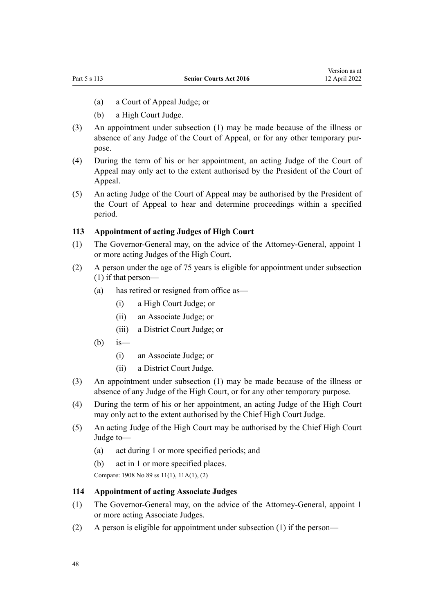- <span id="page-47-0"></span>(a) a Court of Appeal Judge; or
- (b) a High Court Judge.
- (3) An appointment under subsection (1) may be made because of the illness or absence of any Judge of the Court of Appeal, or for any other temporary pur‐ pose.
- (4) During the term of his or her appointment, an acting Judge of the Court of Appeal may only act to the extent authorised by the President of the Court of Appeal.
- (5) An acting Judge of the Court of Appeal may be authorised by the President of the Court of Appeal to hear and determine proceedings within a specified period.

# **113 Appointment of acting Judges of High Court**

- (1) The Governor-General may, on the advice of the Attorney-General, appoint 1 or more acting Judges of the High Court.
- (2) A person under the age of 75 years is eligible for appointment under subsection (1) if that person—
	- (a) has retired or resigned from office as—
		- (i) a High Court Judge; or
		- (ii) an Associate Judge; or
		- (iii) a District Court Judge; or
	- $(b)$  is
		- (i) an Associate Judge; or
		- (ii) a District Court Judge.
- (3) An appointment under subsection (1) may be made because of the illness or absence of any Judge of the High Court, or for any other temporary purpose.
- (4) During the term of his or her appointment, an acting Judge of the High Court may only act to the extent authorised by the Chief High Court Judge.
- (5) An acting Judge of the High Court may be authorised by the Chief High Court Judge to—
	- (a) act during 1 or more specified periods; and
	- (b) act in 1 or more specified places.

Compare: 1908 No 89 [ss 11\(1\)](http://legislation.govt.nz/pdflink.aspx?id=DLM145594), [11A\(1\), \(2\)](http://legislation.govt.nz/pdflink.aspx?id=DLM145701)

# **114 Appointment of acting Associate Judges**

- (1) The Governor-General may, on the advice of the Attorney-General, appoint 1 or more acting Associate Judges.
- (2) A person is eligible for appointment under subsection (1) if the person—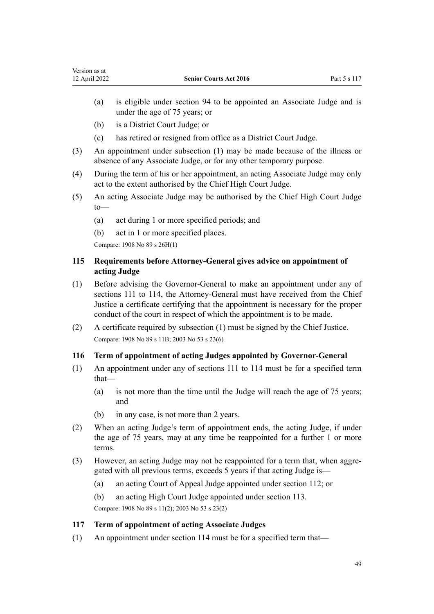- (a) is eligible under [section 94](#page-40-0) to be appointed an Associate Judge and is under the age of 75 years; or
- (b) is a District Court Judge; or

<span id="page-48-0"></span>Version as at

- (c) has retired or resigned from office as a District Court Judge.
- (3) An appointment under subsection (1) may be made because of the illness or absence of any Associate Judge, or for any other temporary purpose.
- (4) During the term of his or her appointment, an acting Associate Judge may only act to the extent authorised by the Chief High Court Judge.
- (5) An acting Associate Judge may be authorised by the Chief High Court Judge to—
	- (a) act during 1 or more specified periods; and
	- (b) act in 1 or more specified places.

Compare: 1908 No 89 [s 26H\(1\)](http://legislation.govt.nz/pdflink.aspx?id=DLM146059)

# **115 Requirements before Attorney-General gives advice on appointment of acting Judge**

- (1) Before advising the Governor-General to make an appointment under any of [sections 111 to 114,](#page-46-0) the Attorney-General must have received from the Chief Justice a certificate certifying that the appointment is necessary for the proper conduct of the court in respect of which the appointment is to be made.
- (2) A certificate required by subsection (1) must be signed by the Chief Justice. Compare: 1908 No 89 [s 11B](http://legislation.govt.nz/pdflink.aspx?id=DLM145705); 2003 No 53 [s 23\(6\)](http://legislation.govt.nz/pdflink.aspx?id=DLM214085)

# **116 Term of appointment of acting Judges appointed by Governor-General**

- (1) An appointment under any of [sections 111 to 114](#page-46-0) must be for a specified term that—
	- (a) is not more than the time until the Judge will reach the age of 75 years; and
	- (b) in any case, is not more than 2 years.
- (2) When an acting Judge's term of appointment ends, the acting Judge, if under the age of 75 years, may at any time be reappointed for a further 1 or more terms.
- (3) However, an acting Judge may not be reappointed for a term that, when aggre‐ gated with all previous terms, exceeds 5 years if that acting Judge is—
	- (a) an acting Court of Appeal Judge appointed under [section 112;](#page-46-0) or
	- (b) an acting High Court Judge appointed under [section 113](#page-47-0).

Compare: 1908 No 89 [s 11\(2\);](http://legislation.govt.nz/pdflink.aspx?id=DLM145594) 2003 No 53 [s 23\(2\)](http://legislation.govt.nz/pdflink.aspx?id=DLM214085)

# **117 Term of appointment of acting Associate Judges**

(1) An appointment under [section 114](#page-47-0) must be for a specified term that—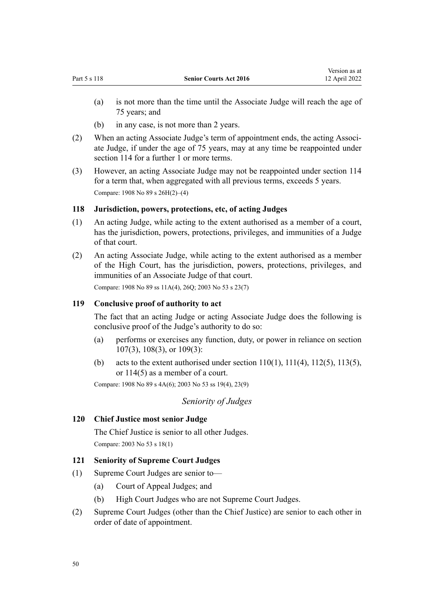(a) is not more than the time until the Associate Judge will reach the age of 75 years; and

Version as at

- (b) in any case, is not more than 2 years.
- (2) When an acting Associate Judge's term of appointment ends, the acting Associ‐ ate Judge, if under the age of 75 years, may at any time be reappointed under [section 114](#page-47-0) for a further 1 or more terms.
- (3) However, an acting Associate Judge may not be reappointed under [section 114](#page-47-0) for a term that, when aggregated with all previous terms, exceeds 5 years. Compare: 1908 No 89 [s 26H\(2\)–\(4\)](http://legislation.govt.nz/pdflink.aspx?id=DLM146059)

# **118 Jurisdiction, powers, protections, etc, of acting Judges**

- (1) An acting Judge, while acting to the extent authorised as a member of a court, has the jurisdiction, powers, protections, privileges, and immunities of a Judge of that court.
- (2) An acting Associate Judge, while acting to the extent authorised as a member of the High Court, has the jurisdiction, powers, protections, privileges, and immunities of an Associate Judge of that court.

Compare: 1908 No 89 [ss 11A\(4\),](http://legislation.govt.nz/pdflink.aspx?id=DLM145701) [26Q;](http://legislation.govt.nz/pdflink.aspx?id=DLM146433) 2003 No 53 [s 23\(7\)](http://legislation.govt.nz/pdflink.aspx?id=DLM214085)

# **119 Conclusive proof of authority to act**

The fact that an acting Judge or acting Associate Judge does the following is conclusive proof of the Judge's authority to do so:

- (a) performs or exercises any function, duty, or power in reliance on [section](#page-44-0) [107\(3\),](#page-44-0) [108\(3\)](#page-45-0), or [109\(3\)](#page-45-0):
- (b) acts to the extent authorised under section  $110(1)$ ,  $111(4)$ ,  $112(5)$ ,  $113(5)$ , or [114\(5\)](#page-47-0) as a member of a court.

Compare: 1908 No 89 [s 4A\(6\);](http://legislation.govt.nz/pdflink.aspx?id=DLM145567) 2003 No 53 [ss 19\(4\)](http://legislation.govt.nz/pdflink.aspx?id=DLM214081), [23\(9\)](http://legislation.govt.nz/pdflink.aspx?id=DLM214085)

*Seniority of Judges*

# **120 Chief Justice most senior Judge**

The Chief Justice is senior to all other Judges. Compare: 2003 No 53 [s 18\(1\)](http://legislation.govt.nz/pdflink.aspx?id=DLM214080)

# **121 Seniority of Supreme Court Judges**

- (1) Supreme Court Judges are senior to—
	- (a) Court of Appeal Judges; and
	- (b) High Court Judges who are not Supreme Court Judges.
- (2) Supreme Court Judges (other than the Chief Justice) are senior to each other in order of date of appointment.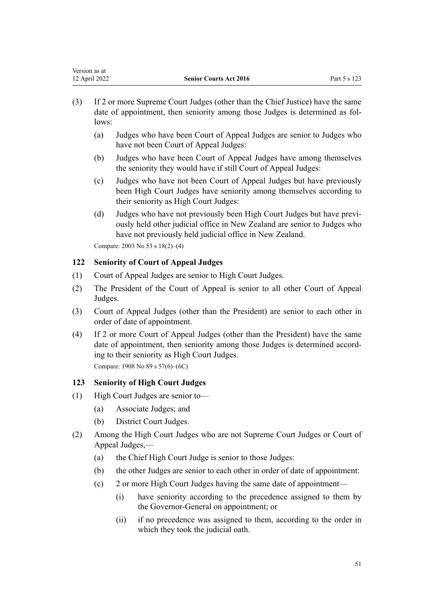| Version as at |                               |              |
|---------------|-------------------------------|--------------|
| 12 April 2022 | <b>Senior Courts Act 2016</b> | Part 5 s 123 |
|               |                               |              |

- (3) If 2 or more Supreme Court Judges (other than the Chief Justice) have the same date of appointment, then seniority among those Judges is determined as fol‐ lows:
	- (a) Judges who have been Court of Appeal Judges are senior to Judges who have not been Court of Appeal Judges:
	- (b) Judges who have been Court of Appeal Judges have among themselves the seniority they would have if still Court of Appeal Judges:
	- (c) Judges who have not been Court of Appeal Judges but have previously been High Court Judges have seniority among themselves according to their seniority as High Court Judges:
	- (d) Judges who have not previously been High Court Judges but have previously held other judicial office in New Zealand are senior to Judges who have not previously held judicial office in New Zealand.

Compare: 2003 No 53 [s 18\(2\)–\(4\)](http://legislation.govt.nz/pdflink.aspx?id=DLM214080)

# **122 Seniority of Court of Appeal Judges**

- (1) Court of Appeal Judges are senior to High Court Judges.
- (2) The President of the Court of Appeal is senior to all other Court of Appeal Judges.
- (3) Court of Appeal Judges (other than the President) are senior to each other in order of date of appointment.
- (4) If 2 or more Court of Appeal Judges (other than the President) have the same date of appointment, then seniority among those Judges is determined according to their seniority as High Court Judges. Compare: 1908 No 89 [s 57\(6\)–\(6C\)](http://legislation.govt.nz/pdflink.aspx?id=DLM146928)

## **123 Seniority of High Court Judges**

- (1) High Court Judges are senior to—
	- (a) Associate Judges; and
	- (b) District Court Judges.
- (2) Among the High Court Judges who are not Supreme Court Judges or Court of Appeal Judges,—
	- (a) the Chief High Court Judge is senior to those Judges:
	- (b) the other Judges are senior to each other in order of date of appointment:
	- (c) 2 or more High Court Judges having the same date of appointment—
		- (i) have seniority according to the precedence assigned to them by the Governor-General on appointment; or
		- (ii) if no precedence was assigned to them, according to the order in which they took the judicial oath.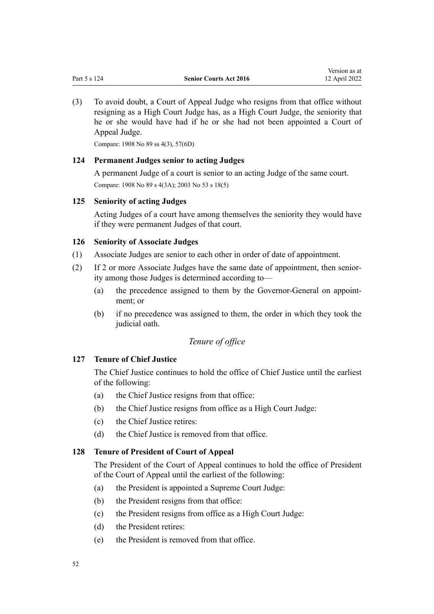(3) To avoid doubt, a Court of Appeal Judge who resigns from that office without resigning as a High Court Judge has, as a High Court Judge, the seniority that he or she would have had if he or she had not been appointed a Court of Appeal Judge.

Compare: 1908 No 89 [ss 4\(3\),](http://legislation.govt.nz/pdflink.aspx?id=DLM145542) [57\(6D\)](http://legislation.govt.nz/pdflink.aspx?id=DLM146928)

#### **124 Permanent Judges senior to acting Judges**

A permanent Judge of a court is senior to an acting Judge of the same court. Compare: 1908 No 89 [s 4\(3A\);](http://legislation.govt.nz/pdflink.aspx?id=DLM145542) 2003 No 53 [s 18\(5\)](http://legislation.govt.nz/pdflink.aspx?id=DLM214080)

### **125 Seniority of acting Judges**

Acting Judges of a court have among themselves the seniority they would have if they were permanent Judges of that court.

#### **126 Seniority of Associate Judges**

- (1) Associate Judges are senior to each other in order of date of appointment.
- (2) If 2 or more Associate Judges have the same date of appointment, then senior‐ ity among those Judges is determined according to—
	- (a) the precedence assigned to them by the Governor-General on appointment; or
	- (b) if no precedence was assigned to them, the order in which they took the judicial oath.

# *Tenure of office*

### **127 Tenure of Chief Justice**

The Chief Justice continues to hold the office of Chief Justice until the earliest of the following:

- (a) the Chief Justice resigns from that office:
- (b) the Chief Justice resigns from office as a High Court Judge:
- (c) the Chief Justice retires:
- (d) the Chief Justice is removed from that office.

# **128 Tenure of President of Court of Appeal**

The President of the Court of Appeal continues to hold the office of President of the Court of Appeal until the earliest of the following:

- (a) the President is appointed a Supreme Court Judge:
- (b) the President resigns from that office:
- (c) the President resigns from office as a High Court Judge:
- (d) the President retires:
- (e) the President is removed from that office.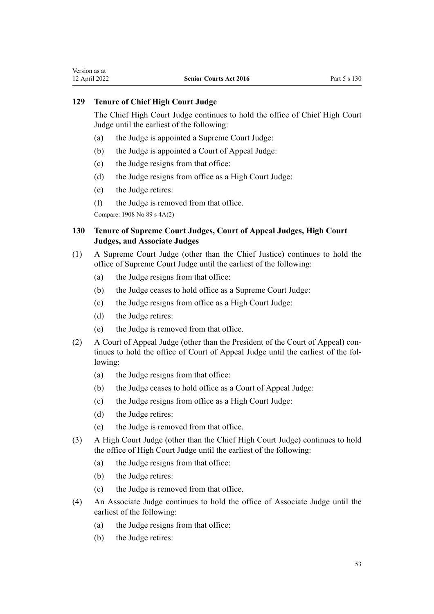# **129 Tenure of Chief High Court Judge**

The Chief High Court Judge continues to hold the office of Chief High Court Judge until the earliest of the following:

- (a) the Judge is appointed a Supreme Court Judge:
- (b) the Judge is appointed a Court of Appeal Judge:
- (c) the Judge resigns from that office:
- (d) the Judge resigns from office as a High Court Judge:
- (e) the Judge retires:
- (f) the Judge is removed from that office.

Compare: 1908 No 89 [s 4A\(2\)](http://legislation.govt.nz/pdflink.aspx?id=DLM145567)

# **130 Tenure of Supreme Court Judges, Court of Appeal Judges, High Court Judges, and Associate Judges**

- (1) A Supreme Court Judge (other than the Chief Justice) continues to hold the office of Supreme Court Judge until the earliest of the following:
	- (a) the Judge resigns from that office:
	- (b) the Judge ceases to hold office as a Supreme Court Judge:
	- (c) the Judge resigns from office as a High Court Judge:
	- (d) the Judge retires:
	- (e) the Judge is removed from that office.
- (2) A Court of Appeal Judge (other than the President of the Court of Appeal) con‐ tinues to hold the office of Court of Appeal Judge until the earliest of the fol‐ lowing:
	- (a) the Judge resigns from that office:
	- (b) the Judge ceases to hold office as a Court of Appeal Judge:
	- (c) the Judge resigns from office as a High Court Judge:
	- (d) the Judge retires:
	- (e) the Judge is removed from that office.
- (3) A High Court Judge (other than the Chief High Court Judge) continues to hold the office of High Court Judge until the earliest of the following:
	- (a) the Judge resigns from that office:
	- (b) the Judge retires:
	- (c) the Judge is removed from that office.
- (4) An Associate Judge continues to hold the office of Associate Judge until the earliest of the following:
	- (a) the Judge resigns from that office:
	- (b) the Judge retires: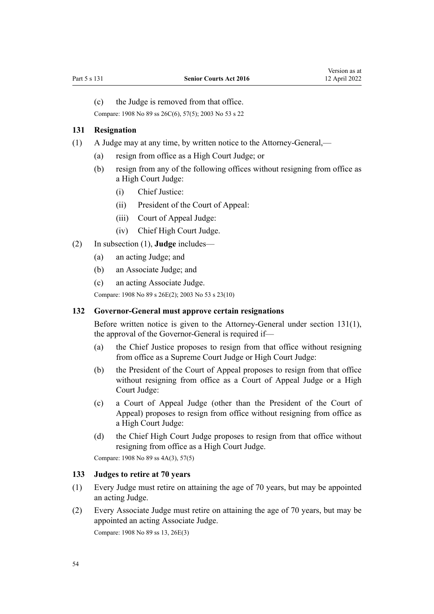(c) the Judge is removed from that office.

Compare: 1908 No 89 [ss 26C\(6\)](http://legislation.govt.nz/pdflink.aspx?id=DLM146026), [57\(5\)](http://legislation.govt.nz/pdflink.aspx?id=DLM146928); 2003 No 53 [s 22](http://legislation.govt.nz/pdflink.aspx?id=DLM214084)

#### **131 Resignation**

- (1) A Judge may at any time, by written notice to the Attorney-General,—
	- (a) resign from office as a High Court Judge; or
	- (b) resign from any of the following offices without resigning from office as a High Court Judge:
		- (i) Chief Justice:
		- (ii) President of the Court of Appeal:
		- (iii) Court of Appeal Judge:
		- (iv) Chief High Court Judge.
- (2) In subsection (1), **Judge** includes—
	- (a) an acting Judge; and
	- (b) an Associate Judge; and
	- (c) an acting Associate Judge.

Compare: 1908 No 89 [s 26E\(2\)](http://legislation.govt.nz/pdflink.aspx?id=DLM146034); 2003 No 53 [s 23\(10\)](http://legislation.govt.nz/pdflink.aspx?id=DLM214085)

#### **132 Governor-General must approve certain resignations**

Before written notice is given to the Attorney-General under section 131(1), the approval of the Governor-General is required if—

- (a) the Chief Justice proposes to resign from that office without resigning from office as a Supreme Court Judge or High Court Judge:
- (b) the President of the Court of Appeal proposes to resign from that office without resigning from office as a Court of Appeal Judge or a High Court Judge:
- (c) a Court of Appeal Judge (other than the President of the Court of Appeal) proposes to resign from office without resigning from office as a High Court Judge:
- (d) the Chief High Court Judge proposes to resign from that office without resigning from office as a High Court Judge.

Compare: 1908 No 89 [ss 4A\(3\)](http://legislation.govt.nz/pdflink.aspx?id=DLM145567), [57\(5\)](http://legislation.govt.nz/pdflink.aspx?id=DLM146928)

## **133 Judges to retire at 70 years**

- (1) Every Judge must retire on attaining the age of 70 years, but may be appointed an acting Judge.
- (2) Every Associate Judge must retire on attaining the age of 70 years, but may be appointed an acting Associate Judge. Compare: 1908 No 89 [ss 13,](http://legislation.govt.nz/pdflink.aspx?id=DLM145710) [26E\(3\)](http://legislation.govt.nz/pdflink.aspx?id=DLM146034)

54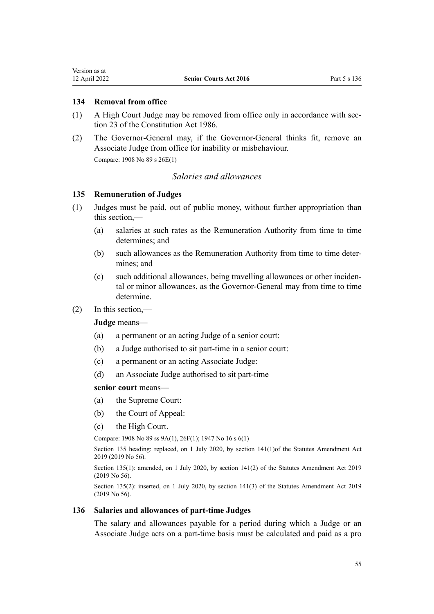<span id="page-54-0"></span>Version as at

# **134 Removal from office**

- (1) A High Court Judge may be removed from office only in accordance with [sec‐](http://legislation.govt.nz/pdflink.aspx?id=DLM94255) [tion 23](http://legislation.govt.nz/pdflink.aspx?id=DLM94255) of the Constitution Act 1986.
- (2) The Governor-General may, if the Governor-General thinks fit, remove an Associate Judge from office for inability or misbehaviour. Compare: 1908 No 89 [s 26E\(1\)](http://legislation.govt.nz/pdflink.aspx?id=DLM146034)

# *Salaries and allowances*

## **135 Remuneration of Judges**

- (1) Judges must be paid, out of public money, without further appropriation than this section,—
	- (a) salaries at such rates as the Remuneration Authority from time to time determines; and
	- (b) such allowances as the Remuneration Authority from time to time deter‐ mines; and
	- (c) such additional allowances, being travelling allowances or other inciden‐ tal or minor allowances, as the Governor-General may from time to time determine.
- (2) In this section,—

**Judge** means—

- (a) a permanent or an acting Judge of a senior court:
- (b) a Judge authorised to sit part-time in a senior court:
- (c) a permanent or an acting Associate Judge:
- (d) an Associate Judge authorised to sit part-time

### **senior court** means—

- (a) the Supreme Court:
- (b) the Court of Appeal:
- (c) the High Court.

Compare: 1908 No 89 [ss 9A\(1\)](http://legislation.govt.nz/pdflink.aspx?id=DLM145586), [26F\(1\)](http://legislation.govt.nz/pdflink.aspx?id=DLM146042); 1947 No 16 [s 6\(1\)](http://legislation.govt.nz/pdflink.aspx?id=DLM242963)

Section 135 heading: replaced, on 1 July 2020, by [section 141\(1\)](http://legislation.govt.nz/pdflink.aspx?id=LMS59103)of the Statutes Amendment Act 2019 (2019 No 56).

Section 135(1): amended, on 1 July 2020, by [section 141\(2\)](http://legislation.govt.nz/pdflink.aspx?id=LMS59103) of the Statutes Amendment Act 2019 (2019 No 56).

Section 135(2): inserted, on 1 July 2020, by [section 141\(3\)](http://legislation.govt.nz/pdflink.aspx?id=LMS59103) of the Statutes Amendment Act 2019 (2019 No 56).

#### **136 Salaries and allowances of part-time Judges**

The salary and allowances payable for a period during which a Judge or an Associate Judge acts on a part-time basis must be calculated and paid as a pro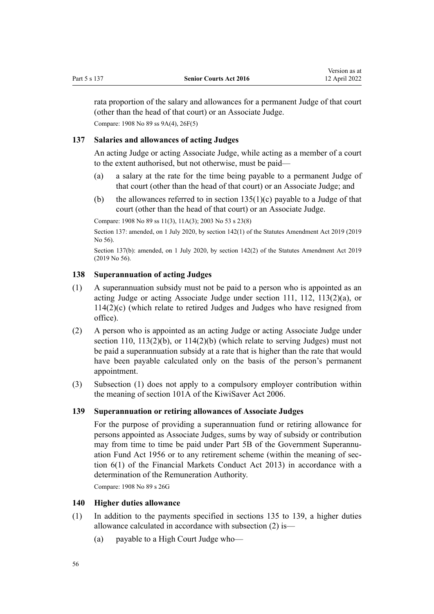<span id="page-55-0"></span>rata proportion of the salary and allowances for a permanent Judge of that court (other than the head of that court) or an Associate Judge. Compare: 1908 No 89 [ss 9A\(4\)](http://legislation.govt.nz/pdflink.aspx?id=DLM145586), [26F\(5\)](http://legislation.govt.nz/pdflink.aspx?id=DLM146042)

## **137 Salaries and allowances of acting Judges**

An acting Judge or acting Associate Judge, while acting as a member of a court to the extent authorised, but not otherwise, must be paid—

- (a) a salary at the rate for the time being payable to a permanent Judge of that court (other than the head of that court) or an Associate Judge; and
- (b) the allowances referred to in section  $135(1)(c)$  payable to a Judge of that court (other than the head of that court) or an Associate Judge.

Compare: 1908 No 89 [ss 11\(3\)](http://legislation.govt.nz/pdflink.aspx?id=DLM145594), [11A\(3\)](http://legislation.govt.nz/pdflink.aspx?id=DLM145701); 2003 No 53 [s 23\(8\)](http://legislation.govt.nz/pdflink.aspx?id=DLM214085)

Section 137: amended, on 1 July 2020, by [section 142\(1\)](http://legislation.govt.nz/pdflink.aspx?id=LMS59104) of the Statutes Amendment Act 2019 (2019 No 56).

Section 137(b): amended, on 1 July 2020, by [section 142\(2\)](http://legislation.govt.nz/pdflink.aspx?id=LMS59104) of the Statutes Amendment Act 2019 (2019 No 56).

# **138 Superannuation of acting Judges**

- (1) A superannuation subsidy must not be paid to a person who is appointed as an acting Judge or acting Associate Judge under [section 111,](#page-46-0) [112,](#page-46-0) [113\(2\)\(a\)](#page-47-0), or [114\(2\)\(c\)](#page-47-0) (which relate to retired Judges and Judges who have resigned from office).
- (2) A person who is appointed as an acting Judge or acting Associate Judge under [section 110](#page-46-0),  $113(2)(b)$ , or  $114(2)(b)$  (which relate to serving Judges) must not be paid a superannuation subsidy at a rate that is higher than the rate that would have been payable calculated only on the basis of the person's permanent appointment.
- (3) Subsection (1) does not apply to a compulsory employer contribution within the meaning of [section 101A](http://legislation.govt.nz/pdflink.aspx?id=DLM1233469) of the KiwiSaver Act 2006.

#### **139 Superannuation or retiring allowances of Associate Judges**

For the purpose of providing a superannuation fund or retiring allowance for persons appointed as Associate Judges, sums by way of subsidy or contribution may from time to time be paid under [Part 5B](http://legislation.govt.nz/pdflink.aspx?id=DLM447512) of the Government Superannuation Fund Act 1956 or to any retirement scheme (within the meaning of [sec‐](http://legislation.govt.nz/pdflink.aspx?id=DLM4090590) [tion 6\(1\)](http://legislation.govt.nz/pdflink.aspx?id=DLM4090590) of the Financial Markets Conduct Act 2013) in accordance with a determination of the Remuneration Authority.

Compare: 1908 No 89 [s 26G](http://legislation.govt.nz/pdflink.aspx?id=DLM146052)

#### **140 Higher duties allowance**

- (1) In addition to the payments specified in [sections 135 to 139](#page-54-0), a higher duties allowance calculated in accordance with subsection (2) is—
	- (a) payable to a High Court Judge who—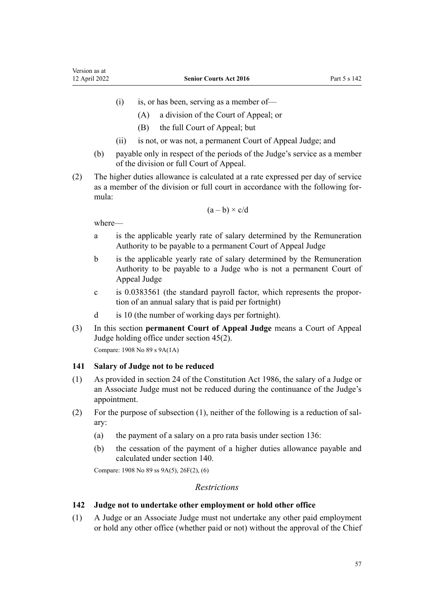- $(i)$  is, or has been, serving as a member of—
	- (A) a division of the Court of Appeal; or
	- (B) the full Court of Appeal; but
- (ii) is not, or was not, a permanent Court of Appeal Judge; and
- (b) payable only in respect of the periods of the Judge's service as a member of the division or full Court of Appeal.
- (2) The higher duties allowance is calculated at a rate expressed per day of service as a member of the division or full court in accordance with the following for‐ mula:

$$
(a-b)\times c/d
$$

where—

- a is the applicable yearly rate of salary determined by the Remuneration Authority to be payable to a permanent Court of Appeal Judge
- b is the applicable yearly rate of salary determined by the Remuneration Authority to be payable to a Judge who is not a permanent Court of Appeal Judge
- c is 0.0383561 (the standard payroll factor, which represents the propor‐ tion of an annual salary that is paid per fortnight)
- d is 10 (the number of working days per fortnight).
- (3) In this section **permanent Court of Appeal Judge** means a Court of Appeal Judge holding office under [section 45\(2\).](#page-24-0)

Compare: 1908 No 89 [s 9A\(1A\)](http://legislation.govt.nz/pdflink.aspx?id=DLM145586)

## **141 Salary of Judge not to be reduced**

- (1) As provided in [section 24](http://legislation.govt.nz/pdflink.aspx?id=DLM94256) of the Constitution Act 1986, the salary of a Judge or an Associate Judge must not be reduced during the continuance of the Judge's appointment.
- (2) For the purpose of subsection  $(1)$ , neither of the following is a reduction of salary:
	- (a) the payment of a salary on a pro rata basis under [section 136:](#page-54-0)
	- (b) the cessation of the payment of a higher duties allowance payable and calculated under [section 140](#page-55-0).

Compare: 1908 No 89 [ss 9A\(5\)](http://legislation.govt.nz/pdflink.aspx?id=DLM145586), [26F\(2\), \(6\)](http://legislation.govt.nz/pdflink.aspx?id=DLM146042)

#### *Restrictions*

### **142 Judge not to undertake other employment or hold other office**

(1) A Judge or an Associate Judge must not undertake any other paid employment or hold any other office (whether paid or not) without the approval of the Chief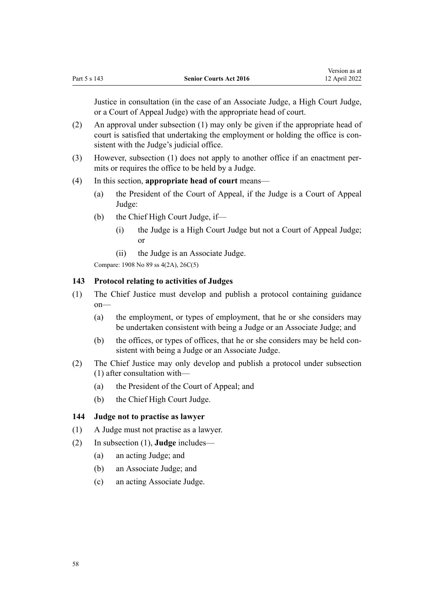Justice in consultation (in the case of an Associate Judge, a High Court Judge, or a Court of Appeal Judge) with the appropriate head of court.

- (2) An approval under subsection (1) may only be given if the appropriate head of court is satisfied that undertaking the employment or holding the office is consistent with the Judge's judicial office.
- (3) However, subsection (1) does not apply to another office if an enactment per‐ mits or requires the office to be held by a Judge.

## (4) In this section, **appropriate head of court** means—

- (a) the President of the Court of Appeal, if the Judge is a Court of Appeal Judge:
- (b) the Chief High Court Judge, if—
	- (i) the Judge is a High Court Judge but not a Court of Appeal Judge; or
	- (ii) the Judge is an Associate Judge.

Compare: 1908 No 89 [ss 4\(2A\)](http://legislation.govt.nz/pdflink.aspx?id=DLM145542), [26C\(5\)](http://legislation.govt.nz/pdflink.aspx?id=DLM146026)

# **143 Protocol relating to activities of Judges**

- (1) The Chief Justice must develop and publish a protocol containing guidance on—
	- (a) the employment, or types of employment, that he or she considers may be undertaken consistent with being a Judge or an Associate Judge; and
	- (b) the offices, or types of offices, that he or she considers may be held consistent with being a Judge or an Associate Judge.
- (2) The Chief Justice may only develop and publish a protocol under subsection (1) after consultation with—
	- (a) the President of the Court of Appeal; and
	- (b) the Chief High Court Judge.

#### **144 Judge not to practise as lawyer**

- (1) A Judge must not practise as a lawyer.
- (2) In subsection (1), **Judge** includes—
	- (a) an acting Judge; and
	- (b) an Associate Judge; and
	- (c) an acting Associate Judge.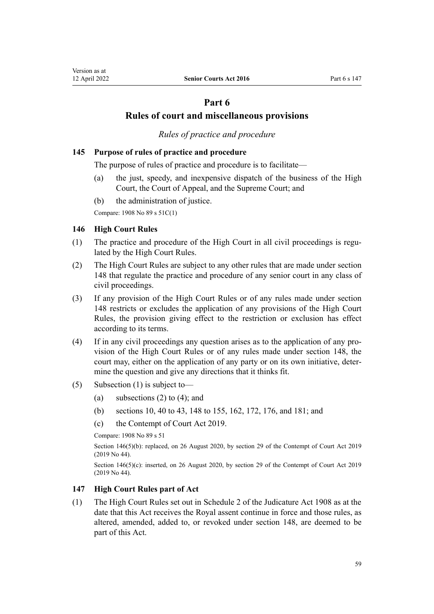# **Part 6**

# **Rules of court and miscellaneous provisions**

# *Rules of practice and procedure*

# <span id="page-58-0"></span>**145 Purpose of rules of practice and procedure**

The purpose of rules of practice and procedure is to facilitate—

- (a) the just, speedy, and inexpensive dispatch of the business of the High Court, the Court of Appeal, and the Supreme Court; and
- (b) the administration of justice.

Compare: 1908 No 89 [s 51C\(1\)](http://legislation.govt.nz/pdflink.aspx?id=DLM146607)

#### **146 High Court Rules**

- $(1)$  The practice and procedure of the High Court in all civil proceedings is regulated by the High Court Rules.
- (2) The High Court Rules are subject to any other rules that are made under [section](#page-59-0) [148](#page-59-0) that regulate the practice and procedure of any senior court in any class of civil proceedings.
- (3) If any provision of the High Court Rules or of any rules made under [section](#page-59-0) [148](#page-59-0) restricts or excludes the application of any provisions of the High Court Rules, the provision giving effect to the restriction or exclusion has effect according to its terms.
- (4) If in any civil proceedings any question arises as to the application of any pro‐ vision of the High Court Rules or of any rules made under [section 148,](#page-59-0) the court may, either on the application of any party or on its own initiative, determine the question and give any directions that it thinks fit.
- (5) Subsection (1) is subject to—
	- (a) subsections (2) to (4); and
	- (b) [sections 10,](#page-11-0) [40 to 43](#page-21-0), [148 to 155](#page-59-0), [162](#page-66-0), [172](#page-71-0), [176](#page-73-0), and [181;](#page-75-0) and
	- (c) the [Contempt of Court Act 2019](http://legislation.govt.nz/pdflink.aspx?id=LMS24741).

Compare: 1908 No 89 [s 51](http://legislation.govt.nz/pdflink.aspx?id=DLM146493)

Section 146(5)(b): replaced, on 26 August 2020, by [section 29](http://legislation.govt.nz/pdflink.aspx?id=LMS24838) of the Contempt of Court Act 2019 (2019 No 44).

Section 146(5)(c): inserted, on 26 August 2020, by [section 29](http://legislation.govt.nz/pdflink.aspx?id=LMS24838) of the Contempt of Court Act 2019 (2019 No 44).

### **147 High Court Rules part of Act**

(1) The High Court Rules set out in [Schedule 2](http://legislation.govt.nz/pdflink.aspx?id=DLM147653) of the Judicature Act 1908 as at the date that this Act receives the Royal assent continue in force and those rules, as altered, amended, added to, or revoked under [section 148,](#page-59-0) are deemed to be part of this Act.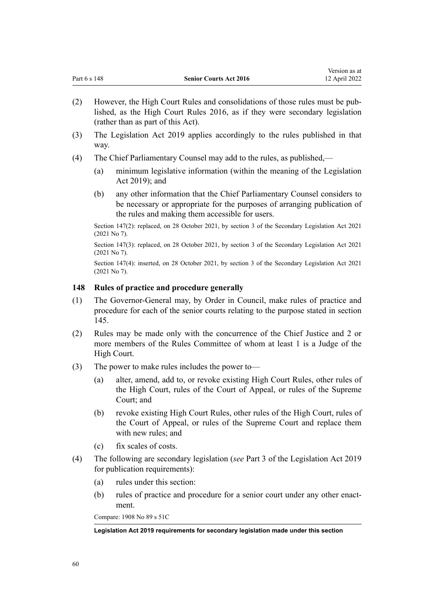<span id="page-59-0"></span>

| Part 6 s 148 | <b>Senior Courts Act 2016</b> | 12 April 2022 |
|--------------|-------------------------------|---------------|
|              |                               |               |

Version as at

- (2) However, the High Court Rules and consolidations of those rules must be pub‐ lished, as the [High Court Rules 2016,](http://legislation.govt.nz/pdflink.aspx?id=DLM6959800) as if they were secondary legislation (rather than as part of this Act).
- (3) The [Legislation Act 2019](http://legislation.govt.nz/pdflink.aspx?id=DLM7298104) applies accordingly to the rules published in that way.
- (4) The Chief Parliamentary Counsel may add to the rules, as published,—
	- (a) minimum legislative information (within the meaning of the [Legislation](http://legislation.govt.nz/pdflink.aspx?id=DLM7298104) [Act 2019\)](http://legislation.govt.nz/pdflink.aspx?id=DLM7298104); and
	- (b) any other information that the Chief Parliamentary Counsel considers to be necessary or appropriate for the purposes of arranging publication of the rules and making them accessible for users.

Section 147(2): replaced, on 28 October 2021, by [section 3](http://legislation.govt.nz/pdflink.aspx?id=LMS268932) of the Secondary Legislation Act 2021 (2021 No 7).

Section 147(3): replaced, on 28 October 2021, by [section 3](http://legislation.govt.nz/pdflink.aspx?id=LMS268932) of the Secondary Legislation Act 2021 (2021 No 7).

Section 147(4): inserted, on 28 October 2021, by [section 3](http://legislation.govt.nz/pdflink.aspx?id=LMS268932) of the Secondary Legislation Act 2021 (2021 No 7).

# **148 Rules of practice and procedure generally**

- (1) The Governor-General may, by Order in Council, make rules of practice and procedure for each of the senior courts relating to the purpose stated in [section](#page-58-0) [145](#page-58-0).
- (2) Rules may be made only with the concurrence of the Chief Justice and 2 or more members of the Rules Committee of whom at least 1 is a Judge of the High Court.
- (3) The power to make rules includes the power to—
	- (a) alter, amend, add to, or revoke existing High Court Rules, other rules of the High Court, rules of the Court of Appeal, or rules of the Supreme Court; and
	- (b) revoke existing High Court Rules, other rules of the High Court, rules of the Court of Appeal, or rules of the Supreme Court and replace them with new rules; and
	- (c) fix scales of costs.
- (4) The following are secondary legislation (*see* [Part 3](http://legislation.govt.nz/pdflink.aspx?id=DLM7298343) of the Legislation Act 2019 for publication requirements):
	- (a) rules under this section:
	- (b) rules of practice and procedure for a senior court under any other enactment.

Compare: 1908 No 89 [s 51C](http://legislation.govt.nz/pdflink.aspx?id=DLM146607)

#### **Legislation Act 2019 requirements for secondary legislation made under this section**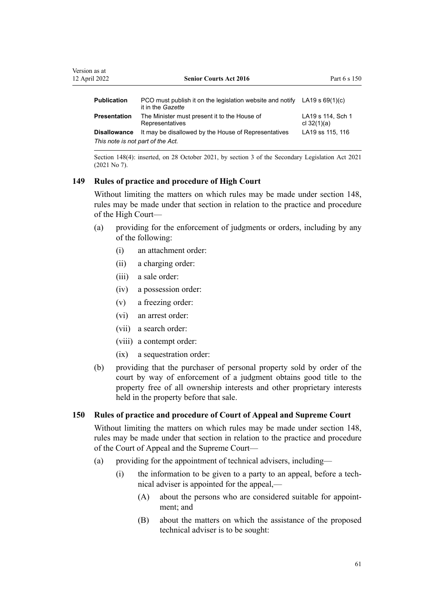| Version as at<br>12 April 2022    | <b>Senior Courts Act 2016</b>                                                                    | Part 6 s 150                       |
|-----------------------------------|--------------------------------------------------------------------------------------------------|------------------------------------|
| <b>Publication</b>                | PCO must publish it on the legislation website and notify LA19 s $69(1)(c)$<br>it in the Gazette |                                    |
| <b>Presentation</b>               | The Minister must present it to the House of<br>Representatives                                  | LA19 s 114. Sch 1<br>cl $32(1)(a)$ |
| <b>Disallowance</b>               | It may be disallowed by the House of Representatives                                             | LA19 ss 115, 116                   |
| This note is not part of the Act. |                                                                                                  |                                    |

Section 148(4): inserted, on 28 October 2021, by [section 3](http://legislation.govt.nz/pdflink.aspx?id=LMS268932) of the Secondary Legislation Act 2021 (2021 No 7).

# **149 Rules of practice and procedure of High Court**

Without limiting the matters on which rules may be made under [section 148](#page-59-0), rules may be made under that section in relation to the practice and procedure of the High Court—

- (a) providing for the enforcement of judgments or orders, including by any of the following:
	- (i) an attachment order:
	- (ii) a charging order:
	- (iii) a sale order:
	- (iv) a possession order:
	- (v) a freezing order:
	- (vi) an arrest order:
	- (vii) a search order:
	- (viii) a contempt order:
	- (ix) a sequestration order:
- (b) providing that the purchaser of personal property sold by order of the court by way of enforcement of a judgment obtains good title to the property free of all ownership interests and other proprietary interests held in the property before that sale.

#### **150 Rules of practice and procedure of Court of Appeal and Supreme Court**

Without limiting the matters on which rules may be made under [section 148](#page-59-0), rules may be made under that section in relation to the practice and procedure of the Court of Appeal and the Supreme Court—

- (a) providing for the appointment of technical advisers, including—
	- (i) the information to be given to a party to an appeal, before a tech‐ nical adviser is appointed for the appeal,—
		- (A) about the persons who are considered suitable for appointment; and
		- (B) about the matters on which the assistance of the proposed technical adviser is to be sought: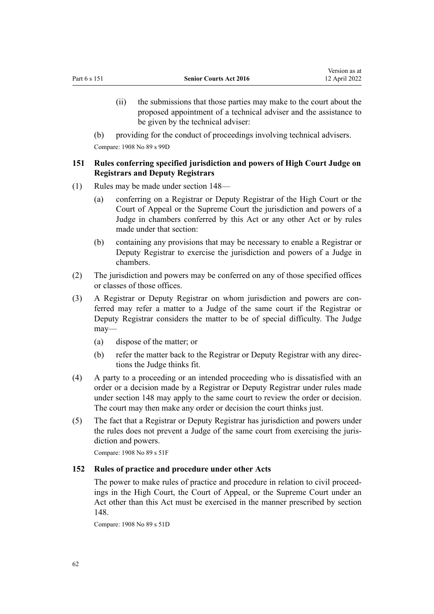(ii) the submissions that those parties may make to the court about the proposed appointment of a technical adviser and the assistance to be given by the technical adviser:

(b) providing for the conduct of proceedings involving technical advisers. Compare: 1908 No 89 [s 99D](http://legislation.govt.nz/pdflink.aspx?id=DLM147637)

# **151 Rules conferring specified jurisdiction and powers of High Court Judge on Registrars and Deputy Registrars**

- (1) Rules may be made under [section 148](#page-59-0)
	- (a) conferring on a Registrar or Deputy Registrar of the High Court or the Court of Appeal or the Supreme Court the jurisdiction and powers of a Judge in chambers conferred by this Act or any other Act or by rules made under that section:
	- (b) containing any provisions that may be necessary to enable a Registrar or Deputy Registrar to exercise the jurisdiction and powers of a Judge in chambers.
- (2) The jurisdiction and powers may be conferred on any of those specified offices or classes of those offices.
- (3) A Registrar or Deputy Registrar on whom jurisdiction and powers are con‐ ferred may refer a matter to a Judge of the same court if the Registrar or Deputy Registrar considers the matter to be of special difficulty. The Judge may—
	- (a) dispose of the matter; or
	- (b) refer the matter back to the Registrar or Deputy Registrar with any direc‐ tions the Judge thinks fit.
- (4) A party to a proceeding or an intended proceeding who is dissatisfied with an order or a decision made by a Registrar or Deputy Registrar under rules made under [section 148](#page-59-0) may apply to the same court to review the order or decision. The court may then make any order or decision the court thinks just.
- (5) The fact that a Registrar or Deputy Registrar has jurisdiction and powers under the rules does not prevent a Judge of the same court from exercising the juris‐ diction and powers.

Compare: 1908 No 89 [s 51F](http://legislation.govt.nz/pdflink.aspx?id=DLM146618)

# **152 Rules of practice and procedure under other Acts**

The power to make rules of practice and procedure in relation to civil proceedings in the High Court, the Court of Appeal, or the Supreme Court under an Act other than this Act must be exercised in the manner prescribed by [section](#page-59-0) [148](#page-59-0).

Compare: 1908 No 89 [s 51D](http://legislation.govt.nz/pdflink.aspx?id=DLM146612)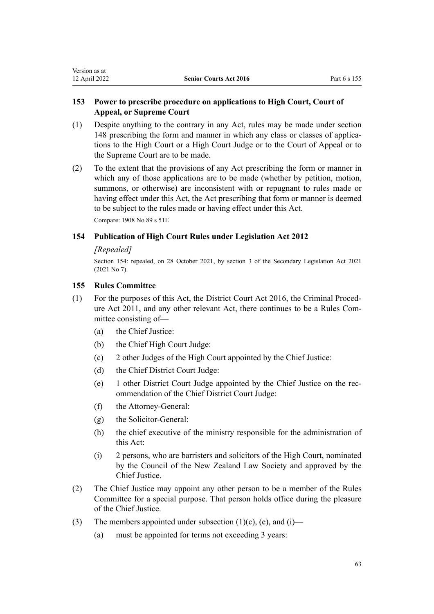# **153 Power to prescribe procedure on applications to High Court, Court of Appeal, or Supreme Court**

- (1) Despite anything to the contrary in any Act, rules may be made under [section](#page-59-0) [148](#page-59-0) prescribing the form and manner in which any class or classes of applica‐ tions to the High Court or a High Court Judge or to the Court of Appeal or to the Supreme Court are to be made.
- (2) To the extent that the provisions of any Act prescribing the form or manner in which any of those applications are to be made (whether by petition, motion, summons, or otherwise) are inconsistent with or repugnant to rules made or having effect under this Act, the Act prescribing that form or manner is deemed to be subject to the rules made or having effect under this Act.

Compare: 1908 No 89 [s 51E](http://legislation.govt.nz/pdflink.aspx?id=DLM146614)

# **154 Publication of High Court Rules under Legislation Act 2012**

## *[Repealed]*

Section 154: repealed, on 28 October 2021, by [section 3](http://legislation.govt.nz/pdflink.aspx?id=LMS268932) of the Secondary Legislation Act 2021 (2021 No 7).

# **155 Rules Committee**

- (1) For the purposes of this Act, the [District Court Act 2016,](http://legislation.govt.nz/pdflink.aspx?id=DLM6942200) the [Criminal Proced‐](http://legislation.govt.nz/pdflink.aspx?id=DLM3359902) [ure Act 2011,](http://legislation.govt.nz/pdflink.aspx?id=DLM3359902) and any other relevant Act, there continues to be a Rules Committee consisting of—
	- (a) the Chief Justice:
	- (b) the Chief High Court Judge:
	- (c) 2 other Judges of the High Court appointed by the Chief Justice:
	- (d) the Chief District Court Judge:
	- (e) 1 other District Court Judge appointed by the Chief Justice on the rec‐ ommendation of the Chief District Court Judge:
	- (f) the Attorney-General:
	- (g) the Solicitor-General:
	- (h) the chief executive of the ministry responsible for the administration of this Act:
	- (i) 2 persons, who are barristers and solicitors of the High Court, nominated by the Council of the New Zealand Law Society and approved by the Chief Justice.
- (2) The Chief Justice may appoint any other person to be a member of the Rules Committee for a special purpose. That person holds office during the pleasure of the Chief Justice.
- (3) The members appointed under subsection  $(1)(c)$ ,  $(e)$ , and  $(i)$ 
	- (a) must be appointed for terms not exceeding 3 years: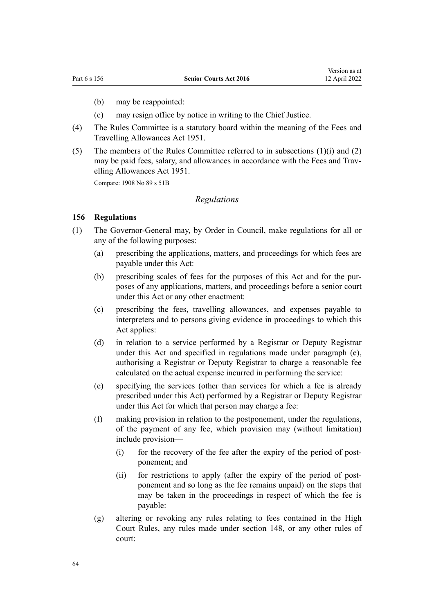- <span id="page-63-0"></span>(b) may be reappointed:
- (c) may resign office by notice in writing to the Chief Justice.
- (4) The Rules Committee is a statutory board within the meaning of the [Fees and](http://legislation.govt.nz/pdflink.aspx?id=DLM264952) [Travelling Allowances Act 1951](http://legislation.govt.nz/pdflink.aspx?id=DLM264952).
- (5) The members of the Rules Committee referred to in subsections  $(1)(i)$  and  $(2)$ may be paid fees, salary, and allowances in accordance with the Fees and Trav[elling Allowances Act 1951.](http://legislation.govt.nz/pdflink.aspx?id=DLM264952)

Compare: 1908 No 89 [s 51B](http://legislation.govt.nz/pdflink.aspx?id=DLM146601)

### *Regulations*

#### **156 Regulations**

- (1) The Governor-General may, by Order in Council, make regulations for all or any of the following purposes:
	- (a) prescribing the applications, matters, and proceedings for which fees are payable under this Act:
	- (b) prescribing scales of fees for the purposes of this Act and for the purposes of any applications, matters, and proceedings before a senior court under this Act or any other enactment:
	- (c) prescribing the fees, travelling allowances, and expenses payable to interpreters and to persons giving evidence in proceedings to which this Act applies:
	- (d) in relation to a service performed by a Registrar or Deputy Registrar under this Act and specified in regulations made under paragraph (e), authorising a Registrar or Deputy Registrar to charge a reasonable fee calculated on the actual expense incurred in performing the service:
	- (e) specifying the services (other than services for which a fee is already prescribed under this Act) performed by a Registrar or Deputy Registrar under this Act for which that person may charge a fee:
	- (f) making provision in relation to the postponement, under the regulations, of the payment of any fee, which provision may (without limitation) include provision—
		- $(i)$  for the recovery of the fee after the expiry of the period of postponement; and
		- (ii) for restrictions to apply (after the expiry of the period of postponement and so long as the fee remains unpaid) on the steps that may be taken in the proceedings in respect of which the fee is payable:
	- (g) altering or revoking any rules relating to fees contained in the High Court Rules, any rules made under [section 148,](#page-59-0) or any other rules of court: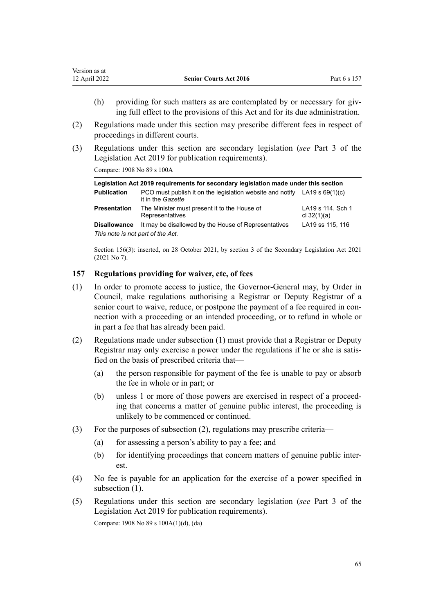<span id="page-64-0"></span>

| Version as at |                               |              |
|---------------|-------------------------------|--------------|
| 12 April 2022 | <b>Senior Courts Act 2016</b> | Part 6 s 157 |
|               |                               |              |

- (h) providing for such matters as are contemplated by or necessary for giving full effect to the provisions of this Act and for its due administration.
- (2) Regulations made under this section may prescribe different fees in respect of proceedings in different courts.
- (3) Regulations under this section are secondary legislation (*see* [Part 3](http://legislation.govt.nz/pdflink.aspx?id=DLM7298343) of the Legislation Act 2019 for publication requirements).

Compare: 1908 No 89 [s 100A](http://legislation.govt.nz/pdflink.aspx?id=DLM147641)

| Legislation Act 2019 requirements for secondary legislation made under this section |                                                                                                  |                                    |  |
|-------------------------------------------------------------------------------------|--------------------------------------------------------------------------------------------------|------------------------------------|--|
| <b>Publication</b>                                                                  | PCO must publish it on the legislation website and notify LA19 s $69(1)(c)$<br>it in the Gazette |                                    |  |
| <b>Presentation</b>                                                                 | The Minister must present it to the House of<br>Representatives                                  | LA19 s 114, Sch 1<br>cl $32(1)(a)$ |  |
| <b>Disallowance</b><br>This note is not part of the Act.                            | It may be disallowed by the House of Representatives                                             | LA19 ss 115, 116                   |  |

Section 156(3): inserted, on 28 October 2021, by [section 3](http://legislation.govt.nz/pdflink.aspx?id=LMS268932) of the Secondary Legislation Act 2021 (2021 No 7).

## **157 Regulations providing for waiver, etc, of fees**

- (1) In order to promote access to justice, the Governor-General may, by Order in Council, make regulations authorising a Registrar or Deputy Registrar of a senior court to waive, reduce, or postpone the payment of a fee required in connection with a proceeding or an intended proceeding, or to refund in whole or in part a fee that has already been paid.
- (2) Regulations made under subsection (1) must provide that a Registrar or Deputy Registrar may only exercise a power under the regulations if he or she is satis‐ fied on the basis of prescribed criteria that—
	- (a) the person responsible for payment of the fee is unable to pay or absorb the fee in whole or in part; or
	- (b) unless 1 or more of those powers are exercised in respect of a proceeding that concerns a matter of genuine public interest, the proceeding is unlikely to be commenced or continued.
- (3) For the purposes of subsection (2), regulations may prescribe criteria—
	- (a) for assessing a person's ability to pay a fee; and
	- (b) for identifying proceedings that concern matters of genuine public interest.
- (4) No fee is payable for an application for the exercise of a power specified in subsection (1).
- (5) Regulations under this section are secondary legislation (*see* [Part 3](http://legislation.govt.nz/pdflink.aspx?id=DLM7298343) of the Legislation Act 2019 for publication requirements).

Compare: 1908 No 89 [s 100A\(1\)\(d\), \(da\)](http://legislation.govt.nz/pdflink.aspx?id=DLM147641)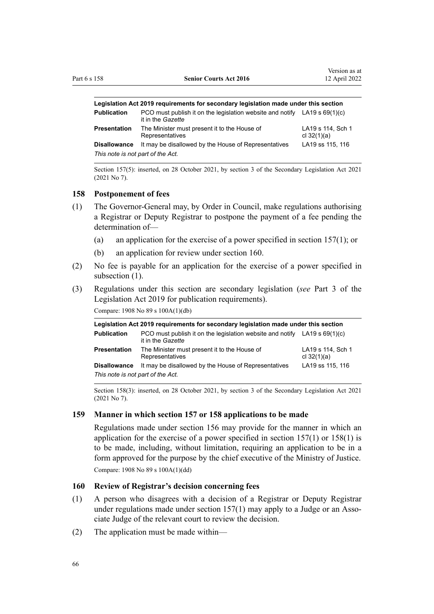| Legislation Act 2019 requirements for secondary legislation made under this section |                                                                                                  |                                    |
|-------------------------------------------------------------------------------------|--------------------------------------------------------------------------------------------------|------------------------------------|
| <b>Publication</b>                                                                  | PCO must publish it on the legislation website and notify LA19 s $69(1)(c)$<br>it in the Gazette |                                    |
| Presentation                                                                        | The Minister must present it to the House of<br>Representatives                                  | LA19 s 114, Sch 1<br>cl $32(1)(a)$ |
| <b>Disallowance</b>                                                                 | It may be disallowed by the House of Representatives                                             | LA19 ss 115, 116                   |
| This note is not part of the Act.                                                   |                                                                                                  |                                    |

Section 157(5): inserted, on 28 October 2021, by [section 3](http://legislation.govt.nz/pdflink.aspx?id=LMS268932) of the Secondary Legislation Act 2021 (2021 No 7).

#### **158 Postponement of fees**

- (1) The Governor-General may, by Order in Council, make regulations authorising a Registrar or Deputy Registrar to postpone the payment of a fee pending the determination of—
	- (a) an application for the exercise of a power specified in [section 157\(1\)](#page-64-0); or
	- (b) an application for review under section 160.
- (2) No fee is payable for an application for the exercise of a power specified in subsection  $(1)$ .
- (3) Regulations under this section are secondary legislation (*see* [Part 3](http://legislation.govt.nz/pdflink.aspx?id=DLM7298343) of the Legislation Act 2019 for publication requirements).

Compare: 1908 No 89 [s 100A\(1\)\(db\)](http://legislation.govt.nz/pdflink.aspx?id=DLM147641)

| Legislation Act 2019 requirements for secondary legislation made under this section |                                                                                                  |                                    |  |
|-------------------------------------------------------------------------------------|--------------------------------------------------------------------------------------------------|------------------------------------|--|
| <b>Publication</b>                                                                  | PCO must publish it on the legislation website and notify LA19 s $69(1)(c)$<br>it in the Gazette |                                    |  |
| <b>Presentation</b>                                                                 | The Minister must present it to the House of<br>Representatives                                  | LA19 s 114, Sch 1<br>cl $32(1)(a)$ |  |
| <b>Disallowance</b>                                                                 | It may be disallowed by the House of Representatives                                             | LA19 ss 115, 116                   |  |
| This note is not part of the Act.                                                   |                                                                                                  |                                    |  |

Section 158(3): inserted, on 28 October 2021, by [section 3](http://legislation.govt.nz/pdflink.aspx?id=LMS268932) of the Secondary Legislation Act 2021 (2021 No 7).

#### **159 Manner in which section 157 or 158 applications to be made**

Regulations made under [section 156](#page-63-0) may provide for the manner in which an application for the exercise of a power specified in section  $157(1)$  or  $158(1)$  is to be made, including, without limitation, requiring an application to be in a form approved for the purpose by the chief executive of the Ministry of Justice. Compare: 1908 No 89 [s 100A\(1\)\(dd\)](http://legislation.govt.nz/pdflink.aspx?id=DLM147641)

# **160 Review of Registrar's decision concerning fees**

- (1) A person who disagrees with a decision of a Registrar or Deputy Registrar under regulations made under section  $157(1)$  may apply to a Judge or an Associate Judge of the relevant court to review the decision.
- (2) The application must be made within—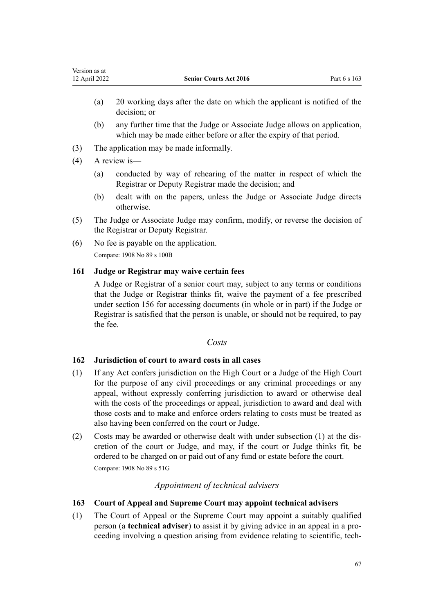- <span id="page-66-0"></span>(a) 20 working days after the date on which the applicant is notified of the decision; or
- (b) any further time that the Judge or Associate Judge allows on application, which may be made either before or after the expiry of that period.
- (3) The application may be made informally.
- (4) A review is—
	- (a) conducted by way of rehearing of the matter in respect of which the Registrar or Deputy Registrar made the decision; and
	- (b) dealt with on the papers, unless the Judge or Associate Judge directs otherwise.
- (5) The Judge or Associate Judge may confirm, modify, or reverse the decision of the Registrar or Deputy Registrar.
- (6) No fee is payable on the application. Compare: 1908 No 89 [s 100B](http://legislation.govt.nz/pdflink.aspx?id=DLM147648)

# **161 Judge or Registrar may waive certain fees**

A Judge or Registrar of a senior court may, subject to any terms or conditions that the Judge or Registrar thinks fit, waive the payment of a fee prescribed under [section 156](#page-63-0) for accessing documents (in whole or in part) if the Judge or Registrar is satisfied that the person is unable, or should not be required, to pay the fee.

# *Costs*

# **162 Jurisdiction of court to award costs in all cases**

- (1) If any Act confers jurisdiction on the High Court or a Judge of the High Court for the purpose of any civil proceedings or any criminal proceedings or any appeal, without expressly conferring jurisdiction to award or otherwise deal with the costs of the proceedings or appeal, jurisdiction to award and deal with those costs and to make and enforce orders relating to costs must be treated as also having been conferred on the court or Judge.
- (2) Costs may be awarded or otherwise dealt with under subsection (1) at the dis‐ cretion of the court or Judge, and may, if the court or Judge thinks fit, be ordered to be charged on or paid out of any fund or estate before the court. Compare: 1908 No 89 [s 51G](http://legislation.govt.nz/pdflink.aspx?id=DLM146621)

# *Appointment of technical advisers*

# **163 Court of Appeal and Supreme Court may appoint technical advisers**

(1) The Court of Appeal or the Supreme Court may appoint a suitably qualified person (a **technical adviser**) to assist it by giving advice in an appeal in a pro‐ ceeding involving a question arising from evidence relating to scientific, tech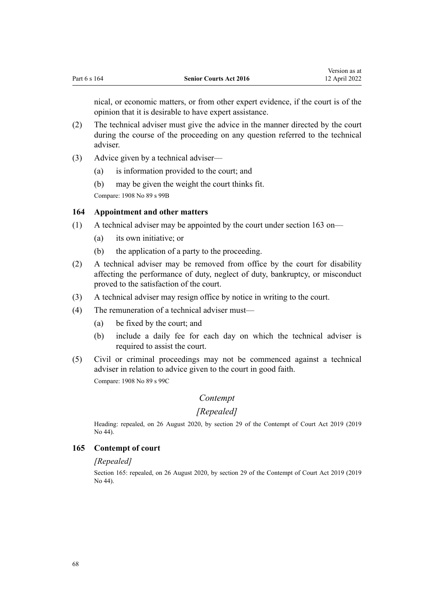nical, or economic matters, or from other expert evidence, if the court is of the opinion that it is desirable to have expert assistance.

- (2) The technical adviser must give the advice in the manner directed by the court during the course of the proceeding on any question referred to the technical adviser.
- (3) Advice given by a technical adviser—
	- (a) is information provided to the court; and
	- (b) may be given the weight the court thinks fit.

Compare: 1908 No 89 [s 99B](http://legislation.govt.nz/pdflink.aspx?id=DLM147630)

## **164 Appointment and other matters**

- (1) A technical adviser may be appointed by the court under [section 163](#page-66-0) on—
	- (a) its own initiative; or
	- (b) the application of a party to the proceeding.
- (2) A technical adviser may be removed from office by the court for disability affecting the performance of duty, neglect of duty, bankruptcy, or misconduct proved to the satisfaction of the court.
- (3) A technical adviser may resign office by notice in writing to the court.
- (4) The remuneration of a technical adviser must—
	- (a) be fixed by the court; and
	- (b) include a daily fee for each day on which the technical adviser is required to assist the court.
- (5) Civil or criminal proceedings may not be commenced against a technical adviser in relation to advice given to the court in good faith. Compare: 1908 No 89 [s 99C](http://legislation.govt.nz/pdflink.aspx?id=DLM147635)

# *Contempt*

#### *[Repealed]*

Heading: repealed, on 26 August 2020, by [section 29](http://legislation.govt.nz/pdflink.aspx?id=LMS24838) of the Contempt of Court Act 2019 (2019 No 44).

#### **165 Contempt of court**

#### *[Repealed]*

Section 165: repealed, on 26 August 2020, by [section 29](http://legislation.govt.nz/pdflink.aspx?id=LMS24838) of the Contempt of Court Act 2019 (2019 No 44).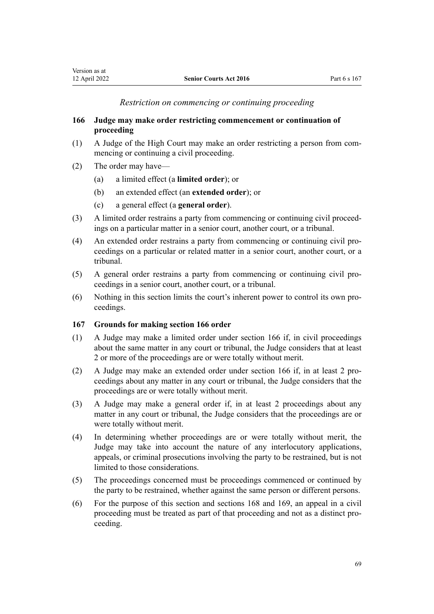# *Restriction on commencing or continuing proceeding*

# <span id="page-68-0"></span>**166 Judge may make order restricting commencement or continuation of proceeding**

- (1) A Judge of the High Court may make an order restricting a person from com‐ mencing or continuing a civil proceeding.
- (2) The order may have—
	- (a) a limited effect (a **limited order**); or
	- (b) an extended effect (an **extended order**); or
	- (c) a general effect (a **general order**).
- (3) A limited order restrains a party from commencing or continuing civil proceed‐ ings on a particular matter in a senior court, another court, or a tribunal.
- (4) An extended order restrains a party from commencing or continuing civil pro‐ ceedings on a particular or related matter in a senior court, another court, or a tribunal.
- (5) A general order restrains a party from commencing or continuing civil pro‐ ceedings in a senior court, another court, or a tribunal.
- (6) Nothing in this section limits the court's inherent power to control its own pro‐ ceedings.

# **167 Grounds for making section 166 order**

- (1) A Judge may make a limited order under section 166 if, in civil proceedings about the same matter in any court or tribunal, the Judge considers that at least 2 or more of the proceedings are or were totally without merit.
- (2) A Judge may make an extended order under section 166 if, in at least 2 pro‐ ceedings about any matter in any court or tribunal, the Judge considers that the proceedings are or were totally without merit.
- (3) A Judge may make a general order if, in at least 2 proceedings about any matter in any court or tribunal, the Judge considers that the proceedings are or were totally without merit.
- (4) In determining whether proceedings are or were totally without merit, the Judge may take into account the nature of any interlocutory applications, appeals, or criminal prosecutions involving the party to be restrained, but is not limited to those considerations.
- (5) The proceedings concerned must be proceedings commenced or continued by the party to be restrained, whether against the same person or different persons.
- (6) For the purpose of this section and [sections 168](#page-69-0) and [169](#page-69-0), an appeal in a civil proceeding must be treated as part of that proceeding and not as a distinct pro‐ ceeding.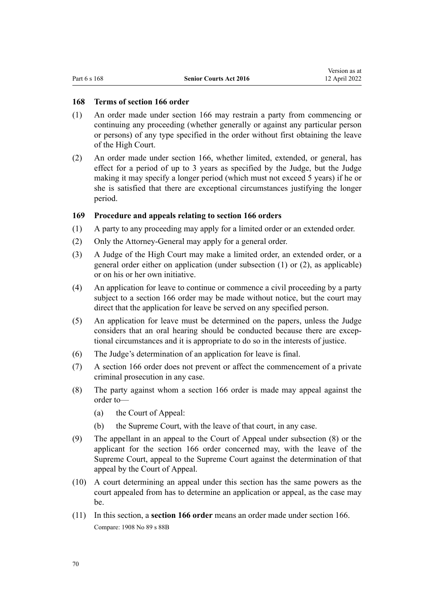#### <span id="page-69-0"></span>**168 Terms of section 166 order**

- (1) An order made under [section 166](#page-68-0) may restrain a party from commencing or continuing any proceeding (whether generally or against any particular person or persons) of any type specified in the order without first obtaining the leave of the High Court.
- (2) An order made under [section 166](#page-68-0), whether limited, extended, or general, has effect for a period of up to 3 years as specified by the Judge, but the Judge making it may specify a longer period (which must not exceed 5 years) if he or she is satisfied that there are exceptional circumstances justifying the longer period.

# **169 Procedure and appeals relating to section 166 orders**

- (1) A party to any proceeding may apply for a limited order or an extended order.
- (2) Only the Attorney-General may apply for a general order.
- (3) A Judge of the High Court may make a limited order, an extended order, or a general order either on application (under subsection (1) or (2), as applicable) or on his or her own initiative.
- (4) An application for leave to continue or commence a civil proceeding by a party subject to a [section 166](#page-68-0) order may be made without notice, but the court may direct that the application for leave be served on any specified person.
- (5) An application for leave must be determined on the papers, unless the Judge considers that an oral hearing should be conducted because there are exceptional circumstances and it is appropriate to do so in the interests of justice.
- (6) The Judge's determination of an application for leave is final.
- (7) A [section 166](#page-68-0) order does not prevent or affect the commencement of a private criminal prosecution in any case.
- (8) The party against whom a [section 166](#page-68-0) order is made may appeal against the order to—
	- (a) the Court of Appeal:
	- (b) the Supreme Court, with the leave of that court, in any case.
- (9) The appellant in an appeal to the Court of Appeal under subsection (8) or the applicant for the [section 166](#page-68-0) order concerned may, with the leave of the Supreme Court, appeal to the Supreme Court against the determination of that appeal by the Court of Appeal.
- (10) A court determining an appeal under this section has the same powers as the court appealed from has to determine an application or appeal, as the case may be.
- (11) In this section, a **section 166 order** means an order made under [section 166](#page-68-0). Compare: 1908 No 89 [s 88B](http://legislation.govt.nz/pdflink.aspx?id=DLM147394)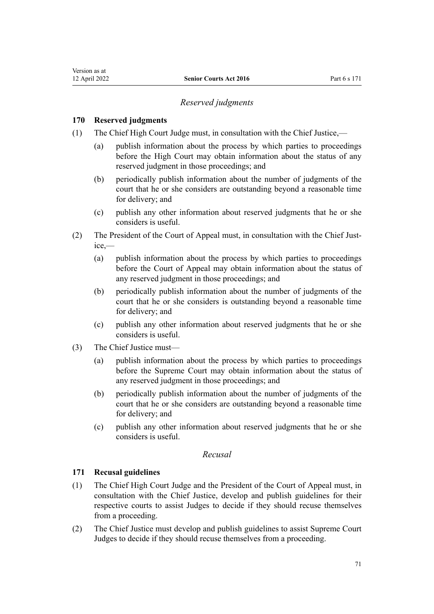#### **170 Reserved judgments**

Version as at

- (1) The Chief High Court Judge must, in consultation with the Chief Justice,—
	- (a) publish information about the process by which parties to proceedings before the High Court may obtain information about the status of any reserved judgment in those proceedings; and
	- (b) periodically publish information about the number of judgments of the court that he or she considers are outstanding beyond a reasonable time for delivery; and
	- (c) publish any other information about reserved judgments that he or she considers is useful.
- (2) The President of the Court of Appeal must, in consultation with the Chief Justice,—
	- (a) publish information about the process by which parties to proceedings before the Court of Appeal may obtain information about the status of any reserved judgment in those proceedings; and
	- (b) periodically publish information about the number of judgments of the court that he or she considers is outstanding beyond a reasonable time for delivery; and
	- (c) publish any other information about reserved judgments that he or she considers is useful.
- (3) The Chief Justice must—
	- (a) publish information about the process by which parties to proceedings before the Supreme Court may obtain information about the status of any reserved judgment in those proceedings; and
	- (b) periodically publish information about the number of judgments of the court that he or she considers are outstanding beyond a reasonable time for delivery; and
	- (c) publish any other information about reserved judgments that he or she considers is useful.

# *Recusal*

#### **171 Recusal guidelines**

- (1) The Chief High Court Judge and the President of the Court of Appeal must, in consultation with the Chief Justice, develop and publish guidelines for their respective courts to assist Judges to decide if they should recuse themselves from a proceeding.
- (2) The Chief Justice must develop and publish guidelines to assist Supreme Court Judges to decide if they should recuse themselves from a proceeding.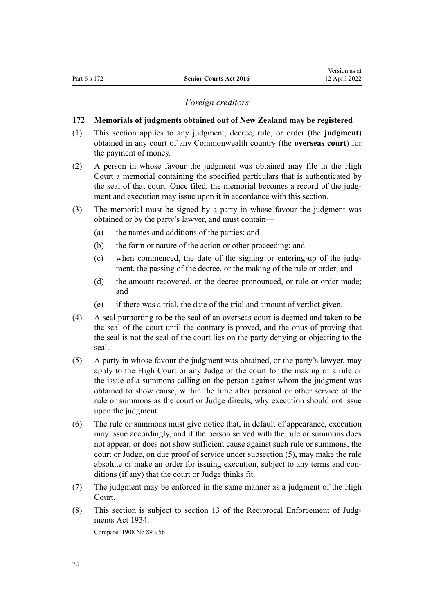#### *Foreign creditors*

#### <span id="page-71-0"></span>**172 Memorials of judgments obtained out of New Zealand may be registered**

- (1) This section applies to any judgment, decree, rule, or order (the **judgment**) obtained in any court of any Commonwealth country (the **overseas court**) for the payment of money.
- (2) A person in whose favour the judgment was obtained may file in the High Court a memorial containing the specified particulars that is authenticated by the seal of that court. Once filed, the memorial becomes a record of the judgment and execution may issue upon it in accordance with this section.
- (3) The memorial must be signed by a party in whose favour the judgment was obtained or by the party's lawyer, and must contain—
	- (a) the names and additions of the parties; and
	- (b) the form or nature of the action or other proceeding; and
	- (c) when commenced, the date of the signing or entering-up of the judgment, the passing of the decree, or the making of the rule or order; and
	- (d) the amount recovered, or the decree pronounced, or rule or order made; and
	- (e) if there was a trial, the date of the trial and amount of verdict given.
- (4) A seal purporting to be the seal of an overseas court is deemed and taken to be the seal of the court until the contrary is proved, and the onus of proving that the seal is not the seal of the court lies on the party denying or objecting to the seal.
- (5) A party in whose favour the judgment was obtained, or the party's lawyer, may apply to the High Court or any Judge of the court for the making of a rule or the issue of a summons calling on the person against whom the judgment was obtained to show cause, within the time after personal or other service of the rule or summons as the court or Judge directs, why execution should not issue upon the judgment.
- (6) The rule or summons must give notice that, in default of appearance, execution may issue accordingly, and if the person served with the rule or summons does not appear, or does not show sufficient cause against such rule or summons, the court or Judge, on due proof of service under subsection (5), may make the rule absolute or make an order for issuing execution, subject to any terms and conditions (if any) that the court or Judge thinks fit.
- (7) The judgment may be enforced in the same manner as a judgment of the High Court.
- (8) This section is subject to [section 13](http://legislation.govt.nz/pdflink.aspx?id=DLM216729) of the Reciprocal Enforcement of Judgments Act 1934. Compare: 1908 No 89 [s 56](http://legislation.govt.nz/pdflink.aspx?id=DLM146660)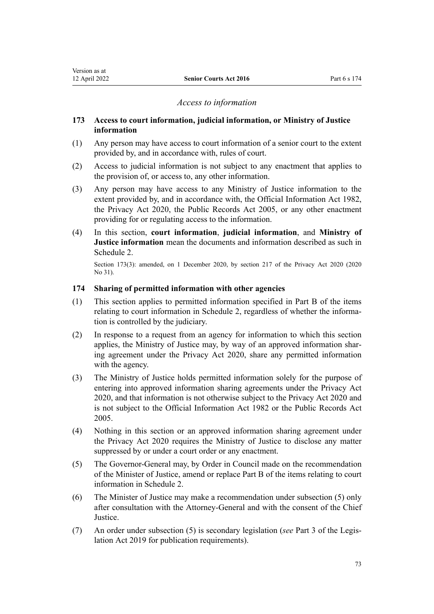#### *Access to information*

#### <span id="page-72-0"></span>**173 Access to court information, judicial information, or Ministry of Justice information**

- (1) Any person may have access to court information of a senior court to the extent provided by, and in accordance with, rules of court.
- (2) Access to judicial information is not subject to any enactment that applies to the provision of, or access to, any other information.
- (3) Any person may have access to any Ministry of Justice information to the extent provided by, and in accordance with, the [Official Information Act 1982](http://legislation.govt.nz/pdflink.aspx?id=DLM64784), the [Privacy Act 2020,](http://legislation.govt.nz/pdflink.aspx?id=LMS23193) the [Public Records Act 2005,](http://legislation.govt.nz/pdflink.aspx?id=DLM345528) or any other enactment providing for or regulating access to the information.
- (4) In this section, **court information**, **judicial information**, and **Ministry of Justice information** mean the documents and information described as such in [Schedule 2.](#page-85-0)

Section 173(3): amended, on 1 December 2020, by [section 217](http://legislation.govt.nz/pdflink.aspx?id=LMS23706) of the Privacy Act 2020 (2020 No 31).

#### **174 Sharing of permitted information with other agencies**

- (1) This section applies to permitted information specified in [Part B](#page-85-0) of the items relating to court information in Schedule 2, regardless of whether the information is controlled by the judiciary.
- (2) In response to a request from an agency for information to which this section applies, the Ministry of Justice may, by way of an approved information shar‐ ing agreement under the [Privacy Act 2020](http://legislation.govt.nz/pdflink.aspx?id=LMS23193), share any permitted information with the agency.
- (3) The Ministry of Justice holds permitted information solely for the purpose of entering into approved information sharing agreements under the [Privacy Act](http://legislation.govt.nz/pdflink.aspx?id=LMS23193) [2020](http://legislation.govt.nz/pdflink.aspx?id=LMS23193), and that information is not otherwise subject to the Privacy Act 2020 and is not subject to the [Official Information Act 1982](http://legislation.govt.nz/pdflink.aspx?id=DLM64784) or the [Public Records Act](http://legislation.govt.nz/pdflink.aspx?id=DLM345528) [2005](http://legislation.govt.nz/pdflink.aspx?id=DLM345528).
- (4) Nothing in this section or an approved information sharing agreement under the [Privacy Act 2020](http://legislation.govt.nz/pdflink.aspx?id=LMS23193) requires the Ministry of Justice to disclose any matter suppressed by or under a court order or any enactment.
- (5) The Governor-General may, by Order in Council made on the recommendation of the Minister of Justice, amend or replace [Part B](#page-85-0) of the items relating to court information in Schedule 2.
- (6) The Minister of Justice may make a recommendation under subsection (5) only after consultation with the Attorney-General and with the consent of the Chief **Justice**
- (7) An order under subsection (5) is secondary legislation (*see* [Part 3](http://legislation.govt.nz/pdflink.aspx?id=DLM7298343) of the Legis‐ lation Act 2019 for publication requirements).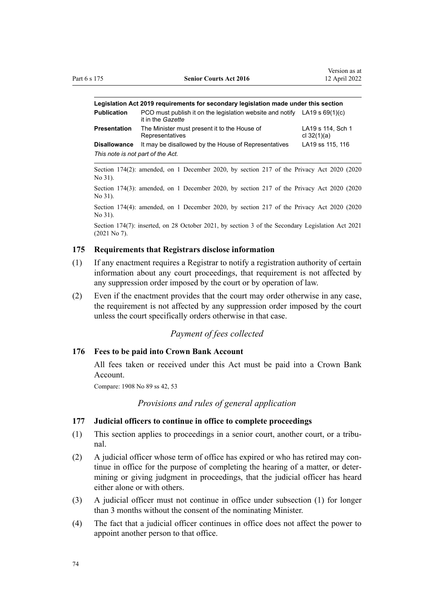| Legislation Act 2019 requirements for secondary legislation made under this section |                                                                                                  |                                    |  |  |  |
|-------------------------------------------------------------------------------------|--------------------------------------------------------------------------------------------------|------------------------------------|--|--|--|
| <b>Publication</b>                                                                  | PCO must publish it on the legislation website and notify LA19 s $69(1)(c)$<br>it in the Gazette |                                    |  |  |  |
| Presentation                                                                        | The Minister must present it to the House of<br>Representatives                                  | LA19 s 114, Sch 1<br>cl $32(1)(a)$ |  |  |  |
| <b>Disallowance</b>                                                                 | It may be disallowed by the House of Representatives                                             | LA19 ss 115, 116                   |  |  |  |
| This note is not part of the Act.                                                   |                                                                                                  |                                    |  |  |  |

Section 174(2): amended, on 1 December 2020, by [section 217](http://legislation.govt.nz/pdflink.aspx?id=LMS23706) of the Privacy Act 2020 (2020 No 31).

Section 174(3): amended, on 1 December 2020, by [section 217](http://legislation.govt.nz/pdflink.aspx?id=LMS23706) of the Privacy Act 2020 (2020 No 31).

Section 174(4): amended, on 1 December 2020, by [section 217](http://legislation.govt.nz/pdflink.aspx?id=LMS23706) of the Privacy Act 2020 (2020 No 31).

Section 174(7): inserted, on 28 October 2021, by [section 3](http://legislation.govt.nz/pdflink.aspx?id=LMS268932) of the Secondary Legislation Act 2021 (2021 No 7).

#### **175 Requirements that Registrars disclose information**

- (1) If any enactment requires a Registrar to notify a registration authority of certain information about any court proceedings, that requirement is not affected by any suppression order imposed by the court or by operation of law.
- (2) Even if the enactment provides that the court may order otherwise in any case, the requirement is not affected by any suppression order imposed by the court unless the court specifically orders otherwise in that case.

# *Payment of fees collected*

#### **176 Fees to be paid into Crown Bank Account**

All fees taken or received under this Act must be paid into a Crown Bank Account.

Compare: 1908 No 89 [ss 42,](http://legislation.govt.nz/pdflink.aspx?id=DLM146472) [53](http://legislation.govt.nz/pdflink.aspx?id=DLM146627)

#### *Provisions and rules of general application*

#### **177 Judicial officers to continue in office to complete proceedings**

- (1) This section applies to proceedings in a senior court, another court, or a tribu‐ nal.
- (2) A judicial officer whose term of office has expired or who has retired may continue in office for the purpose of completing the hearing of a matter, or determining or giving judgment in proceedings, that the judicial officer has heard either alone or with others.
- (3) A judicial officer must not continue in office under subsection (1) for longer than 3 months without the consent of the nominating Minister.
- (4) The fact that a judicial officer continues in office does not affect the power to appoint another person to that office.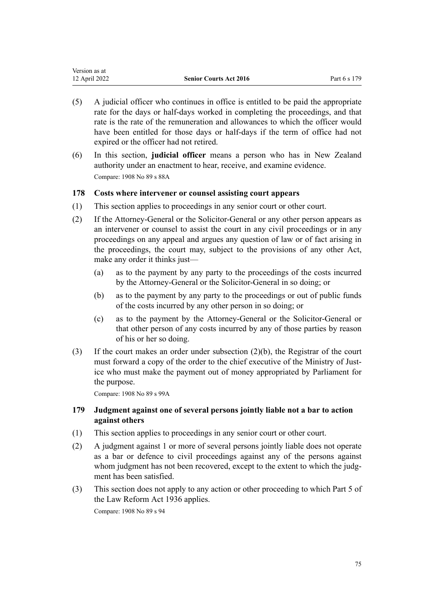| Version as at |                               |              |
|---------------|-------------------------------|--------------|
| 12 April 2022 | <b>Senior Courts Act 2016</b> | Part 6 s 179 |

- (5) A judicial officer who continues in office is entitled to be paid the appropriate rate for the days or half-days worked in completing the proceedings, and that rate is the rate of the remuneration and allowances to which the officer would have been entitled for those days or half-days if the term of office had not expired or the officer had not retired.
- (6) In this section, **judicial officer** means a person who has in New Zealand authority under an enactment to hear, receive, and examine evidence. Compare: 1908 No 89 [s 88A](http://legislation.govt.nz/pdflink.aspx?id=DLM147390)

## **178 Costs where intervener or counsel assisting court appears**

- (1) This section applies to proceedings in any senior court or other court.
- (2) If the Attorney-General or the Solicitor-General or any other person appears as an intervener or counsel to assist the court in any civil proceedings or in any proceedings on any appeal and argues any question of law or of fact arising in the proceedings, the court may, subject to the provisions of any other Act, make any order it thinks just—
	- (a) as to the payment by any party to the proceedings of the costs incurred by the Attorney-General or the Solicitor-General in so doing; or
	- (b) as to the payment by any party to the proceedings or out of public funds of the costs incurred by any other person in so doing; or
	- (c) as to the payment by the Attorney-General or the Solicitor-General or that other person of any costs incurred by any of those parties by reason of his or her so doing.
- (3) If the court makes an order under subsection (2)(b), the Registrar of the court must forward a copy of the order to the chief executive of the Ministry of Justice who must make the payment out of money appropriated by Parliament for the purpose.

Compare: 1908 No 89 [s 99A](http://legislation.govt.nz/pdflink.aspx?id=DLM147626)

## **179 Judgment against one of several persons jointly liable not a bar to action against others**

- (1) This section applies to proceedings in any senior court or other court.
- (2) A judgment against 1 or more of several persons jointly liable does not operate as a bar or defence to civil proceedings against any of the persons against whom judgment has not been recovered, except to the extent to which the judgment has been satisfied.
- (3) This section does not apply to any action or other proceeding to which [Part 5](http://legislation.govt.nz/pdflink.aspx?id=DLM219806) of the Law Reform Act 1936 applies.

Compare: 1908 No 89 [s 94](http://legislation.govt.nz/pdflink.aspx?id=DLM147608)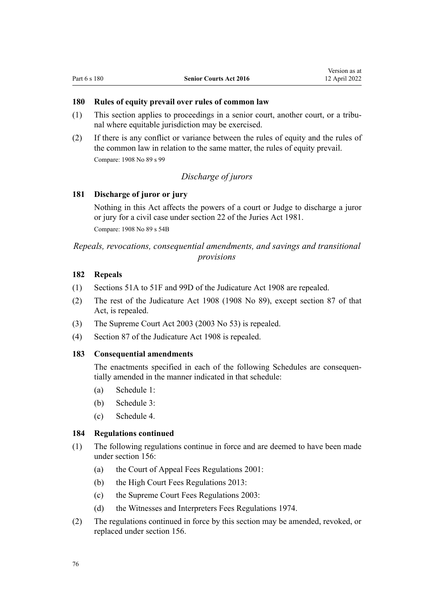#### <span id="page-75-0"></span>**180 Rules of equity prevail over rules of common law**

- (1) This section applies to proceedings in a senior court, another court, or a tribu‐ nal where equitable jurisdiction may be exercised.
- (2) If there is any conflict or variance between the rules of equity and the rules of the common law in relation to the same matter, the rules of equity prevail. Compare: 1908 No 89 [s 99](http://legislation.govt.nz/pdflink.aspx?id=DLM147625)

# *Discharge of jurors*

#### **181 Discharge of juror or jury**

Nothing in this Act affects the powers of a court or Judge to discharge a juror or jury for a civil case under [section 22](http://legislation.govt.nz/pdflink.aspx?id=DLM44822) of the Juries Act 1981. Compare: 1908 No 89 [s 54B](http://legislation.govt.nz/pdflink.aspx?id=DLM146640)

*Repeals, revocations, consequential amendments, and savings and transitional provisions*

# **182 Repeals**

- (1) [Sections 51A to 51F](http://legislation.govt.nz/pdflink.aspx?id=DLM146496) and [99D](http://legislation.govt.nz/pdflink.aspx?id=DLM147637) of the Judicature Act 1908 are repealed.
- (2) The rest of the [Judicature Act 1908](http://legislation.govt.nz/pdflink.aspx?id=DLM144692) (1908 No 89), except [section 87](http://legislation.govt.nz/pdflink.aspx?id=DLM147379) of that Act, is repealed.
- (3) The [Supreme Court Act 2003](http://legislation.govt.nz/pdflink.aspx?id=DLM214027) (2003 No 53) is repealed.
- (4) [Section 87](http://legislation.govt.nz/pdflink.aspx?id=DLM147379) of the Judicature Act 1908 is repealed.

#### **183 Consequential amendments**

The enactments specified in each of the following Schedules are consequentially amended in the manner indicated in that schedule:

- (a) [Schedule 1:](#page-77-0)
- (b) [Schedule 3:](#page-88-0)
- (c) [Schedule 4.](#page-100-0)

#### **184 Regulations continued**

- (1) The following regulations continue in force and are deemed to have been made under [section 156:](#page-63-0)
	- (a) the [Court of Appeal Fees Regulations 2001:](http://legislation.govt.nz/pdflink.aspx?id=DLM87087)
	- (b) the [High Court Fees Regulations 2013:](http://legislation.govt.nz/pdflink.aspx?id=DLM5196100)
	- (c) the [Supreme Court Fees Regulations 2003:](http://legislation.govt.nz/pdflink.aspx?id=DLM229162)
	- (d) the [Witnesses and Interpreters Fees Regulations 1974](http://legislation.govt.nz/pdflink.aspx?id=DLM42088).
- (2) The regulations continued in force by this section may be amended, revoked, or replaced under [section 156.](#page-63-0)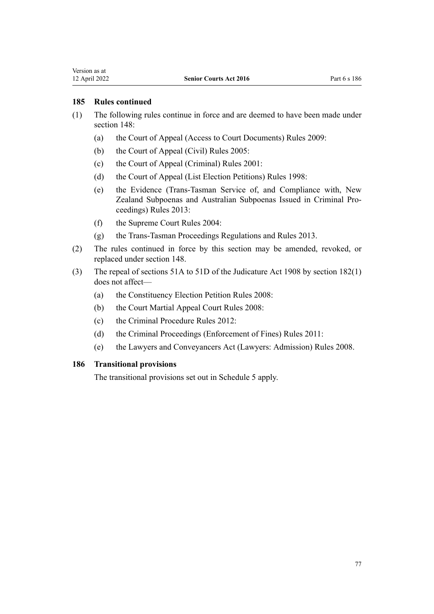#### **185 Rules continued**

- (1) The following rules continue in force and are deemed to have been made under section 148:
	- (a) the [Court of Appeal \(Access to Court Documents\) Rules 2009](http://legislation.govt.nz/pdflink.aspx?id=DLM2619900):
	- (b) the [Court of Appeal \(Civil\) Rules 2005](http://legislation.govt.nz/pdflink.aspx?id=DLM319745):
	- (c) the [Court of Appeal \(Criminal\) Rules 2001](http://legislation.govt.nz/pdflink.aspx?id=DLM95708):
	- (d) the [Court of Appeal \(List Election Petitions\) Rules 1998:](http://legislation.govt.nz/pdflink.aspx?id=DLM263362)
	- (e) the [Evidence \(Trans-Tasman Service of, and Compliance with, New](http://legislation.govt.nz/pdflink.aspx?id=DLM5500000) [Zealand Subpoenas and Australian Subpoenas Issued in Criminal Pro‐](http://legislation.govt.nz/pdflink.aspx?id=DLM5500000) [ceedings\) Rules 2013](http://legislation.govt.nz/pdflink.aspx?id=DLM5500000):
	- (f) the [Supreme Court Rules 2004](http://legislation.govt.nz/pdflink.aspx?id=DLM270804):
	- (g) the [Trans-Tasman Proceedings Regulations and Rules 2013.](http://legislation.govt.nz/pdflink.aspx?id=DLM5500300)
- (2) The rules continued in force by this section may be amended, revoked, or replaced under [section 148.](#page-59-0)
- (3) The repeal of [sections 51A to 51D](http://legislation.govt.nz/pdflink.aspx?id=DLM146496) of the Judicature Act 1908 by [section 182\(1\)](#page-75-0) does not affect—
	- (a) the [Constituency Election Petition Rules 2008:](http://legislation.govt.nz/pdflink.aspx?id=DLM1647200)
	- (b) the [Court Martial Appeal Court Rules 2008](http://legislation.govt.nz/pdflink.aspx?id=DLM1454720):
	- (c) the [Criminal Procedure Rules 2012](http://legislation.govt.nz/pdflink.aspx?id=DLM4914716):
	- (d) the [Criminal Proceedings \(Enforcement of Fines\) Rules 2011:](http://legislation.govt.nz/pdflink.aspx?id=DLM4120612)
	- (e) the [Lawyers and Conveyancers Act \(Lawyers: Admission\) Rules 2008.](http://legislation.govt.nz/pdflink.aspx?id=DLM1386700)

#### **186 Transitional provisions**

The transitional provisions set out in [Schedule 5](#page-109-0) apply.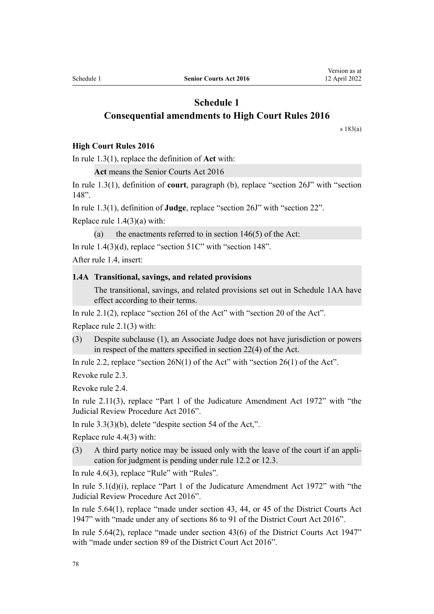# <span id="page-77-0"></span>**Schedule 1 Consequential amendments to High Court Rules 2016**

[s 183\(a\)](#page-75-0)

#### **High Court Rules 2016**

In [rule 1.3\(1\)](http://legislation.govt.nz/pdflink.aspx?id=DLM6951106), replace the definition of **Act** with:

**Act** means the Senior Courts Act 2016

In [rule 1.3\(1\),](http://legislation.govt.nz/pdflink.aspx?id=DLM6951106) definition of **court**, paragraph (b), replace "section 26J" with "section 148".

In [rule 1.3\(1\)](http://legislation.govt.nz/pdflink.aspx?id=DLM6951106), definition of **Judge**, replace "section 26J" with "section 22".

Replace [rule 1.4\(3\)\(a\)](http://legislation.govt.nz/pdflink.aspx?id=DLM6951195) with:

(a) the enactments referred to in section  $146(5)$  of the Act:

In rule  $1.4(3)(d)$ , replace "section  $51C$ " with "section  $148$ ".

After rule 1.4, insert:

#### **1.4A Transitional, savings, and related provisions**

The transitional, savings, and related provisions set out in Schedule 1AA have effect according to their terms.

In [rule 2.1\(2\)](http://legislation.govt.nz/pdflink.aspx?id=DLM6951229), replace "section 26I of the Act" with "section 20 of the Act".

Replace [rule 2.1\(3\)](http://legislation.govt.nz/pdflink.aspx?id=DLM6951229) with:

(3) Despite subclause (1), an Associate Judge does not have jurisdiction or powers in respect of the matters specified in section 22(4) of the Act.

In [rule 2.2,](http://legislation.govt.nz/pdflink.aspx?id=DLM6951230) replace "section 26N(1) of the Act" with "section 26(1) of the Act".

Revoke [rule 2.3](http://legislation.govt.nz/pdflink.aspx?id=DLM6951231).

Revoke [rule 2.4](http://legislation.govt.nz/pdflink.aspx?id=DLM6951232).

In [rule 2.11\(3\),](http://legislation.govt.nz/pdflink.aspx?id=DLM6951241) replace "Part 1 of the Judicature Amendment Act 1972" with "the Judicial Review Procedure Act 2016".

In [rule 3.3\(3\)\(b\),](http://legislation.govt.nz/pdflink.aspx?id=DLM6951246) delete "despite section 54 of the Act,".

Replace [rule 4.4\(3\)](http://legislation.govt.nz/pdflink.aspx?id=DLM6951302) with:

(3) A third party notice may be issued only with the leave of the court if an appli‐ cation for judgment is pending under rule 12.2 or 12.3.

In [rule 4.6\(3\)](http://legislation.govt.nz/pdflink.aspx?id=DLM6951306), replace "Rule" with "Rules".

In [rule 5.1\(d\)\(i\),](http://legislation.govt.nz/pdflink.aspx?id=DLM6951394) replace "Part 1 of the Judicature Amendment Act 1972" with "the Judicial Review Procedure Act 2016".

In [rule 5.64\(1\),](http://legislation.govt.nz/pdflink.aspx?id=DLM6951490) replace "made under section 43, 44, or 45 of the District Courts Act 1947" with "made under any of sections 86 to 91 of the District Court Act 2016".

In [rule 5.64\(2\)](http://legislation.govt.nz/pdflink.aspx?id=DLM6951490), replace "made under section 43(6) of the District Courts Act 1947" with "made under section 89 of the District Court Act 2016".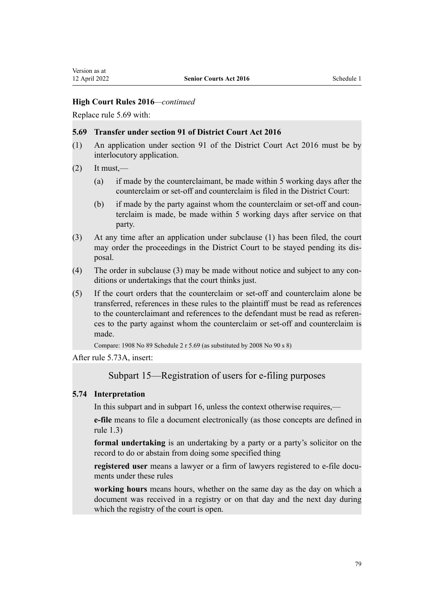Replace [rule 5.69](http://legislation.govt.nz/pdflink.aspx?id=DLM6951495) with:

#### **5.69 Transfer under section 91 of District Court Act 2016**

- (1) An application under section 91 of the District Court Act 2016 must be by interlocutory application.
- $(2)$  It must,—
	- (a) if made by the counterclaimant, be made within 5 working days after the counterclaim or set-off and counterclaim is filed in the District Court:
	- (b) if made by the party against whom the counterclaim or set-off and counterclaim is made, be made within 5 working days after service on that party.
- (3) At any time after an application under subclause (1) has been filed, the court may order the proceedings in the District Court to be stayed pending its disposal.
- (4) The order in subclause (3) may be made without notice and subject to any con‐ ditions or undertakings that the court thinks just.
- (5) If the court orders that the counterclaim or set-off and counterclaim alone be transferred, references in these rules to the plaintiff must be read as references to the counterclaimant and references to the defendant must be read as references to the party against whom the counterclaim or set-off and counterclaim is made.

Compare: 1908 No 89 Schedule 2 r 5.69 (as substituted by 2008 No 90 s 8)

After [rule 5.73A,](http://legislation.govt.nz/pdflink.aspx?id=DLM6951501) insert:

# Subpart 15—Registration of users for e-filing purposes

#### **5.74 Interpretation**

In this subpart and in subpart 16, unless the context otherwise requires,—

**e-file** means to file a document electronically (as those concepts are defined in rule 1.3)

**formal undertaking** is an undertaking by a party or a party's solicitor on the record to do or abstain from doing some specified thing

registered user means a lawyer or a firm of lawyers registered to e-file documents under these rules

**working hours** means hours, whether on the same day as the day on which a document was received in a registry or on that day and the next day during which the registry of the court is open.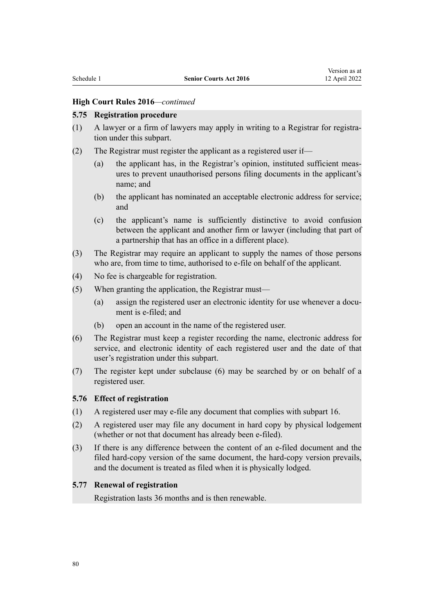#### **5.75 Registration procedure**

- $(1)$  A lawyer or a firm of lawyers may apply in writing to a Registrar for registration under this subpart.
- (2) The Registrar must register the applicant as a registered user if—
	- (a) the applicant has, in the Registrar's opinion, instituted sufficient meas‐ ures to prevent unauthorised persons filing documents in the applicant's name; and
	- (b) the applicant has nominated an acceptable electronic address for service; and
	- (c) the applicant's name is sufficiently distinctive to avoid confusion between the applicant and another firm or lawyer (including that part of a partnership that has an office in a different place).
- (3) The Registrar may require an applicant to supply the names of those persons who are, from time to time, authorised to e-file on behalf of the applicant.
- (4) No fee is chargeable for registration.
- (5) When granting the application, the Registrar must—
	- (a) assign the registered user an electronic identity for use whenever a document is e-filed; and
	- (b) open an account in the name of the registered user.
- (6) The Registrar must keep a register recording the name, electronic address for service, and electronic identity of each registered user and the date of that user's registration under this subpart.
- (7) The register kept under subclause (6) may be searched by or on behalf of a registered user.

#### **5.76 Effect of registration**

- (1) A registered user may e-file any document that complies with subpart 16.
- (2) A registered user may file any document in hard copy by physical lodgement (whether or not that document has already been e-filed).
- (3) If there is any difference between the content of an e-filed document and the filed hard-copy version of the same document, the hard-copy version prevails, and the document is treated as filed when it is physically lodged.

#### **5.77 Renewal of registration**

Registration lasts 36 months and is then renewable.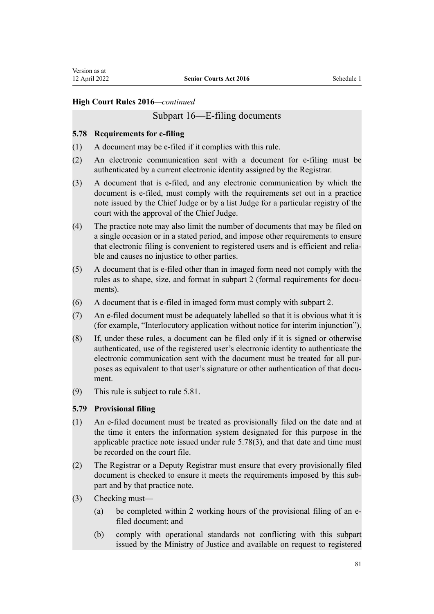# Subpart 16—E-filing documents

#### **5.78 Requirements for e-filing**

- (1) A document may be e-filed if it complies with this rule.
- (2) An electronic communication sent with a document for e-filing must be authenticated by a current electronic identity assigned by the Registrar.
- (3) A document that is e-filed, and any electronic communication by which the document is e-filed, must comply with the requirements set out in a practice note issued by the Chief Judge or by a list Judge for a particular registry of the court with the approval of the Chief Judge.
- (4) The practice note may also limit the number of documents that may be filed on a single occasion or in a stated period, and impose other requirements to ensure that electronic filing is convenient to registered users and is efficient and relia‐ ble and causes no injustice to other parties.
- (5) A document that is e-filed other than in imaged form need not comply with the rules as to shape, size, and format in subpart 2 (formal requirements for documents).
- (6) A document that is e-filed in imaged form must comply with subpart 2.
- (7) An e-filed document must be adequately labelled so that it is obvious what it is (for example, "Interlocutory application without notice for interim injunction").
- (8) If, under these rules, a document can be filed only if it is signed or otherwise authenticated, use of the registered user's electronic identity to authenticate the electronic communication sent with the document must be treated for all purposes as equivalent to that user's signature or other authentication of that document.
- (9) This rule is subject to rule 5.81.

#### **5.79 Provisional filing**

- (1) An e-filed document must be treated as provisionally filed on the date and at the time it enters the information system designated for this purpose in the applicable practice note issued under rule 5.78(3), and that date and time must be recorded on the court file.
- (2) The Registrar or a Deputy Registrar must ensure that every provisionally filed document is checked to ensure it meets the requirements imposed by this sub‐ part and by that practice note.
- (3) Checking must—
	- (a) be completed within 2 working hours of the provisional filing of an efiled document; and
	- (b) comply with operational standards not conflicting with this subpart issued by the Ministry of Justice and available on request to registered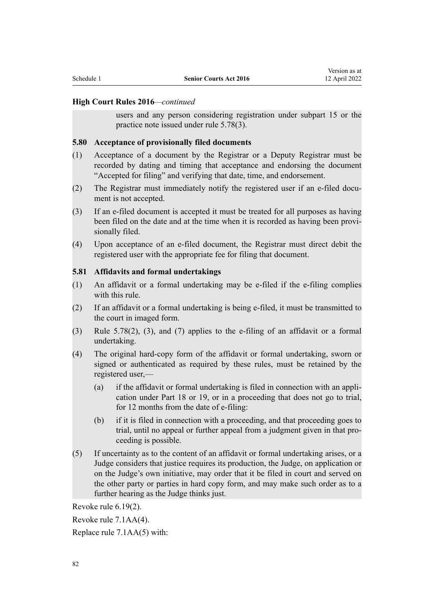users and any person considering registration under subpart 15 or the practice note issued under rule 5.78(3).

#### **5.80 Acceptance of provisionally filed documents**

- (1) Acceptance of a document by the Registrar or a Deputy Registrar must be recorded by dating and timing that acceptance and endorsing the document "Accepted for filing" and verifying that date, time, and endorsement.
- (2) The Registrar must immediately notify the registered user if an e-filed document is not accepted.
- (3) If an e-filed document is accepted it must be treated for all purposes as having been filed on the date and at the time when it is recorded as having been provisionally filed.
- (4) Upon acceptance of an e-filed document, the Registrar must direct debit the registered user with the appropriate fee for filing that document.

#### **5.81 Affidavits and formal undertakings**

- (1) An affidavit or a formal undertaking may be e-filed if the e-filing complies with this rule.
- (2) If an affidavit or a formal undertaking is being e-filed, it must be transmitted to the court in imaged form.
- (3) Rule 5.78(2), (3), and (7) applies to the e-filing of an affidavit or a formal undertaking.
- (4) The original hard-copy form of the affidavit or formal undertaking, sworn or signed or authenticated as required by these rules, must be retained by the registered user,—
	- (a) if the affidavit or formal undertaking is filed in connection with an appli‐ cation under Part 18 or 19, or in a proceeding that does not go to trial, for 12 months from the date of e-filing:
	- (b) if it is filed in connection with a proceeding, and that proceeding goes to trial, until no appeal or further appeal from a judgment given in that pro‐ ceeding is possible.
- (5) If uncertainty as to the content of an affidavit or formal undertaking arises, or a Judge considers that justice requires its production, the Judge, on application or on the Judge's own initiative, may order that it be filed in court and served on the other party or parties in hard copy form, and may make such order as to a further hearing as the Judge thinks just.

Revoke [rule 6.19\(2\).](http://legislation.govt.nz/pdflink.aspx?id=DLM6951543)

Revoke [rule 7.1AA\(4\)](http://legislation.govt.nz/pdflink.aspx?id=DLM6951569).

Replace [rule 7.1AA\(5\)](http://legislation.govt.nz/pdflink.aspx?id=DLM6951569) with: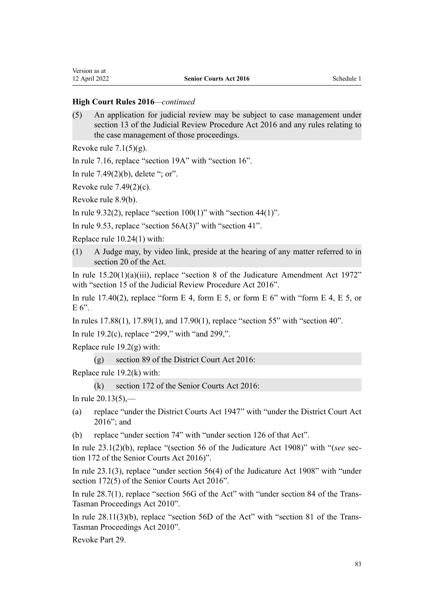(5) An application for judicial review may be subject to case management under section 13 of the Judicial Review Procedure Act 2016 and any rules relating to the case management of those proceedings.

Revoke rule  $7.1(5)(g)$ .

In [rule 7.16,](http://legislation.govt.nz/pdflink.aspx?id=DLM6951621) replace "section 19A" with "section 16".

In [rule 7.49\(2\)\(b\)](http://legislation.govt.nz/pdflink.aspx?id=DLM6951664), delete "; or".

Revoke [rule 7.49\(2\)\(c\)](http://legislation.govt.nz/pdflink.aspx?id=DLM6951664).

Revoke [rule 8.9\(b\).](http://legislation.govt.nz/pdflink.aspx?id=DLM6951741)

In [rule 9.32\(2\),](http://legislation.govt.nz/pdflink.aspx?id=DLM6951886) replace "section  $100(1)$ " with "section 44(1)".

In [rule 9.53,](http://legislation.govt.nz/pdflink.aspx?id=DLM6951915) replace "section  $56A(3)$ " with "section 41".

Replace [rule 10.24\(1\)](http://legislation.govt.nz/pdflink.aspx?id=DLM6952019) with:

(1) A Judge may, by video link, preside at the hearing of any matter referred to in section 20 of the Act.

In [rule 15.20\(1\)\(a\)\(iii\),](http://legislation.govt.nz/pdflink.aspx?id=DLM6952180) replace "section 8 of the Judicature Amendment Act 1972" with "section 15 of the Judicial Review Procedure Act 2016".

In [rule 17.40\(2\)](http://legislation.govt.nz/pdflink.aspx?id=DLM6952311), replace "form E 4, form E 5, or form E 6" with "form E 4, E 5, or  $E 6$ ".

In [rules 17.88\(1\)](http://legislation.govt.nz/pdflink.aspx?id=DLM6952365), [17.89\(1\)](http://legislation.govt.nz/pdflink.aspx?id=DLM6952366), and [17.90\(1\),](http://legislation.govt.nz/pdflink.aspx?id=DLM6952367) replace "section 55" with "section 40".

In [rule 19.2\(c\)](http://legislation.govt.nz/pdflink.aspx?id=DLM6952401), replace "299," with "and 299,".

Replace rule  $19.2(g)$  with:

(g) section 89 of the District Court Act 2016:

Replace [rule 19.2\(k\)](http://legislation.govt.nz/pdflink.aspx?id=DLM6952401) with:

(k) section 172 of the Senior Courts Act 2016:

In [rule 20.13\(5\),](http://legislation.govt.nz/pdflink.aspx?id=DLM6952459)—

- (a) replace "under the District Courts Act 1947" with "under the District Court Act 2016"; and
- (b) replace "under section 74" with "under section 126 of that Act".

In [rule 23.1\(2\)\(b\),](http://legislation.govt.nz/pdflink.aspx?id=DLM6952568) replace "(section 56 of the Judicature Act 1908)" with "(*see* section 172 of the Senior Courts Act 2016)".

In [rule 23.1\(3\),](http://legislation.govt.nz/pdflink.aspx?id=DLM6952568) replace "under section 56(4) of the Judicature Act 1908" with "under section 172(5) of the Senior Courts Act 2016".

In [rule 28.7\(1\),](http://legislation.govt.nz/pdflink.aspx?id=DLM6952931) replace "section 56G of the Act" with "under section 84 of the Trans-Tasman Proceedings Act 2010".

In rule  $28.11(3)(b)$ , replace "section 56D of the Act" with "section 81 of the Trans-Tasman Proceedings Act 2010".

Revoke [Part 29](http://legislation.govt.nz/pdflink.aspx?id=DLM6952938).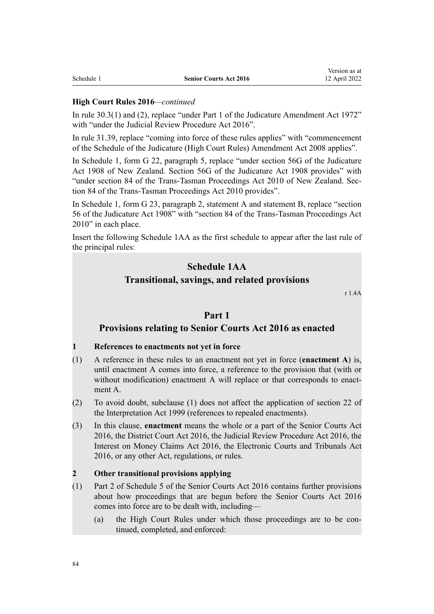In [rule 30.3\(1\) and \(2\)](http://legislation.govt.nz/pdflink.aspx?id=DLM6952971), replace "under Part 1 of the Judicature Amendment Act 1972" with "under the Judicial Review Procedure Act 2016".

In [rule 31.39](http://legislation.govt.nz/pdflink.aspx?id=DLM6953027), replace "coming into force of these rules applies" with "commencement of the Schedule of the Judicature (High Court Rules) Amendment Act 2008 applies".

In Schedule 1, [form G 22](http://legislation.govt.nz/pdflink.aspx?id=DLM6953127), paragraph 5, replace "under section 56G of the Judicature Act 1908 of New Zealand. Section 56G of the Judicature Act 1908 provides" with "under section 84 of the Trans-Tasman Proceedings Act 2010 of New Zealand. Section 84 of the Trans-Tasman Proceedings Act 2010 provides".

In Schedule 1, [form G 23,](http://legislation.govt.nz/pdflink.aspx?id=DLM6953128) paragraph 2, statement A and statement B, replace "section 56 of the Judicature Act 1908" with "section 84 of the Trans-Tasman Proceedings Act 2010" in each place.

Insert the following Schedule 1AA as the first schedule to appear after the last rule of the principal rules:

# **Schedule 1AA**

#### **Transitional, savings, and related provisions**

r 1.4A

# **Part 1**

# **Provisions relating to Senior Courts Act 2016 as enacted**

#### **1 References to enactments not yet in force**

- (1) A reference in these rules to an enactment not yet in force (**enactment A**) is, until enactment A comes into force, a reference to the provision that (with or without modification) enactment A will replace or that corresponds to enactment A.
- (2) To avoid doubt, subclause (1) does not affect the application of section 22 of the Interpretation Act 1999 (references to repealed enactments).
- (3) In this clause, **enactment** means the whole or a part of the Senior Courts Act 2016, the District Court Act 2016, the Judicial Review Procedure Act 2016, the Interest on Money Claims Act 2016, the Electronic Courts and Tribunals Act 2016, or any other Act, regulations, or rules.

#### **2 Other transitional provisions applying**

- (1) Part 2 of Schedule 5 of the Senior Courts Act 2016 contains further provisions about how proceedings that are begun before the Senior Courts Act 2016 comes into force are to be dealt with, including—
	- (a) the High Court Rules under which those proceedings are to be continued, completed, and enforced: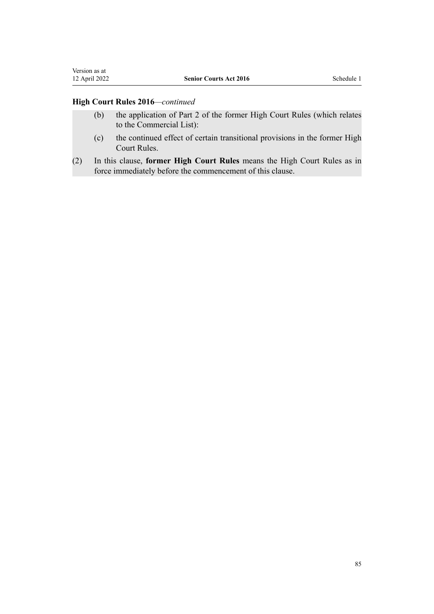Version as at<br>12 April 2022

- (b) the application of Part 2 of the former High Court Rules (which relates to the Commercial List):
- (c) the continued effect of certain transitional provisions in the former High Court Rules.
- (2) In this clause, **former High Court Rules** means the High Court Rules as in force immediately before the commencement of this clause.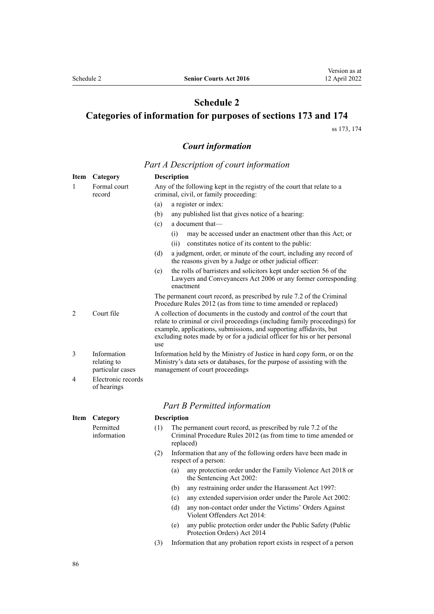# **Schedule 2**

# <span id="page-85-0"></span>**Categories of information for purposes of sections 173 and 174**

[ss 173](#page-72-0), [174](#page-72-0)

# *Court information*

*Part A Description of court information*

| Item | Category                                       |                                                                                                                                                                                                                                                                                                                | <b>Description</b>                                                                                                                                |
|------|------------------------------------------------|----------------------------------------------------------------------------------------------------------------------------------------------------------------------------------------------------------------------------------------------------------------------------------------------------------------|---------------------------------------------------------------------------------------------------------------------------------------------------|
| 1    | Formal court<br>record                         |                                                                                                                                                                                                                                                                                                                | Any of the following kept in the registry of the court that relate to a<br>criminal, civil, or family proceeding:                                 |
|      |                                                | (a)                                                                                                                                                                                                                                                                                                            | a register or index:                                                                                                                              |
|      |                                                | (b)                                                                                                                                                                                                                                                                                                            | any published list that gives notice of a hearing:                                                                                                |
|      |                                                | (c)                                                                                                                                                                                                                                                                                                            | a document that-                                                                                                                                  |
|      |                                                |                                                                                                                                                                                                                                                                                                                | may be accessed under an enactment other than this Act; or<br>(i)                                                                                 |
|      |                                                |                                                                                                                                                                                                                                                                                                                | (ii)<br>constitutes notice of its content to the public:                                                                                          |
|      |                                                | (d)                                                                                                                                                                                                                                                                                                            | a judgment, order, or minute of the court, including any record of<br>the reasons given by a Judge or other judicial officer:                     |
|      |                                                | (e)                                                                                                                                                                                                                                                                                                            | the rolls of barristers and solicitors kept under section 56 of the<br>Lawyers and Conveyancers Act 2006 or any former corresponding<br>enactment |
|      |                                                |                                                                                                                                                                                                                                                                                                                | The permanent court record, as prescribed by rule 7.2 of the Criminal<br>Procedure Rules 2012 (as from time to time amended or replaced)          |
| 2    | Court file                                     | A collection of documents in the custody and control of the court that<br>relate to criminal or civil proceedings (including family proceedings) for<br>example, applications, submissions, and supporting affidavits, but<br>excluding notes made by or for a judicial officer for his or her personal<br>use |                                                                                                                                                   |
| 3    | Information<br>relating to<br>particular cases | Information held by the Ministry of Justice in hard copy form, or on the<br>Ministry's data sets or databases, for the purpose of assisting with the<br>management of court proceedings                                                                                                                        |                                                                                                                                                   |
| 4    | Electronic records<br>of hearings              |                                                                                                                                                                                                                                                                                                                |                                                                                                                                                   |
|      |                                                |                                                                                                                                                                                                                                                                                                                | <b>Part B Permitted information</b>                                                                                                               |
| Item | Description<br>Category                        |                                                                                                                                                                                                                                                                                                                |                                                                                                                                                   |
|      | Permitted<br>information                       | (1)                                                                                                                                                                                                                                                                                                            | The permanent court record, as prescribed by rule 7.2 of the<br>Criminal Procedure Rules 2012 (as from time to time amended or<br>replaced)       |
|      |                                                | (2)                                                                                                                                                                                                                                                                                                            | Information that any of the following orders have been made in<br>respect of a person:                                                            |
|      |                                                |                                                                                                                                                                                                                                                                                                                | any protection order under the Family Violence Act 2018 or<br>(a)<br>the Sentencing Act 2002:                                                     |
|      |                                                |                                                                                                                                                                                                                                                                                                                | any restraining order under the Harassment Act 1997:<br>(b)                                                                                       |
|      |                                                |                                                                                                                                                                                                                                                                                                                | any extended supervision order under the Parole Act 2002:<br>(c)                                                                                  |
|      |                                                |                                                                                                                                                                                                                                                                                                                | (d)<br>any non-contact order under the Victims' Orders Against<br>Violent Offenders Act 2014:                                                     |
|      |                                                |                                                                                                                                                                                                                                                                                                                | any public protection order under the Public Safety (Public<br>(e)<br>Protection Orders) Act 2014                                                 |

(3) Information that any probation report exists in respect of a person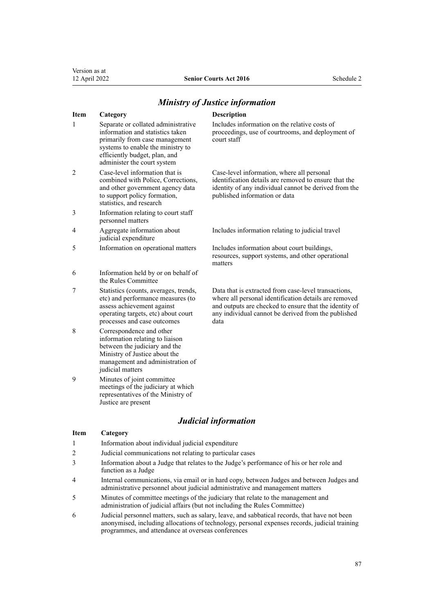#### **Item Category Description** 1 Separate or collated administrative information and statistics taken primarily from case management systems to enable the ministry to efficiently budget, plan, and administer the court system Includes information on the relative costs of court staff 2 Case-level information that is combined with Police, Corrections, and other government agency data to support policy formation, statistics, and research Case-level information, where all personal published information or data 3 Information relating to court staff personnel matters 4 Aggregate information about judicial expenditure Includes information relating to judicial travel 5 Information on operational matters Includes information about court buildings, resources, support systems, and other operational matters 6 Information held by or on behalf of the Rules Committee 7 Statistics (counts, averages, trends, etc) and performance measures (to assess achievement against operating targets, etc) about court processes and case outcomes Data that is extracted from case-level transactions, data 8 Correspondence and other information relating to liaison between the judiciary and the Ministry of Justice about the management and administration of judicial matters 9 Minutes of joint committee meetings of the judiciary at which representatives of the Ministry of

#### *Ministry of Justice information*

# Justice are present *Judicial information* **Item Category** 1 Information about individual judicial expenditure 2 Judicial communications not relating to particular cases 3 Information about a Judge that relates to the Judge's performance of his or her role and function as a Judge 4 Internal communications, via email or in hard copy, between Judges and between Judges and administrative personnel about judicial administrative and management matters

- 5 Minutes of committee meetings of the judiciary that relate to the management and administration of judicial affairs (but not including the Rules Committee)
- 6 Judicial personnel matters, such as salary, leave, and sabbatical records, that have not been anonymised, including allocations of technology, personal expenses records, judicial training programmes, and attendance at overseas conferences

#### 87

proceedings, use of courtrooms, and deployment of

identification details are removed to ensure that the identity of any individual cannot be derived from the

where all personal identification details are removed and outputs are checked to ensure that the identity of any individual cannot be derived from the published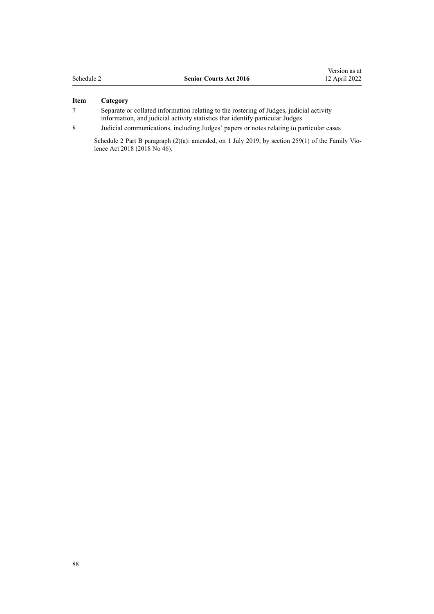| Schedule 2 |  |
|------------|--|
|------------|--|

#### **Item Category**

- 7 Separate or collated information relating to the rostering of Judges, judicial activity information, and judicial activity statistics that identify particular Judges
- 8 Judicial communications, including Judges' papers or notes relating to particular cases

Schedule 2 Part B paragraph (2)(a): amended, on 1 July 2019, by [section 259\(1\)](http://legislation.govt.nz/pdflink.aspx?id=LMS113400) of the Family Violence Act 2018 (2018 No 46).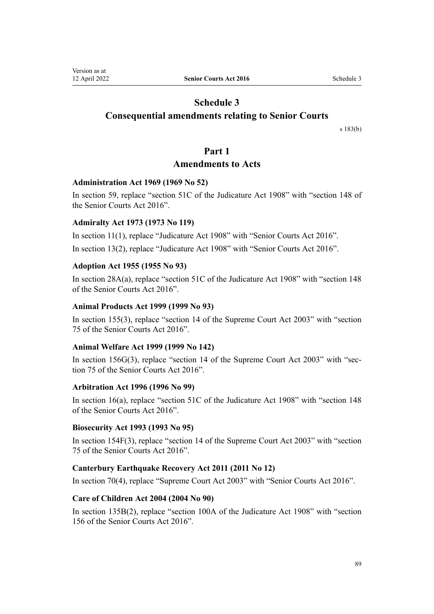# **Schedule 3**

# <span id="page-88-0"></span>**Consequential amendments relating to Senior Courts**

[s 183\(b\)](#page-75-0)

# **Part 1**

# **Amendments to Acts**

# **Administration Act 1969 (1969 No 52)**

In [section 59,](http://legislation.govt.nz/pdflink.aspx?id=DLM392897) replace "section 51C of the Judicature Act 1908" with "section 148 of the Senior Courts Act 2016".

# **Admiralty Act 1973 (1973 No 119)**

In [section 11\(1\),](http://legislation.govt.nz/pdflink.aspx?id=DLM411666) replace "Judicature Act 1908" with "Senior Courts Act 2016". In [section 13\(2\)](http://legislation.govt.nz/pdflink.aspx?id=DLM411670), replace "Judicature Act 1908" with "Senior Courts Act 2016".

# **Adoption Act 1955 (1955 No 93)**

In [section 28A\(a\),](http://legislation.govt.nz/pdflink.aspx?id=DLM293340) replace "section 51C of the Judicature Act 1908" with "section 148 of the Senior Courts Act 2016".

# **Animal Products Act 1999 (1999 No 93)**

In [section 155\(3\),](http://legislation.govt.nz/pdflink.aspx?id=DLM35786) replace "section 14 of the Supreme Court Act 2003" with "section 75 of the Senior Courts Act 2016".

# **Animal Welfare Act 1999 (1999 No 142)**

In [section 156G\(3\)](http://legislation.govt.nz/pdflink.aspx?id=DLM6476161), replace "section 14 of the Supreme Court Act 2003" with "section 75 of the Senior Courts Act 2016".

# **Arbitration Act 1996 (1996 No 99)**

In [section 16\(a\),](http://legislation.govt.nz/pdflink.aspx?id=DLM405706) replace "section 51C of the Judicature Act 1908" with "section 148 of the Senior Courts Act 2016".

# **Biosecurity Act 1993 (1993 No 95)**

In [section 154F\(3\)](http://legislation.govt.nz/pdflink.aspx?id=DLM4759447), replace "section 14 of the Supreme Court Act 2003" with "section 75 of the Senior Courts Act 2016".

# **Canterbury Earthquake Recovery Act 2011 (2011 No 12)**

In [section 70\(4\)](http://legislation.govt.nz/pdflink.aspx?id=DLM3653655), replace "Supreme Court Act 2003" with "Senior Courts Act 2016".

# **Care of Children Act 2004 (2004 No 90)**

In [section 135B\(2\),](http://legislation.govt.nz/pdflink.aspx?id=DLM6028019) replace "section 100A of the Judicature Act 1908" with "section 156 of the Senior Courts Act 2016".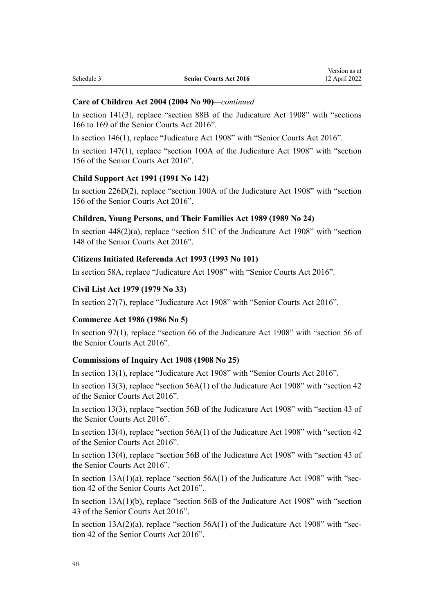#### **Care of Children Act 2004 (2004 No 90)***—continued*

In [section 141\(3\),](http://legislation.govt.nz/pdflink.aspx?id=DLM317973) replace "section 88B of the Judicature Act 1908" with "sections 166 to 169 of the Senior Courts Act 2016".

In [section 146\(1\),](http://legislation.govt.nz/pdflink.aspx?id=DLM317980) replace "Judicature Act 1908" with "Senior Courts Act 2016".

In [section 147\(1\),](http://legislation.govt.nz/pdflink.aspx?id=DLM317981) replace "section 100A of the Judicature Act 1908" with "section 156 of the Senior Courts Act 2016".

#### **Child Support Act 1991 (1991 No 142)**

In [section 226D\(2\)](http://legislation.govt.nz/pdflink.aspx?id=DLM6026515), replace "section 100A of the Judicature Act 1908" with "section 156 of the Senior Courts Act 2016".

#### **Children, Young Persons, and Their Families Act 1989 (1989 No 24)**

In [section 448\(2\)\(a\)](http://legislation.govt.nz/pdflink.aspx?id=DLM155085), replace "section 51C of the Judicature Act 1908" with "section 148 of the Senior Courts Act 2016".

#### **Citizens Initiated Referenda Act 1993 (1993 No 101)**

In [section 58A,](http://legislation.govt.nz/pdflink.aspx?id=DLM318864) replace "Judicature Act 1908" with "Senior Courts Act 2016".

# **Civil List Act 1979 (1979 No 33)**

In [section 27\(7\)](http://legislation.govt.nz/pdflink.aspx?id=DLM32450), replace "Judicature Act 1908" with "Senior Courts Act 2016".

#### **Commerce Act 1986 (1986 No 5)**

In [section 97\(1\)](http://legislation.govt.nz/pdflink.aspx?id=DLM89913), replace "section 66 of the Judicature Act 1908" with "section 56 of the Senior Courts Act 2016".

#### **Commissions of Inquiry Act 1908 (1908 No 25)**

In [section 13\(1\)](http://legislation.govt.nz/pdflink.aspx?id=DLM139178), replace "Judicature Act 1908" with "Senior Courts Act 2016".

In [section 13\(3\)](http://legislation.govt.nz/pdflink.aspx?id=DLM139178), replace "section  $56A(1)$  of the Judicature Act 1908" with "section 42 of the Senior Courts Act 2016".

In [section 13\(3\)](http://legislation.govt.nz/pdflink.aspx?id=DLM139178), replace "section 56B of the Judicature Act 1908" with "section 43 of the Senior Courts Act 2016".

In [section 13\(4\)](http://legislation.govt.nz/pdflink.aspx?id=DLM139178), replace "section 56A(1) of the Judicature Act 1908" with "section 42 of the Senior Courts Act 2016".

In [section 13\(4\)](http://legislation.govt.nz/pdflink.aspx?id=DLM139178), replace "section 56B of the Judicature Act 1908" with "section 43 of the Senior Courts Act 2016".

In section  $13A(1)(a)$ , replace "section  $56A(1)$  of the Judicature Act 1908" with "section 42 of the Senior Courts Act 2016".

In [section 13A\(1\)\(b\),](http://legislation.govt.nz/pdflink.aspx?id=DLM139182) replace "section 56B of the Judicature Act 1908" with "section 43 of the Senior Courts Act 2016".

In section  $13A(2)(a)$ , replace "section  $56A(1)$  of the Judicature Act 1908" with "section 42 of the Senior Courts Act 2016".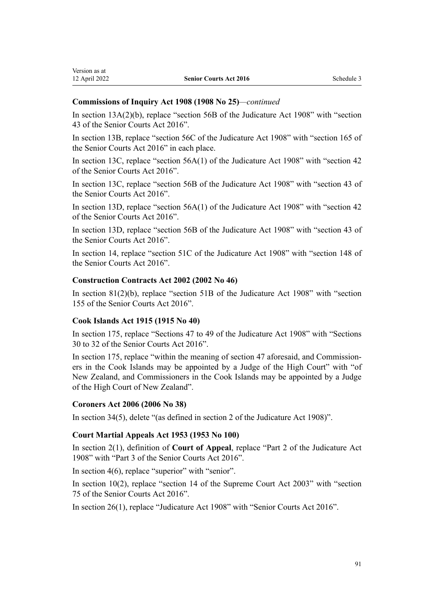| Version as at |
|---------------|
| 12 April 2022 |

#### **Commissions of Inquiry Act 1908 (1908 No 25)***—continued*

In [section 13A\(2\)\(b\),](http://legislation.govt.nz/pdflink.aspx?id=DLM139182) replace "section 56B of the Judicature Act 1908" with "section 43 of the Senior Courts Act 2016".

In [section 13B,](http://legislation.govt.nz/pdflink.aspx?id=DLM139185) replace "section 56C of the Judicature Act 1908" with "section 165 of the Senior Courts Act 2016" in each place.

In [section 13C](http://legislation.govt.nz/pdflink.aspx?id=DLM139187), replace "section 56A(1) of the Judicature Act 1908" with "section 42 of the Senior Courts Act 2016".

In [section 13C](http://legislation.govt.nz/pdflink.aspx?id=DLM139187), replace "section 56B of the Judicature Act 1908" with "section 43 of the Senior Courts Act 2016".

In [section 13D,](http://legislation.govt.nz/pdflink.aspx?id=DLM139189) replace "section 56A(1) of the Judicature Act 1908" with "section 42 of the Senior Courts Act 2016".

In [section 13D,](http://legislation.govt.nz/pdflink.aspx?id=DLM139189) replace "section 56B of the Judicature Act 1908" with "section 43 of the Senior Courts Act 2016".

In [section 14,](http://legislation.govt.nz/pdflink.aspx?id=DLM139191) replace "section 51C of the Judicature Act 1908" with "section 148 of the Senior Courts Act 2016".

#### **Construction Contracts Act 2002 (2002 No 46)**

In [section 81\(2\)\(b\),](http://legislation.govt.nz/pdflink.aspx?id=DLM163488) replace "section 51B of the Judicature Act 1908" with "section 155 of the Senior Courts Act 2016".

#### **Cook Islands Act 1915 (1915 No 40)**

In [section 175](http://legislation.govt.nz/pdflink.aspx?id=DLM183019), replace "Sections 47 to 49 of the Judicature Act 1908" with "Sections 30 to 32 of the Senior Courts Act 2016".

In [section 175,](http://legislation.govt.nz/pdflink.aspx?id=DLM183019) replace "within the meaning of section 47 aforesaid, and Commissioners in the Cook Islands may be appointed by a Judge of the High Court" with "of New Zealand, and Commissioners in the Cook Islands may be appointed by a Judge of the High Court of New Zealand".

#### **Coroners Act 2006 (2006 No 38)**

In [section 34\(5\)](http://legislation.govt.nz/pdflink.aspx?id=DLM377556), delete "(as defined in section 2 of the Judicature Act 1908)".

#### **Court Martial Appeals Act 1953 (1953 No 100)**

In [section 2\(1\),](http://legislation.govt.nz/pdflink.aspx?id=DLM282974) definition of **Court of Appeal**, replace "Part 2 of the Judicature Act 1908" with "Part 3 of the Senior Courts Act 2016".

In [section 4\(6\)](http://legislation.govt.nz/pdflink.aspx?id=DLM283232), replace "superior" with "senior".

In [section 10\(2\)](http://legislation.govt.nz/pdflink.aspx?id=DLM283262), replace "section 14 of the Supreme Court Act 2003" with "section 75 of the Senior Courts Act 2016".

In [section 26\(1\)](http://legislation.govt.nz/pdflink.aspx?id=DLM283411), replace "Judicature Act 1908" with "Senior Courts Act 2016".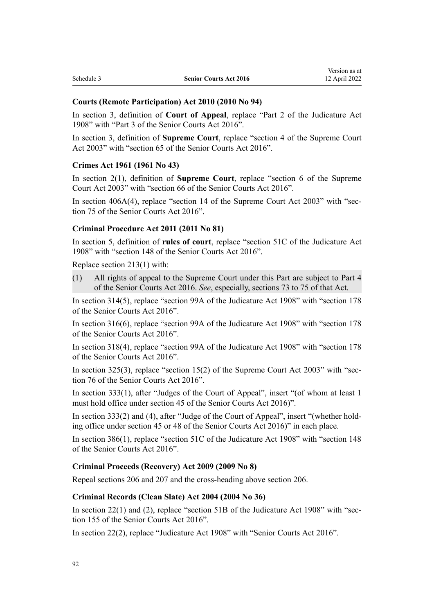#### **Courts (Remote Participation) Act 2010 (2010 No 94)**

In [section 3](http://legislation.govt.nz/pdflink.aspx?id=DLM2600715), definition of **Court of Appeal**, replace "Part 2 of the Judicature Act 1908" with "Part 3 of the Senior Courts Act 2016".

In [section 3,](http://legislation.govt.nz/pdflink.aspx?id=DLM2600715) definition of **Supreme Court**, replace "section 4 of the Supreme Court Act 2003" with "section 65 of the Senior Courts Act 2016".

#### **Crimes Act 1961 (1961 No 43)**

In [section 2\(1\),](http://legislation.govt.nz/pdflink.aspx?id=DLM327394) definition of **Supreme Court**, replace "section 6 of the Supreme Court Act 2003" with "section 66 of the Senior Courts Act 2016".

In section  $406A(4)$ , replace "section 14 of the Supreme Court Act 2003" with "section 75 of the Senior Courts Act 2016".

#### **Criminal Procedure Act 2011 (2011 No 81)**

In [section 5](http://legislation.govt.nz/pdflink.aspx?id=DLM3359970), definition of **rules of court**, replace "section 51C of the Judicature Act 1908" with "section 148 of the Senior Courts Act 2016".

Replace [section 213\(1\)](http://legislation.govt.nz/pdflink.aspx?id=DLM3360377) with:

(1) All rights of appeal to the Supreme Court under this Part are subject to Part 4 of the Senior Courts Act 2016. *See*, especially, sections 73 to 75 of that Act.

In [section 314\(5\)](http://legislation.govt.nz/pdflink.aspx?id=DLM3865788), replace "section 99A of the Judicature Act 1908" with "section 178 of the Senior Courts Act 2016".

In [section 316\(6\)](http://legislation.govt.nz/pdflink.aspx?id=DLM3865790), replace "section 99A of the Judicature Act 1908" with "section 178 of the Senior Courts Act 2016".

In [section 318\(4\)](http://legislation.govt.nz/pdflink.aspx?id=DLM3865792), replace "section 99A of the Judicature Act 1908" with "section 178 of the Senior Courts Act 2016".

In [section 325\(3\)](http://legislation.govt.nz/pdflink.aspx?id=DLM3360521), replace "section 15(2) of the Supreme Court Act 2003" with "section 76 of the Senior Courts Act 2016".

In [section 333\(1\)](http://legislation.govt.nz/pdflink.aspx?id=DLM3360533), after "Judges of the Court of Appeal", insert "(of whom at least 1 must hold office under section 45 of the Senior Courts Act 2016)".

In [section 333\(2\) and \(4\),](http://legislation.govt.nz/pdflink.aspx?id=DLM3360533) after "Judge of the Court of Appeal", insert "(whether holding office under section 45 or 48 of the Senior Courts Act 2016)" in each place.

In [section 386\(1\)](http://legislation.govt.nz/pdflink.aspx?id=DLM3360605), replace "section 51C of the Judicature Act 1908" with "section 148 of the Senior Courts Act 2016".

#### **Criminal Proceeds (Recovery) Act 2009 (2009 No 8)**

Repeal [sections 206](http://legislation.govt.nz/pdflink.aspx?id=DLM1451456) and [207](http://legislation.govt.nz/pdflink.aspx?id=DLM1451457) and the cross-heading above section 206.

#### **Criminal Records (Clean Slate) Act 2004 (2004 No 36)**

In [section 22\(1\) and \(2\),](http://legislation.govt.nz/pdflink.aspx?id=DLM293522) replace "section 51B of the Judicature Act 1908" with "section 155 of the Senior Courts Act 2016".

In [section 22\(2\)](http://legislation.govt.nz/pdflink.aspx?id=DLM293522), replace "Judicature Act 1908" with "Senior Courts Act 2016".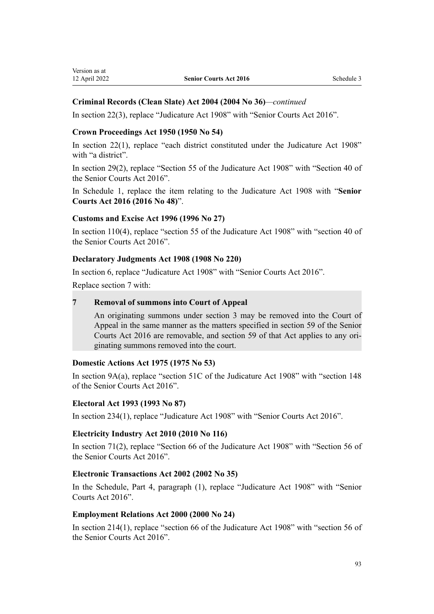# **Criminal Records (Clean Slate) Act 2004 (2004 No 36)***—continued*

In [section 22\(3\)](http://legislation.govt.nz/pdflink.aspx?id=DLM293522), replace "Judicature Act 1908" with "Senior Courts Act 2016".

#### **Crown Proceedings Act 1950 (1950 No 54)**

In [section 22\(1\),](http://legislation.govt.nz/pdflink.aspx?id=DLM261968) replace "each district constituted under the Judicature Act 1908" with "a district".

In [section 29\(2\),](http://legislation.govt.nz/pdflink.aspx?id=DLM261983) replace "Section 55 of the Judicature Act 1908" with "Section 40 of the Senior Courts Act 2016".

In [Schedule 1,](http://legislation.govt.nz/pdflink.aspx?id=DLM262405) replace the item relating to the Judicature Act 1908 with "**Senior Courts Act 2016 (2016 No 48)**".

#### **Customs and Excise Act 1996 (1996 No 27)**

In [section 110\(4\),](http://legislation.govt.nz/pdflink.aspx?id=DLM378697) replace "section 55 of the Judicature Act 1908" with "section 40 of the Senior Courts Act 2016".

#### **Declaratory Judgments Act 1908 (1908 No 220)**

In [section 6,](http://legislation.govt.nz/pdflink.aspx?id=DLM176503) replace "Judicature Act 1908" with "Senior Courts Act 2016".

Replace [section 7](http://legislation.govt.nz/pdflink.aspx?id=DLM176504) with:

#### **7 Removal of summons into Court of Appeal**

An originating summons under section 3 may be removed into the Court of Appeal in the same manner as the matters specified in section 59 of the Senior Courts Act 2016 are removable, and section 59 of that Act applies to any ori‐ ginating summons removed into the court.

#### **Domestic Actions Act 1975 (1975 No 53)**

In [section 9A\(a\),](http://legislation.govt.nz/pdflink.aspx?id=DLM434499) replace "section 51C of the Judicature Act 1908" with "section 148 of the Senior Courts Act 2016".

#### **Electoral Act 1993 (1993 No 87)**

In [section 234\(1\),](http://legislation.govt.nz/pdflink.aspx?id=DLM310436) replace "Judicature Act 1908" with "Senior Courts Act 2016".

#### **Electricity Industry Act 2010 (2010 No 116)**

In [section 71\(2\),](http://legislation.govt.nz/pdflink.aspx?id=DLM2634411) replace "Section 66 of the Judicature Act 1908" with "Section 56 of the Senior Courts Act 2016".

#### **Electronic Transactions Act 2002 (2002 No 35)**

In the [Schedule,](http://legislation.govt.nz/pdflink.aspx?id=DLM154861) Part 4, paragraph (1), replace "Judicature Act 1908" with "Senior Courts Act 2016".

#### **Employment Relations Act 2000 (2000 No 24)**

In [section 214\(1\)](http://legislation.govt.nz/pdflink.aspx?id=DLM61425), replace "section 66 of the Judicature Act 1908" with "section 56 of the Senior Courts Act 2016".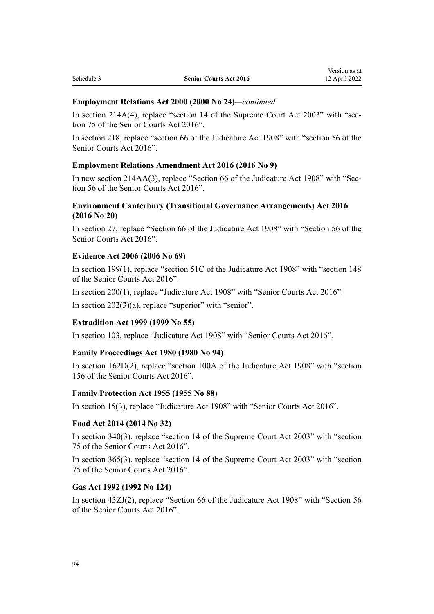#### **Employment Relations Act 2000 (2000 No 24)***—continued*

In section  $214A(4)$ , replace "section 14 of the Supreme Court Act  $2003$ " with "section 75 of the Senior Courts Act 2016".

In [section 218](http://legislation.govt.nz/pdflink.aspx?id=DLM61436), replace "section 66 of the Judicature Act 1908" with "section 56 of the Senior Courts Act 2016".

#### **Employment Relations Amendment Act 2016 (2016 No 9)**

In new [section 214AA\(3\),](http://legislation.govt.nz/pdflink.aspx?id=DLM6774214) replace "Section 66 of the Judicature Act 1908" with "Section 56 of the Senior Courts Act 2016".

# **Environment Canterbury (Transitional Governance Arrangements) Act 2016 (2016 No 20)**

In [section 27,](http://legislation.govt.nz/pdflink.aspx?id=DLM6567493) replace "Section 66 of the Judicature Act 1908" with "Section 56 of the Senior Courts Act 2016".

# **Evidence Act 2006 (2006 No 69)**

In [section 199\(1\)](http://legislation.govt.nz/pdflink.aspx?id=DLM394528), replace "section 51C of the Judicature Act 1908" with "section 148 of the Senior Courts Act 2016".

In [section 200\(1\),](http://legislation.govt.nz/pdflink.aspx?id=DLM394529) replace "Judicature Act 1908" with "Senior Courts Act 2016".

In [section 202\(3\)\(a\),](http://legislation.govt.nz/pdflink.aspx?id=DLM394534) replace "superior" with "senior".

#### **Extradition Act 1999 (1999 No 55)**

In [section 103](http://legislation.govt.nz/pdflink.aspx?id=DLM27319), replace "Judicature Act 1908" with "Senior Courts Act 2016".

#### **Family Proceedings Act 1980 (1980 No 94)**

In [section 162D\(2\)](http://legislation.govt.nz/pdflink.aspx?id=DLM6029214), replace "section 100A of the Judicature Act 1908" with "section 156 of the Senior Courts Act 2016".

#### **Family Protection Act 1955 (1955 No 88)**

In [section 15\(3\)](http://legislation.govt.nz/pdflink.aspx?id=DLM292017), replace "Judicature Act 1908" with "Senior Courts Act 2016".

#### **Food Act 2014 (2014 No 32)**

In [section 340\(3\),](http://legislation.govt.nz/pdflink.aspx?id=DLM2996475) replace "section 14 of the Supreme Court Act 2003" with "section 75 of the Senior Courts Act 2016".

In [section 365\(3\),](http://legislation.govt.nz/pdflink.aspx?id=DLM3400904) replace "section 14 of the Supreme Court Act 2003" with "section 75 of the Senior Courts Act 2016".

#### **Gas Act 1992 (1992 No 124)**

In [section 43ZJ\(2\),](http://legislation.govt.nz/pdflink.aspx?id=DLM286224) replace "Section 66 of the Judicature Act 1908" with "Section 56 of the Senior Courts Act 2016".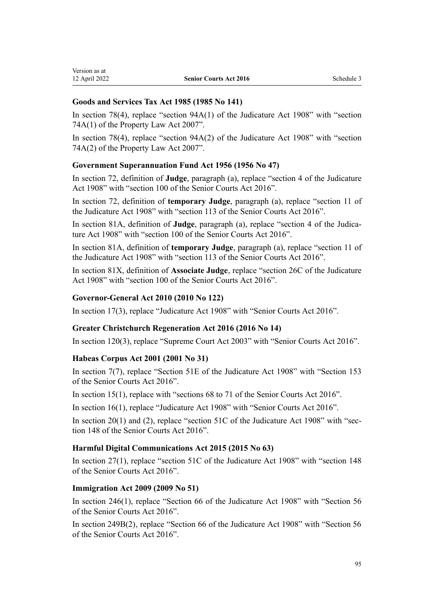# **Goods and Services Tax Act 1985 (1985 No 141)**

In [section 78\(4\)](http://legislation.govt.nz/pdflink.aspx?id=DLM85298), replace "section 94A(1) of the Judicature Act 1908" with "section 74A(1) of the Property Law Act 2007".

In [section 78\(4\)](http://legislation.govt.nz/pdflink.aspx?id=DLM85298), replace "section 94A(2) of the Judicature Act 1908" with "section 74A(2) of the Property Law Act 2007".

# **Government Superannuation Fund Act 1956 (1956 No 47)**

In [section 72,](http://legislation.govt.nz/pdflink.aspx?id=DLM447252) definition of **Judge**, paragraph (a), replace "section 4 of the Judicature Act 1908" with "section 100 of the Senior Courts Act 2016".

In [section 72,](http://legislation.govt.nz/pdflink.aspx?id=DLM447252) definition of **temporary Judge**, paragraph (a), replace "section 11 of the Judicature Act 1908" with "section 113 of the Senior Courts Act 2016".

In [section 81A,](http://legislation.govt.nz/pdflink.aspx?id=DLM447401) definition of **Judge**, paragraph (a), replace "section 4 of the Judicature Act 1908" with "section 100 of the Senior Courts Act 2016".

In [section 81A,](http://legislation.govt.nz/pdflink.aspx?id=DLM447401) definition of **temporary Judge**, paragraph (a), replace "section 11 of the Judicature Act 1908" with "section 113 of the Senior Courts Act 2016".

In section 81X, definition of **Associate Judge**, replace "section 26C of the Judicature Act 1908" with "section 100 of the Senior Courts Act 2016".

# **Governor-General Act 2010 (2010 No 122)**

In [section 17\(3\)](http://legislation.govt.nz/pdflink.aspx?id=DLM2999138), replace "Judicature Act 1908" with "Senior Courts Act 2016".

# **Greater Christchurch Regeneration Act 2016 (2016 No 14)**

In [section 120\(3\),](http://legislation.govt.nz/pdflink.aspx?id=DLM6579347) replace "Supreme Court Act 2003" with "Senior Courts Act 2016".

# **Habeas Corpus Act 2001 (2001 No 31)**

In [section 7\(7\),](http://legislation.govt.nz/pdflink.aspx?id=DLM6579260) replace "Section 51E of the Judicature Act 1908" with "Section 153 of the Senior Courts Act 2016".

In [section 15\(1\)](http://legislation.govt.nz/pdflink.aspx?id=DLM6800105), replace with "sections 68 to 71 of the Senior Courts Act 2016".

In [section 16\(1\)](http://legislation.govt.nz/pdflink.aspx?id=DLM6604610), replace "Judicature Act 1908" with "Senior Courts Act 2016".

In [section 20\(1\) and \(2\),](http://legislation.govt.nz/pdflink.aspx?id=DLM6579280) replace "section 51C of the Judicature Act 1908" with "section 148 of the Senior Courts Act 2016".

# **Harmful Digital Communications Act 2015 (2015 No 63)**

In [section 27\(1\)](http://legislation.govt.nz/pdflink.aspx?id=DLM5711867), replace "section 51C of the Judicature Act 1908" with "section 148 of the Senior Courts Act 2016".

# **Immigration Act 2009 (2009 No 51)**

In [section 246\(1\),](http://legislation.govt.nz/pdflink.aspx?id=DLM1440978) replace "Section 66 of the Judicature Act 1908" with "Section 56 of the Senior Courts Act 2016".

In [section 249B\(2\)](http://legislation.govt.nz/pdflink.aspx?id=DLM6471308), replace "Section 66 of the Judicature Act 1908" with "Section 56 of the Senior Courts Act 2016".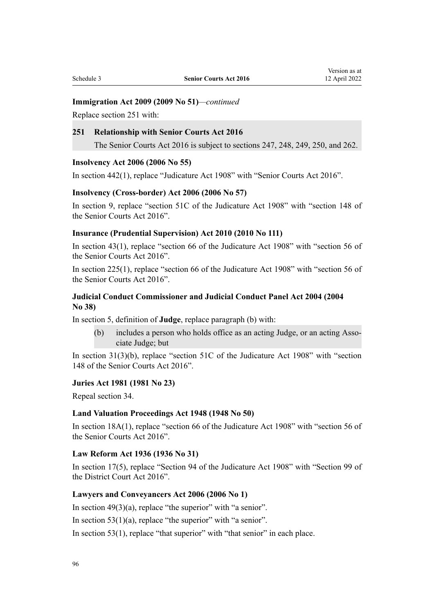## **Immigration Act 2009 (2009 No 51)***—continued*

Replace [section 251](http://legislation.govt.nz/pdflink.aspx?id=DLM2390003) with:

## **251 Relationship with Senior Courts Act 2016**

The Senior Courts Act 2016 is subject to sections 247, 248, 249, 250, and 262.

#### **Insolvency Act 2006 (2006 No 55)**

In [section 442\(1\),](http://legislation.govt.nz/pdflink.aspx?id=DLM387848) replace "Judicature Act 1908" with "Senior Courts Act 2016".

#### **Insolvency (Cross-border) Act 2006 (2006 No 57)**

In [section 9](http://legislation.govt.nz/pdflink.aspx?id=DLM389642), replace "section 51C of the Judicature Act 1908" with "section 148 of the Senior Courts Act 2016".

#### **Insurance (Prudential Supervision) Act 2010 (2010 No 111)**

In [section 43\(1\)](http://legislation.govt.nz/pdflink.aspx?id=DLM2478318), replace "section 66 of the Judicature Act 1908" with "section 56 of the Senior Courts Act 2016".

In [section 225\(1\)](http://legislation.govt.nz/pdflink.aspx?id=DLM2478595), replace "section 66 of the Judicature Act 1908" with "section 56 of the Senior Courts Act 2016".

#### **Judicial Conduct Commissioner and Judicial Conduct Panel Act 2004 (2004 No 38)**

In [section 5,](http://legislation.govt.nz/pdflink.aspx?id=DLM293561) definition of **Judge**, replace paragraph (b) with:

(b) includes a person who holds office as an acting Judge, or an acting Associate Judge; but

In [section 31\(3\)\(b\),](http://legislation.govt.nz/pdflink.aspx?id=DLM293714) replace "section 51C of the Judicature Act 1908" with "section 148 of the Senior Courts Act 2016".

#### **Juries Act 1981 (1981 No 23)**

Repeal [section 34.](http://legislation.govt.nz/pdflink.aspx?id=DLM44842)

#### **Land Valuation Proceedings Act 1948 (1948 No 50)**

In [section 18A\(1\),](http://legislation.govt.nz/pdflink.aspx?id=DLM249281) replace "section 66 of the Judicature Act 1908" with "section 56 of the Senior Courts Act 2016".

#### **Law Reform Act 1936 (1936 No 31)**

In [section 17\(5\),](http://legislation.govt.nz/pdflink.aspx?id=DLM219807) replace "Section 94 of the Judicature Act 1908" with "Section 99 of the District Court Act 2016".

### **Lawyers and Conveyancers Act 2006 (2006 No 1)**

In section  $49(3)(a)$ , replace "the superior" with "a senior".

In section  $53(1)(a)$ , replace "the superior" with "a senior".

In [section 53\(1\)](http://legislation.govt.nz/pdflink.aspx?id=DLM365772), replace "that superior" with "that senior" in each place.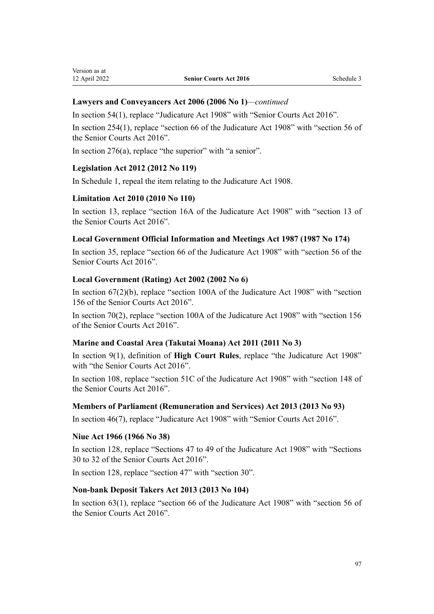#### **Lawyers and Conveyancers Act 2006 (2006 No 1)***—continued*

In [section 54\(1\)](http://legislation.govt.nz/pdflink.aspx?id=DLM365773), replace "Judicature Act 1908" with "Senior Courts Act 2016".

In [section 254\(1\)](http://legislation.govt.nz/pdflink.aspx?id=DLM367311), replace "section 66 of the Judicature Act 1908" with "section 56 of the Senior Courts Act 2016".

In [section 276\(a\)](http://legislation.govt.nz/pdflink.aspx?id=DLM367338), replace "the superior" with "a senior".

#### **Legislation Act 2012 (2012 No 119)**

In [Schedule 1](http://legislation.govt.nz/pdflink.aspx?id=DLM2998636), repeal the item relating to the Judicature Act 1908.

#### **Limitation Act 2010 (2010 No 110)**

In [section 13,](http://legislation.govt.nz/pdflink.aspx?id=DLM2033206) replace "section 16A of the Judicature Act 1908" with "section 13 of the Senior Courts Act 2016".

#### **Local Government Official Information and Meetings Act 1987 (1987 No 174)**

In [section 35](http://legislation.govt.nz/pdflink.aspx?id=DLM123048), replace "section 66 of the Judicature Act 1908" with "section 56 of the Senior Courts Act 2016".

#### **Local Government (Rating) Act 2002 (2002 No 6)**

In section  $67(2)(b)$ , replace "section 100A of the Judicature Act 1908" with "section 156 of the Senior Courts Act 2016".

In [section 70\(2\)](http://legislation.govt.nz/pdflink.aspx?id=DLM132731), replace "section 100A of the Judicature Act 1908" with "section 156 of the Senior Courts Act 2016".

#### **Marine and Coastal Area (Takutai Moana) Act 2011 (2011 No 3)**

In [section 9\(1\),](http://legislation.govt.nz/pdflink.aspx?id=DLM3213146) definition of **High Court Rules**, replace "the Judicature Act 1908" with "the Senior Courts Act 2016".

In [section 108,](http://legislation.govt.nz/pdflink.aspx?id=DLM3213448) replace "section 51C of the Judicature Act 1908" with "section 148 of the Senior Courts Act 2016".

#### **Members of Parliament (Remuneration and Services) Act 2013 (2013 No 93)**

In [section 46\(7\)](http://legislation.govt.nz/pdflink.aspx?id=DLM4034621), replace "Judicature Act 1908" with "Senior Courts Act 2016".

#### **Niue Act 1966 (1966 No 38)**

In [section 128](http://legislation.govt.nz/pdflink.aspx?id=DLM375766), replace "Sections 47 to 49 of the Judicature Act 1908" with "Sections 30 to 32 of the Senior Courts Act 2016".

In [section 128](http://legislation.govt.nz/pdflink.aspx?id=DLM375766), replace "section 47" with "section 30".

#### **Non-bank Deposit Takers Act 2013 (2013 No 104)**

In [section 63\(1\)](http://legislation.govt.nz/pdflink.aspx?id=DLM3919078), replace "section 66 of the Judicature Act 1908" with "section 56 of the Senior Courts Act 2016".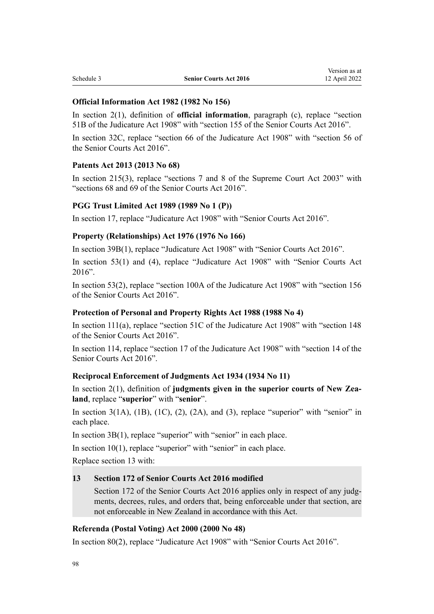#### **Official Information Act 1982 (1982 No 156)**

In [section 2\(1\),](http://legislation.govt.nz/pdflink.aspx?id=DLM64790) definition of **official information**, paragraph (c), replace "section 51B of the Judicature Act 1908" with "section 155 of the Senior Courts Act 2016".

In [section 32C](http://legislation.govt.nz/pdflink.aspx?id=DLM65672), replace "section 66 of the Judicature Act 1908" with "section 56 of the Senior Courts Act 2016".

#### **Patents Act 2013 (2013 No 68)**

In [section 215\(3\),](http://legislation.govt.nz/pdflink.aspx?id=DLM1419579) replace "sections 7 and 8 of the Supreme Court Act 2003" with "sections 68 and 69 of the Senior Courts Act 2016".

## **PGG Trust Limited Act 1989 (1989 No 1 (P))**

In [section 17,](http://legislation.govt.nz/pdflink.aspx?id=DLM113785) replace "Judicature Act 1908" with "Senior Courts Act 2016".

## **Property (Relationships) Act 1976 (1976 No 166)**

In [section 39B\(1\),](http://legislation.govt.nz/pdflink.aspx?id=DLM441709) replace "Judicature Act 1908" with "Senior Courts Act 2016".

In [section 53\(1\) and \(4\),](http://legislation.govt.nz/pdflink.aspx?id=DLM441924) replace "Judicature Act 1908" with "Senior Courts Act 2016".

In [section 53\(2\)](http://legislation.govt.nz/pdflink.aspx?id=DLM441924), replace "section 100A of the Judicature Act 1908" with "section 156 of the Senior Courts Act 2016".

#### **Protection of Personal and Property Rights Act 1988 (1988 No 4)**

In [section 111\(a\),](http://legislation.govt.nz/pdflink.aspx?id=DLM127597) replace "section 51C of the Judicature Act 1908" with "section 148 of the Senior Courts Act 2016".

In [section 114](http://legislation.govt.nz/pdflink.aspx?id=DLM128104), replace "section 17 of the Judicature Act 1908" with "section 14 of the Senior Courts Act 2016".

#### **Reciprocal Enforcement of Judgments Act 1934 (1934 No 11)**

In [section 2\(1\)](http://legislation.govt.nz/pdflink.aspx?id=DLM216428), definition of **judgments given in the superior courts of New Zea‐ land**, replace "**superior**" with "**senior**".

In section  $3(1A)$ ,  $(1B)$ ,  $(1C)$ ,  $(2)$ ,  $(2A)$ , and  $(3)$ , replace "superior" with "senior" in each place.

In section  $3B(1)$ , replace "superior" with "senior" in each place.

In [section 10\(1\)](http://legislation.govt.nz/pdflink.aspx?id=DLM216723), replace "superior" with "senior" in each place.

Replace [section 13](http://legislation.govt.nz/pdflink.aspx?id=DLM216729) with:

#### **13 Section 172 of Senior Courts Act 2016 modified**

Section 172 of the Senior Courts Act 2016 applies only in respect of any judgments, decrees, rules, and orders that, being enforceable under that section, are not enforceable in New Zealand in accordance with this Act.

# **Referenda (Postal Voting) Act 2000 (2000 No 48)**

In [section 80\(2\)](http://legislation.govt.nz/pdflink.aspx?id=DLM74676), replace "Judicature Act 1908" with "Senior Courts Act 2016".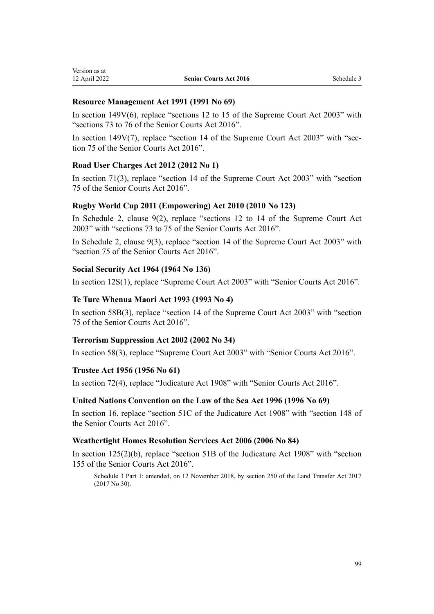### **Resource Management Act 1991 (1991 No 69)**

In [section 149V\(6\)](http://legislation.govt.nz/pdflink.aspx?id=DLM2417792), replace "sections 12 to 15 of the Supreme Court Act 2003" with "sections 73 to 76 of the Senior Courts Act 2016".

In section  $149V(7)$ , replace "section 14 of the Supreme Court Act 2003" with "section 75 of the Senior Courts Act 2016".

# **Road User Charges Act 2012 (2012 No 1)**

In [section 71\(3\)](http://legislation.govt.nz/pdflink.aspx?id=DLM3395042), replace "section 14 of the Supreme Court Act 2003" with "section 75 of the Senior Courts Act 2016".

## **Rugby World Cup 2011 (Empowering) Act 2010 (2010 No 123)**

In Schedule 2, [clause 9\(2\),](http://legislation.govt.nz/pdflink.aspx?id=DLM2902481) replace "sections 12 to 14 of the Supreme Court Act 2003" with "sections 73 to 75 of the Senior Courts Act 2016".

In Schedule 2, [clause 9\(3\)](http://legislation.govt.nz/pdflink.aspx?id=DLM2902481), replace "section 14 of the Supreme Court Act 2003" with "section 75 of the Senior Courts Act 2016".

#### **Social Security Act 1964 (1964 No 136)**

In [section 12S\(1\)](http://legislation.govt.nz/pdflink.aspx?id=DLM3101102), replace "Supreme Court Act 2003" with "Senior Courts Act 2016".

## **Te Ture Whenua Maori Act 1993 (1993 No 4)**

In [section 58B\(3\),](http://legislation.govt.nz/pdflink.aspx?id=DLM290942) replace "section 14 of the Supreme Court Act 2003" with "section 75 of the Senior Courts Act 2016".

#### **Terrorism Suppression Act 2002 (2002 No 34)**

In [section 58\(3\)](http://legislation.govt.nz/pdflink.aspx?id=DLM153327), replace "Supreme Court Act 2003" with "Senior Courts Act 2016".

#### **Trustee Act 1956 (1956 No 61)**

In [section 72\(4\)](http://legislation.govt.nz/pdflink.aspx?id=DLM305576), replace "Judicature Act 1908" with "Senior Courts Act 2016".

#### **United Nations Convention on the Law of the Sea Act 1996 (1996 No 69)**

In [section 16,](http://legislation.govt.nz/pdflink.aspx?id=DLM394106) replace "section 51C of the Judicature Act 1908" with "section 148 of the Senior Courts Act 2016".

#### **Weathertight Homes Resolution Services Act 2006 (2006 No 84)**

In [section 125\(2\)\(b\),](http://legislation.govt.nz/pdflink.aspx?id=DLM404179) replace "section 51B of the Judicature Act 1908" with "section 155 of the Senior Courts Act 2016".

Schedule 3 Part 1: amended, on 12 November 2018, by [section 250](http://legislation.govt.nz/pdflink.aspx?id=DLM6731493) of the Land Transfer Act 2017 (2017 No 30).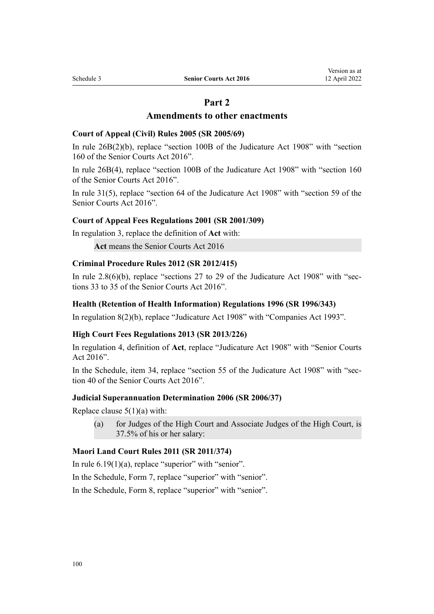# **Part 2**

# **Amendments to other enactments**

#### **Court of Appeal (Civil) Rules 2005 (SR 2005/69)**

In [rule 26B\(2\)\(b\)](http://legislation.govt.nz/pdflink.aspx?id=DLM3515303), replace "section 100B of the Judicature Act 1908" with "section 160 of the Senior Courts Act 2016".

In [rule 26B\(4\),](http://legislation.govt.nz/pdflink.aspx?id=DLM3515303) replace "section 100B of the Judicature Act 1908" with "section 160 of the Senior Courts Act 2016".

In [rule 31\(5\)](http://legislation.govt.nz/pdflink.aspx?id=DLM320318), replace "section 64 of the Judicature Act 1908" with "section 59 of the Senior Courts Act 2016".

#### **Court of Appeal Fees Regulations 2001 (SR 2001/309)**

In [regulation 3,](http://legislation.govt.nz/pdflink.aspx?id=DLM87093) replace the definition of **Act** with:

**Act** means the Senior Courts Act 2016

#### **Criminal Procedure Rules 2012 (SR 2012/415)**

In rule  $2.8(6)(b)$ , replace "sections 27 to 29 of the Judicature Act 1908" with "sections 33 to 35 of the Senior Courts Act 2016".

#### **Health (Retention of Health Information) Regulations 1996 (SR 1996/343)**

In [regulation 8\(2\)\(b\),](http://legislation.govt.nz/pdflink.aspx?id=DLM225656) replace "Judicature Act 1908" with "Companies Act 1993".

#### **High Court Fees Regulations 2013 (SR 2013/226)**

In [regulation 4](http://legislation.govt.nz/pdflink.aspx?id=DLM5196107), definition of **Act**, replace "Judicature Act 1908" with "Senior Courts Act 2016".

In the [Schedule](http://legislation.govt.nz/pdflink.aspx?id=DLM5196180), item 34, replace "section 55 of the Judicature Act 1908" with "section 40 of the Senior Courts Act 2016".

#### **Judicial Superannuation Determination 2006 (SR 2006/37)**

Replace clause  $5(1)(a)$  with:

(a) for Judges of the High Court and Associate Judges of the High Court, is 37.5% of his or her salary:

#### **Maori Land Court Rules 2011 (SR 2011/374)**

In rule  $6.19(1)(a)$ , replace "superior" with "senior".

In the Schedule, [Form 7](http://legislation.govt.nz/pdflink.aspx?id=DLM4073154), replace "superior" with "senior".

In the Schedule, [Form 8](http://legislation.govt.nz/pdflink.aspx?id=DLM4073155), replace "superior" with "senior".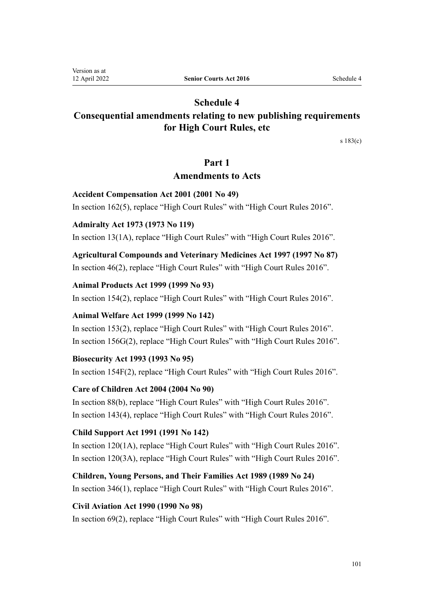# **Schedule 4**

# <span id="page-100-0"></span>**Consequential amendments relating to new publishing requirements for High Court Rules, etc**

[s 183\(c\)](#page-75-0)

# **Part 1**

# **Amendments to Acts**

# **Accident Compensation Act 2001 (2001 No 49)**

In [section 162\(5\),](http://legislation.govt.nz/pdflink.aspx?id=DLM101857) replace "High Court Rules" with "High Court Rules 2016".

# **Admiralty Act 1973 (1973 No 119)**

In [section 13\(1A\)](http://legislation.govt.nz/pdflink.aspx?id=DLM411670), replace "High Court Rules" with "High Court Rules 2016".

**Agricultural Compounds and Veterinary Medicines Act 1997 (1997 No 87)** In [section 46\(2\)](http://legislation.govt.nz/pdflink.aspx?id=DLM415119), replace "High Court Rules" with "High Court Rules 2016".

# **Animal Products Act 1999 (1999 No 93)**

In [section 154\(2\),](http://legislation.govt.nz/pdflink.aspx?id=DLM35782) replace "High Court Rules" with "High Court Rules 2016".

# **Animal Welfare Act 1999 (1999 No 142)**

In [section 153\(2\),](http://legislation.govt.nz/pdflink.aspx?id=DLM51294) replace "High Court Rules" with "High Court Rules 2016". In [section 156G\(2\)](http://legislation.govt.nz/pdflink.aspx?id=DLM6476161), replace "High Court Rules" with "High Court Rules 2016".

# **Biosecurity Act 1993 (1993 No 95)**

In [section 154F\(2\)](http://legislation.govt.nz/pdflink.aspx?id=DLM4759447), replace "High Court Rules" with "High Court Rules 2016".

# **Care of Children Act 2004 (2004 No 90)**

In [section 88\(b\)](http://legislation.govt.nz/pdflink.aspx?id=DLM317680), replace "High Court Rules" with "High Court Rules 2016". In [section 143\(4\),](http://legislation.govt.nz/pdflink.aspx?id=DLM317976) replace "High Court Rules" with "High Court Rules 2016".

# **Child Support Act 1991 (1991 No 142)**

In [section 120\(1A\)](http://legislation.govt.nz/pdflink.aspx?id=DLM255391), replace "High Court Rules" with "High Court Rules 2016". In [section 120\(3A\)](http://legislation.govt.nz/pdflink.aspx?id=DLM255391), replace "High Court Rules" with "High Court Rules 2016".

**Children, Young Persons, and Their Families Act 1989 (1989 No 24)** In [section 346\(1\),](http://legislation.govt.nz/pdflink.aspx?id=DLM154079) replace "High Court Rules" with "High Court Rules 2016".

# **Civil Aviation Act 1990 (1990 No 98)**

In [section 69\(2\)](http://legislation.govt.nz/pdflink.aspx?id=DLM217166), replace "High Court Rules" with "High Court Rules 2016".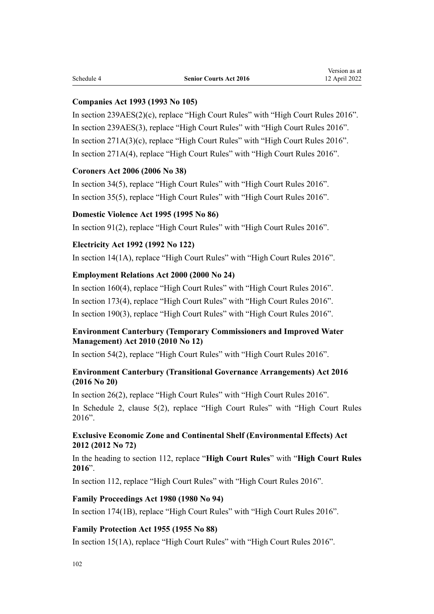#### **Companies Act 1993 (1993 No 105)**

In [section 239AES\(2\)\(c\)](http://legislation.govt.nz/pdflink.aspx?id=DLM321661), replace "High Court Rules" with "High Court Rules 2016". In [section 239AES\(3\),](http://legislation.govt.nz/pdflink.aspx?id=DLM321661) replace "High Court Rules" with "High Court Rules 2016". In [section 271A\(3\)\(c\),](http://legislation.govt.nz/pdflink.aspx?id=DLM321939) replace "High Court Rules" with "High Court Rules 2016". In [section 271A\(4\)](http://legislation.govt.nz/pdflink.aspx?id=DLM321939), replace "High Court Rules" with "High Court Rules 2016".

#### **Coroners Act 2006 (2006 No 38)**

In [section 34\(5\)](http://legislation.govt.nz/pdflink.aspx?id=DLM377556), replace "High Court Rules" with "High Court Rules 2016". In [section 35\(5\)](http://legislation.govt.nz/pdflink.aspx?id=DLM377557), replace "High Court Rules" with "High Court Rules 2016".

#### **Domestic Violence Act 1995 (1995 No 86)**

In [section 91\(2\)](http://legislation.govt.nz/pdflink.aspx?id=DLM372467), replace "High Court Rules" with "High Court Rules 2016".

# **Electricity Act 1992 (1992 No 122)**

In [section 14\(1A\)](http://legislation.govt.nz/pdflink.aspx?id=DLM282432), replace "High Court Rules" with "High Court Rules 2016".

#### **Employment Relations Act 2000 (2000 No 24)**

In [section 160\(4\),](http://legislation.govt.nz/pdflink.aspx?id=DLM60937) replace "High Court Rules" with "High Court Rules 2016". In [section 173\(4\),](http://legislation.govt.nz/pdflink.aspx?id=DLM60957) replace "High Court Rules" with "High Court Rules 2016". In [section 190\(3\),](http://legislation.govt.nz/pdflink.aspx?id=DLM60986) replace "High Court Rules" with "High Court Rules 2016".

# **Environment Canterbury (Temporary Commissioners and Improved Water Management) Act 2010 (2010 No 12)**

In [section 54\(2\)](http://legislation.govt.nz/pdflink.aspx?id=DLM2850437), replace "High Court Rules" with "High Court Rules 2016".

# **Environment Canterbury (Transitional Governance Arrangements) Act 2016 (2016 No 20)**

In [section 26\(2\)](http://legislation.govt.nz/pdflink.aspx?id=DLM6567492), replace "High Court Rules" with "High Court Rules 2016".

In Schedule 2, [clause 5\(2\)](http://legislation.govt.nz/pdflink.aspx?id=DLM6567533), replace "High Court Rules" with "High Court Rules 2016".

# **Exclusive Economic Zone and Continental Shelf (Environmental Effects) Act 2012 (2012 No 72)**

In the heading to [section 112,](http://legislation.govt.nz/pdflink.aspx?id=DLM3956291) replace "**High Court Rules**" with "**High Court Rules 2016**".

In [section 112,](http://legislation.govt.nz/pdflink.aspx?id=DLM3956291) replace "High Court Rules" with "High Court Rules 2016".

#### **Family Proceedings Act 1980 (1980 No 94)**

In [section 174\(1B\)](http://legislation.govt.nz/pdflink.aspx?id=DLM41865), replace "High Court Rules" with "High Court Rules 2016".

#### **Family Protection Act 1955 (1955 No 88)**

In [section 15\(1A\)](http://legislation.govt.nz/pdflink.aspx?id=DLM292017), replace "High Court Rules" with "High Court Rules 2016".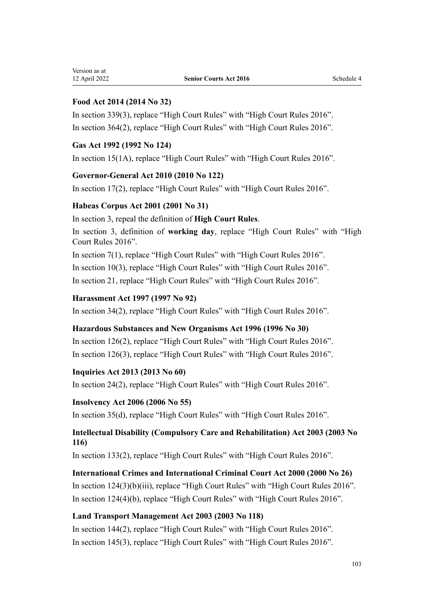# **Food Act 2014 (2014 No 32)**

In [section 339\(3\),](http://legislation.govt.nz/pdflink.aspx?id=DLM2996474) replace "High Court Rules" with "High Court Rules 2016". In [section 364\(2\),](http://legislation.govt.nz/pdflink.aspx?id=DLM3400903) replace "High Court Rules" with "High Court Rules 2016".

# **Gas Act 1992 (1992 No 124)**

In [section 15\(1A\)](http://legislation.govt.nz/pdflink.aspx?id=DLM285757), replace "High Court Rules" with "High Court Rules 2016".

# **Governor-General Act 2010 (2010 No 122)**

In [section 17\(2\)](http://legislation.govt.nz/pdflink.aspx?id=DLM2999138), replace "High Court Rules" with "High Court Rules 2016".

# **Habeas Corpus Act 2001 (2001 No 31)**

In [section 3,](http://legislation.govt.nz/pdflink.aspx?id=DLM91760) repeal the definition of **High Court Rules**.

In [section 3,](http://legislation.govt.nz/pdflink.aspx?id=DLM91760) definition of **working day**, replace "High Court Rules" with "High Court Rules 2016".

In [section 7\(1\)](http://legislation.govt.nz/pdflink.aspx?id=DLM91781), replace "High Court Rules" with "High Court Rules 2016".

In [section 10\(3\)](http://legislation.govt.nz/pdflink.aspx?id=DLM91785), replace "High Court Rules" with "High Court Rules 2016".

In [section 21,](http://legislation.govt.nz/pdflink.aspx?id=DLM92208) replace "High Court Rules" with "High Court Rules 2016".

# **Harassment Act 1997 (1997 No 92)**

In [section 34\(2\)](http://legislation.govt.nz/pdflink.aspx?id=DLM417778), replace "High Court Rules" with "High Court Rules 2016".

# **Hazardous Substances and New Organisms Act 1996 (1996 No 30)**

In [section 126\(2\),](http://legislation.govt.nz/pdflink.aspx?id=DLM384983) replace "High Court Rules" with "High Court Rules 2016". In [section 126\(3\),](http://legislation.govt.nz/pdflink.aspx?id=DLM384983) replace "High Court Rules" with "High Court Rules 2016".

# **Inquiries Act 2013 (2013 No 60)**

In [section 24\(2\)](http://legislation.govt.nz/pdflink.aspx?id=DLM1566164), replace "High Court Rules" with "High Court Rules 2016".

# **Insolvency Act 2006 (2006 No 55)**

In [section 35\(d\)](http://legislation.govt.nz/pdflink.aspx?id=DLM1566184), replace "High Court Rules" with "High Court Rules 2016".

# **Intellectual Disability (Compulsory Care and Rehabilitation) Act 2003 (2003 No 116)**

In [section 133\(2\),](http://legislation.govt.nz/pdflink.aspx?id=DLM225982) replace "High Court Rules" with "High Court Rules 2016".

# **International Crimes and International Criminal Court Act 2000 (2000 No 26)**

In [section 124\(3\)\(b\)\(iii\)](http://legislation.govt.nz/pdflink.aspx?id=DLM64933), replace "High Court Rules" with "High Court Rules 2016". In [section 124\(4\)\(b\)](http://legislation.govt.nz/pdflink.aspx?id=DLM64933), replace "High Court Rules" with "High Court Rules 2016".

# **Land Transport Management Act 2003 (2003 No 118)**

In [section 144\(2\),](http://legislation.govt.nz/pdflink.aspx?id=DLM5285451) replace "High Court Rules" with "High Court Rules 2016". In [section 145\(3\),](http://legislation.govt.nz/pdflink.aspx?id=DLM5285452) replace "High Court Rules" with "High Court Rules 2016".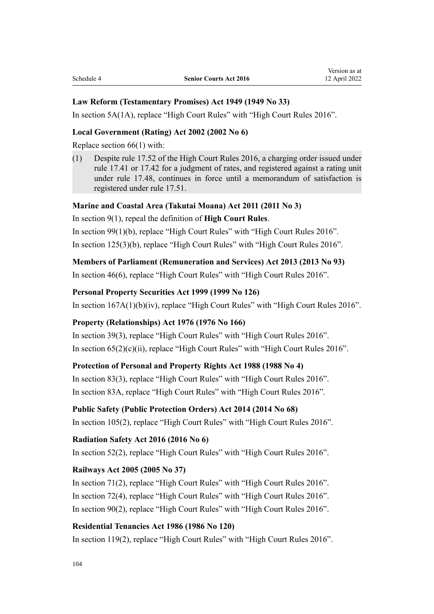#### **Law Reform (Testamentary Promises) Act 1949 (1949 No 33)**

In [section 5A\(1A\),](http://legislation.govt.nz/pdflink.aspx?id=DLM258729) replace "High Court Rules" with "High Court Rules 2016".

#### **Local Government (Rating) Act 2002 (2002 No 6)**

Replace [section 66\(1\)](http://legislation.govt.nz/pdflink.aspx?id=DLM132725) with:

(1) Despite rule 17.52 of the High Court Rules 2016, a charging order issued under rule 17.41 or 17.42 for a judgment of rates, and registered against a rating unit under rule 17.48, continues in force until a memorandum of satisfaction is registered under rule 17.51.

### **Marine and Coastal Area (Takutai Moana) Act 2011 (2011 No 3)**

In [section 9\(1\)](http://legislation.govt.nz/pdflink.aspx?id=DLM3213146), repeal the definition of **High Court Rules**.

In [section 99\(1\)\(b\)](http://legislation.govt.nz/pdflink.aspx?id=DLM3213437), replace "High Court Rules" with "High Court Rules 2016". In [section 125\(3\)\(b\)](http://legislation.govt.nz/pdflink.aspx?id=DLM3213472), replace "High Court Rules" with "High Court Rules 2016".

#### **Members of Parliament (Remuneration and Services) Act 2013 (2013 No 93)**

In [section 46\(6\)](http://legislation.govt.nz/pdflink.aspx?id=DLM4034621), replace "High Court Rules" with "High Court Rules 2016".

#### **Personal Property Securities Act 1999 (1999 No 126)**

In [section 167A\(1\)\(b\)\(iv\)](http://legislation.govt.nz/pdflink.aspx?id=DLM4303401), replace "High Court Rules" with "High Court Rules 2016".

#### **Property (Relationships) Act 1976 (1976 No 166)**

In [section 39\(3\)](http://legislation.govt.nz/pdflink.aspx?id=DLM441697), replace "High Court Rules" with "High Court Rules 2016". In [section 65\(2\)\(c\)\(ii\),](http://legislation.govt.nz/pdflink.aspx?id=DLM441994) replace "High Court Rules" with "High Court Rules 2016".

#### **Protection of Personal and Property Rights Act 1988 (1988 No 4)**

In [section 83\(3\)](http://legislation.govt.nz/pdflink.aspx?id=DLM127516), replace "High Court Rules" with "High Court Rules 2016". In [section 83A,](http://legislation.govt.nz/pdflink.aspx?id=DLM127519) replace "High Court Rules" with "High Court Rules 2016".

#### **Public Safety (Public Protection Orders) Act 2014 (2014 No 68)**

In [section 105\(2\),](http://legislation.govt.nz/pdflink.aspx?id=DLM4751235) replace "High Court Rules" with "High Court Rules 2016".

#### **Radiation Safety Act 2016 (2016 No 6)**

In [section 52\(2\)](http://legislation.govt.nz/pdflink.aspx?id=DLM6339691), replace "High Court Rules" with "High Court Rules 2016".

#### **Railways Act 2005 (2005 No 37)**

In [section 71\(2\)](http://legislation.govt.nz/pdflink.aspx?id=DLM342653), replace "High Court Rules" with "High Court Rules 2016". In [section 72\(4\)](http://legislation.govt.nz/pdflink.aspx?id=DLM342654), replace "High Court Rules" with "High Court Rules 2016". In [section 90\(2\)](http://legislation.govt.nz/pdflink.aspx?id=DLM342683), replace "High Court Rules" with "High Court Rules 2016".

#### **Residential Tenancies Act 1986 (1986 No 120)**

In [section 119\(2\)](http://legislation.govt.nz/pdflink.aspx?id=DLM95957), replace "High Court Rules" with "High Court Rules 2016".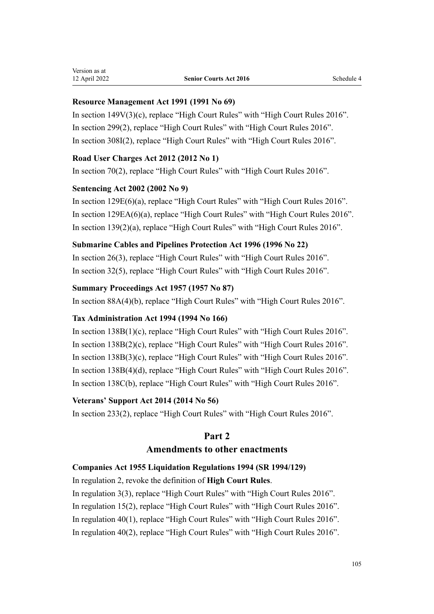# **Resource Management Act 1991 (1991 No 69)**

In [section 149V\(3\)\(c\),](http://legislation.govt.nz/pdflink.aspx?id=DLM2417792) replace "High Court Rules" with "High Court Rules 2016". In [section 299\(2\),](http://legislation.govt.nz/pdflink.aspx?id=DLM238272) replace "High Court Rules" with "High Court Rules 2016". In [section 308I\(2\),](http://legislation.govt.nz/pdflink.aspx?id=DLM2421556) replace "High Court Rules" with "High Court Rules 2016".

# **Road User Charges Act 2012 (2012 No 1)**

In [section 70\(2\)](http://legislation.govt.nz/pdflink.aspx?id=DLM3395041), replace "High Court Rules" with "High Court Rules 2016".

## **Sentencing Act 2002 (2002 No 9)**

In [section 129E\(6\)\(a\),](http://legislation.govt.nz/pdflink.aspx?id=DLM2602508) replace "High Court Rules" with "High Court Rules 2016". In [section 129EA\(6\)\(a\),](http://legislation.govt.nz/pdflink.aspx?id=DLM4640203) replace "High Court Rules" with "High Court Rules 2016". In [section 139\(2\)\(a\),](http://legislation.govt.nz/pdflink.aspx?id=DLM136868) replace "High Court Rules" with "High Court Rules 2016".

## **Submarine Cables and Pipelines Protection Act 1996 (1996 No 22)**

In [section 26\(3\)](http://legislation.govt.nz/pdflink.aspx?id=DLM375882), replace "High Court Rules" with "High Court Rules 2016". In [section 32\(5\)](http://legislation.govt.nz/pdflink.aspx?id=DLM375890), replace "High Court Rules" with "High Court Rules 2016".

## **Summary Proceedings Act 1957 (1957 No 87)**

In [section 88A\(4\)\(b\),](http://legislation.govt.nz/pdflink.aspx?id=DLM3918200) replace "High Court Rules" with "High Court Rules 2016".

# **Tax Administration Act 1994 (1994 No 166)**

In [section 138B\(1\)\(c\)](http://legislation.govt.nz/pdflink.aspx?id=DLM355927), replace "High Court Rules" with "High Court Rules 2016". In [section 138B\(2\)\(c\)](http://legislation.govt.nz/pdflink.aspx?id=DLM355927), replace "High Court Rules" with "High Court Rules 2016". In [section 138B\(3\)\(c\)](http://legislation.govt.nz/pdflink.aspx?id=DLM355927), replace "High Court Rules" with "High Court Rules 2016". In [section 138B\(4\)\(d\),](http://legislation.govt.nz/pdflink.aspx?id=DLM355927) replace "High Court Rules" with "High Court Rules 2016". In [section 138C\(b\)](http://legislation.govt.nz/pdflink.aspx?id=DLM355931), replace "High Court Rules" with "High Court Rules 2016".

# **Veterans' Support Act 2014 (2014 No 56)**

In [section 233\(2\),](http://legislation.govt.nz/pdflink.aspx?id=DLM5640606) replace "High Court Rules" with "High Court Rules 2016".

# **Part 2**

# **Amendments to other enactments**

# **Companies Act 1955 Liquidation Regulations 1994 (SR 1994/129)**

In [regulation 2,](http://legislation.govt.nz/pdflink.aspx?id=DLM191482) revoke the definition of **High Court Rules**. In [regulation 3\(3\)](http://legislation.govt.nz/pdflink.aspx?id=DLM191491), replace "High Court Rules" with "High Court Rules 2016". In [regulation 15\(2\)](http://legislation.govt.nz/pdflink.aspx?id=DLM191605), replace "High Court Rules" with "High Court Rules 2016". In [regulation 40\(1\)](http://legislation.govt.nz/pdflink.aspx?id=DLM191635), replace "High Court Rules" with "High Court Rules 2016". In [regulation 40\(2\)](http://legislation.govt.nz/pdflink.aspx?id=DLM191635), replace "High Court Rules" with "High Court Rules 2016".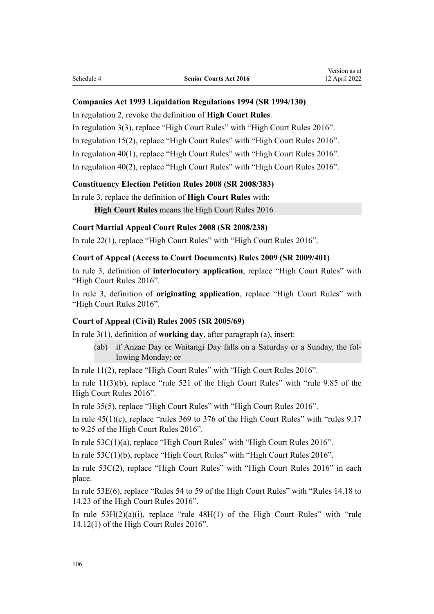#### **Companies Act 1993 Liquidation Regulations 1994 (SR 1994/130)**

In [regulation 2,](http://legislation.govt.nz/pdflink.aspx?id=DLM191653) revoke the definition of **High Court Rules**.

In [regulation 3\(3\)](http://legislation.govt.nz/pdflink.aspx?id=DLM191662), replace "High Court Rules" with "High Court Rules 2016".

In [regulation 15\(2\)](http://legislation.govt.nz/pdflink.aspx?id=DLM191676), replace "High Court Rules" with "High Court Rules 2016".

In [regulation 40\(1\)](http://legislation.govt.nz/pdflink.aspx?id=DLM192106), replace "High Court Rules" with "High Court Rules 2016".

In [regulation 40\(2\)](http://legislation.govt.nz/pdflink.aspx?id=DLM192106), replace "High Court Rules" with "High Court Rules 2016".

#### **Constituency Election Petition Rules 2008 (SR 2008/383)**

In [rule 3](http://legislation.govt.nz/pdflink.aspx?id=DLM1647207), replace the definition of **High Court Rules** with:

**High Court Rules** means the High Court Rules 2016

#### **Court Martial Appeal Court Rules 2008 (SR 2008/238)**

In [rule 22\(1\)](http://legislation.govt.nz/pdflink.aspx?id=DLM1454755), replace "High Court Rules" with "High Court Rules 2016".

#### **Court of Appeal (Access to Court Documents) Rules 2009 (SR 2009/401)**

In [rule 3,](http://legislation.govt.nz/pdflink.aspx?id=DLM2619906) definition of **interlocutory application**, replace "High Court Rules" with "High Court Rules 2016".

In [rule 3](http://legislation.govt.nz/pdflink.aspx?id=DLM2619906), definition of **originating application**, replace "High Court Rules" with "High Court Rules 2016".

#### **Court of Appeal (Civil) Rules 2005 (SR 2005/69)**

In [rule 3\(1\),](http://legislation.govt.nz/pdflink.aspx?id=DLM319752) definition of **working day**, after paragraph (a), insert:

(ab) if Anzac Day or Waitangi Day falls on a Saturday or a Sunday, the fol‐ lowing Monday; or

In [rule 11\(2\),](http://legislation.govt.nz/pdflink.aspx?id=DLM319785) replace "High Court Rules" with "High Court Rules 2016".

In [rule 11\(3\)\(b\)](http://legislation.govt.nz/pdflink.aspx?id=DLM319785), replace "rule 521 of the High Court Rules" with "rule 9.85 of the High Court Rules 2016".

In [rule 35\(5\)](http://legislation.govt.nz/pdflink.aspx?id=DLM320323), replace "High Court Rules" with "High Court Rules 2016".

In rule  $45(1)(c)$ , replace "rules 369 to 376 of the High Court Rules" with "rules 9.17 to 9.25 of the High Court Rules 2016".

In [rule 53C\(1\)\(a\),](http://legislation.govt.nz/pdflink.aspx?id=DLM1409921) replace "High Court Rules" with "High Court Rules 2016".

In [rule 53C\(1\)\(b\)](http://legislation.govt.nz/pdflink.aspx?id=DLM1409921), replace "High Court Rules" with "High Court Rules 2016".

In [rule 53C\(2\),](http://legislation.govt.nz/pdflink.aspx?id=DLM1409921) replace "High Court Rules" with "High Court Rules 2016" in each place.

In [rule 53E\(6\),](http://legislation.govt.nz/pdflink.aspx?id=DLM1409923) replace "Rules 54 to 59 of the High Court Rules" with "Rules 14.18 to 14.23 of the High Court Rules 2016".

In rule  $53H(2)(a)(i)$ , replace "rule  $48H(1)$  of the High Court Rules" with "rule 14.12(1) of the High Court Rules 2016".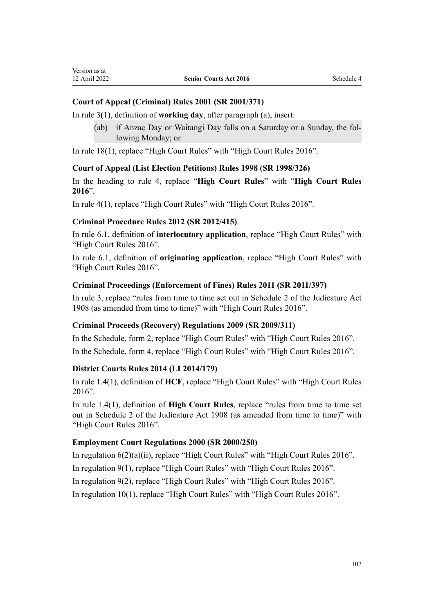Version as at

# **Court of Appeal (Criminal) Rules 2001 (SR 2001/371)**

In [rule 3\(1\),](http://legislation.govt.nz/pdflink.aspx?id=DLM95715) definition of **working day**, after paragraph (a), insert:

(ab) if Anzac Day or Waitangi Day falls on a Saturday or a Sunday, the fol‐ lowing Monday; or

In [rule 18\(1\)](http://legislation.govt.nz/pdflink.aspx?id=DLM96202), replace "High Court Rules" with "High Court Rules 2016".

#### **Court of Appeal (List Election Petitions) Rules 1998 (SR 1998/326)**

In the heading to [rule 4,](http://legislation.govt.nz/pdflink.aspx?id=DLM263378) replace "**High Court Rules**" with "**High Court Rules 2016**".

In [rule 4\(1\),](http://legislation.govt.nz/pdflink.aspx?id=DLM263378) replace "High Court Rules" with "High Court Rules 2016".

#### **Criminal Procedure Rules 2012 (SR 2012/415)**

In [rule 6.1,](http://legislation.govt.nz/pdflink.aspx?id=DLM4037200) definition of **interlocutory application**, replace "High Court Rules" with "High Court Rules 2016".

In [rule 6.1](http://legislation.govt.nz/pdflink.aspx?id=DLM4037200), definition of **originating application**, replace "High Court Rules" with "High Court Rules 2016".

#### **Criminal Proceedings (Enforcement of Fines) Rules 2011 (SR 2011/397)**

In [rule 3](http://legislation.govt.nz/pdflink.aspx?id=DLM4120618), replace "rules from time to time set out in Schedule 2 of the Judicature Act 1908 (as amended from time to time)" with "High Court Rules 2016".

#### **Criminal Proceeds (Recovery) Regulations 2009 (SR 2009/311)**

In the Schedule, [form 2](http://legislation.govt.nz/pdflink.aspx?id=DLM2438614), replace "High Court Rules" with "High Court Rules 2016". In the Schedule, [form 4](http://legislation.govt.nz/pdflink.aspx?id=DLM2438623), replace "High Court Rules" with "High Court Rules 2016".

#### **District Courts Rules 2014 (LI 2014/179)**

In [rule 1.4\(1\)](http://legislation.govt.nz/pdflink.aspx?id=DLM4891280), definition of **HCF**, replace "High Court Rules" with "High Court Rules 2016".

In [rule 1.4\(1\)](http://legislation.govt.nz/pdflink.aspx?id=DLM4891280), definition of **High Court Rules**, replace "rules from time to time set out in Schedule 2 of the Judicature Act 1908 (as amended from time to time)" with "High Court Rules 2016".

#### **Employment Court Regulations 2000 (SR 2000/250)**

In [regulation 6\(2\)\(a\)\(ii\)](http://legislation.govt.nz/pdflink.aspx?id=DLM2034731), replace "High Court Rules" with "High Court Rules 2016".

In [regulation 9\(1\)](http://legislation.govt.nz/pdflink.aspx?id=DLM2034737), replace "High Court Rules" with "High Court Rules 2016".

In [regulation 9\(2\)](http://legislation.govt.nz/pdflink.aspx?id=DLM2034737), replace "High Court Rules" with "High Court Rules 2016".

In [regulation 10\(1\)](http://legislation.govt.nz/pdflink.aspx?id=DLM2034738), replace "High Court Rules" with "High Court Rules 2016".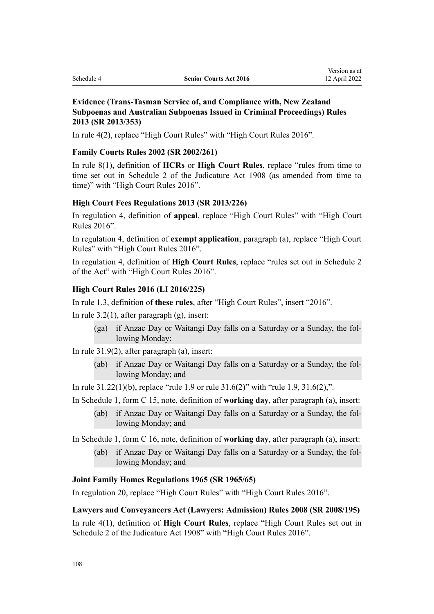# **Evidence (Trans-Tasman Service of, and Compliance with, New Zealand Subpoenas and Australian Subpoenas Issued in Criminal Proceedings) Rules 2013 (SR 2013/353)**

In [rule 4\(2\),](http://legislation.govt.nz/pdflink.aspx?id=DLM5500009) replace "High Court Rules" with "High Court Rules 2016".

#### **Family Courts Rules 2002 (SR 2002/261)**

In [rule 8\(1\),](http://legislation.govt.nz/pdflink.aspx?id=DLM144114) definition of **HCRs** or **High Court Rules**, replace "rules from time to time set out in Schedule 2 of the Judicature Act 1908 (as amended from time to time)" with "High Court Rules 2016".

#### **High Court Fees Regulations 2013 (SR 2013/226)**

In [regulation 4](http://legislation.govt.nz/pdflink.aspx?id=DLM5196107), definition of **appeal**, replace "High Court Rules" with "High Court Rules 2016".

In [regulation 4,](http://legislation.govt.nz/pdflink.aspx?id=DLM5196107) definition of **exempt application**, paragraph (a), replace "High Court Rules" with "High Court Rules 2016".

In [regulation 4](http://legislation.govt.nz/pdflink.aspx?id=DLM5196107), definition of **High Court Rules**, replace "rules set out in Schedule 2 of the Act" with "High Court Rules 2016".

#### **High Court Rules 2016 (LI 2016/225)**

In [rule 1.3,](http://legislation.govt.nz/pdflink.aspx?id=DLM6951106) definition of **these rules**, after "High Court Rules", insert "2016".

In [rule 3.2\(1\)](http://legislation.govt.nz/pdflink.aspx?id=DLM6951245), after paragraph (g), insert:

(ga) if Anzac Day or Waitangi Day falls on a Saturday or a Sunday, the fol‐ lowing Monday:

In [rule 31.9\(2\),](http://legislation.govt.nz/pdflink.aspx?id=DLM6952988) after paragraph (a), insert:

(ab) if Anzac Day or Waitangi Day falls on a Saturday or a Sunday, the fol‐ lowing Monday; and

In [rule 31.22\(1\)\(b\)](http://legislation.govt.nz/pdflink.aspx?id=DLM6953004), replace "rule 1.9 or rule 31.6(2)" with "rule 1.9, 31.6(2),".

In Schedule 1, [form C 15](http://legislation.govt.nz/pdflink.aspx?id=DLM6953291), note, definition of **working day**, after paragraph (a), insert:

(ab) if Anzac Day or Waitangi Day falls on a Saturday or a Sunday, the fol‐ lowing Monday; and

In Schedule 1, [form C 16](http://legislation.govt.nz/pdflink.aspx?id=DLM6953292), note, definition of **working day**, after paragraph (a), insert:

(ab) if Anzac Day or Waitangi Day falls on a Saturday or a Sunday, the fol‐ lowing Monday; and

#### **Joint Family Homes Regulations 1965 (SR 1965/65)**

In [regulation 20,](http://legislation.govt.nz/pdflink.aspx?id=DLM21903) replace "High Court Rules" with "High Court Rules 2016".

#### **Lawyers and Conveyancers Act (Lawyers: Admission) Rules 2008 (SR 2008/195)**

In [rule 4\(1\)](http://legislation.govt.nz/pdflink.aspx?id=DLM1386707), definition of **High Court Rules**, replace "High Court Rules set out in Schedule 2 of the Judicature Act 1908" with "High Court Rules 2016".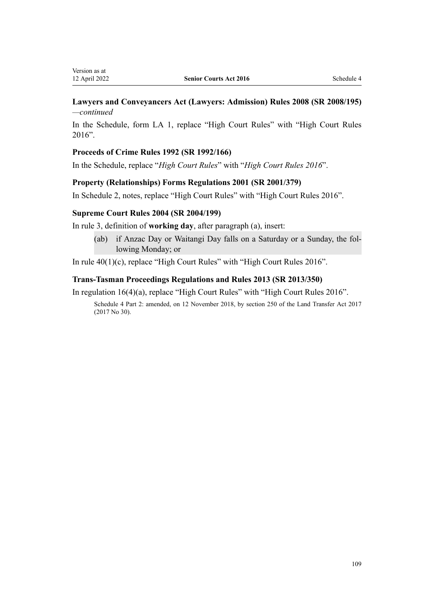### **Lawyers and Conveyancers Act (Lawyers: Admission) Rules 2008 (SR 2008/195)** *—continued*

In the Schedule, [form LA 1](http://legislation.govt.nz/pdflink.aspx?id=DLM1386735), replace "High Court Rules" with "High Court Rules 2016".

#### **Proceeds of Crime Rules 1992 (SR 1992/166)**

In the [Schedule,](http://legislation.govt.nz/pdflink.aspx?id=DLM165443) replace "*High Court Rules*" with "*High Court Rules 2016*".

#### **Property (Relationships) Forms Regulations 2001 (SR 2001/379)**

In [Schedule 2](http://legislation.govt.nz/pdflink.aspx?id=DLM97671), notes, replace "High Court Rules" with "High Court Rules 2016".

#### **Supreme Court Rules 2004 (SR 2004/199)**

In [rule 3](http://legislation.govt.nz/pdflink.aspx?id=DLM270811), definition of **working day**, after paragraph (a), insert:

(ab) if Anzac Day or Waitangi Day falls on a Saturday or a Sunday, the fol‐ lowing Monday; or

In [rule 40\(1\)\(c\)](http://legislation.govt.nz/pdflink.aspx?id=DLM270880), replace "High Court Rules" with "High Court Rules 2016".

#### **Trans-Tasman Proceedings Regulations and Rules 2013 (SR 2013/350)**

In [regulation 16\(4\)\(a\),](http://legislation.govt.nz/pdflink.aspx?id=DLM5500331) replace "High Court Rules" with "High Court Rules 2016". Schedule 4 Part 2: amended, on 12 November 2018, by [section 250](http://legislation.govt.nz/pdflink.aspx?id=DLM6731493) of the Land Transfer Act 2017 (2017 No 30).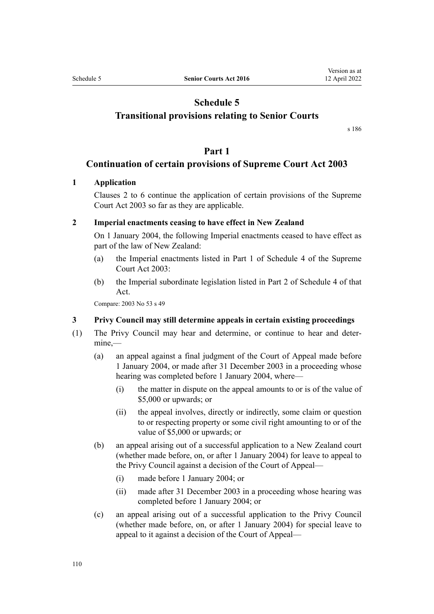# **Schedule 5**

## <span id="page-109-0"></span>**Transitional provisions relating to Senior Courts**

[s 186](#page-76-0)

### **Part 1**

### **Continuation of certain provisions of Supreme Court Act 2003**

### **1 Application**

[Clauses 2 to 6](http://legislation.govt.nz/pdflink.aspx?id=DLM214034) continue the application of certain provisions of the [Supreme](http://legislation.govt.nz/pdflink.aspx?id=DLM214027) [Court Act 2003](http://legislation.govt.nz/pdflink.aspx?id=DLM214027) so far as they are applicable.

#### **2 Imperial enactments ceasing to have effect in New Zealand**

On 1 January 2004, the following Imperial enactments ceased to have effect as part of the law of New Zealand:

- (a) the Imperial enactments listed in [Part 1](http://legislation.govt.nz/pdflink.aspx?id=DLM1942084) of Schedule 4 of the Supreme Court Act 2003:
- (b) the Imperial subordinate legislation listed in [Part 2](http://legislation.govt.nz/pdflink.aspx?id=DLM1942096) of Schedule 4 of that Act.

Compare: 2003 No 53 [s 49](http://legislation.govt.nz/pdflink.aspx?id=DLM214523)

### **3 Privy Council may still determine appeals in certain existing proceedings**

- (1) The Privy Council may hear and determine, or continue to hear and deter‐ mine,—
	- (a) an appeal against a final judgment of the Court of Appeal made before 1 January 2004, or made after 31 December 2003 in a proceeding whose hearing was completed before 1 January 2004, where—
		- (i) the matter in dispute on the appeal amounts to or is of the value of \$5,000 or upwards; or
		- (ii) the appeal involves, directly or indirectly, some claim or question to or respecting property or some civil right amounting to or of the value of \$5,000 or upwards; or
	- (b) an appeal arising out of a successful application to a New Zealand court (whether made before, on, or after 1 January 2004) for leave to appeal to the Privy Council against a decision of the Court of Appeal—
		- (i) made before 1 January 2004; or
		- (ii) made after 31 December 2003 in a proceeding whose hearing was completed before 1 January 2004; or
	- (c) an appeal arising out of a successful application to the Privy Council (whether made before, on, or after 1 January 2004) for special leave to appeal to it against a decision of the Court of Appeal—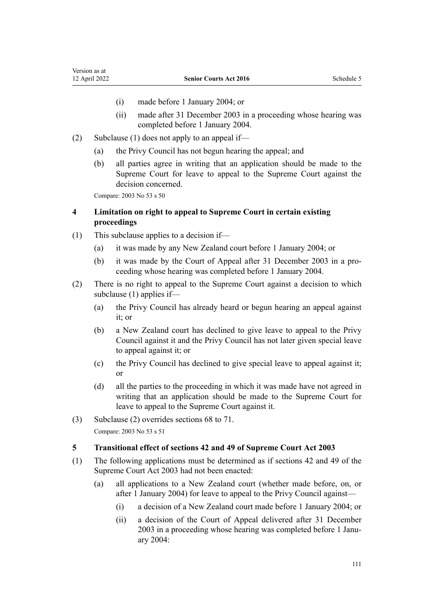- (i) made before 1 January 2004; or
- (ii) made after 31 December 2003 in a proceeding whose hearing was completed before 1 January 2004.
- (2) Subclause (1) does not apply to an appeal if—
	- (a) the Privy Council has not begun hearing the appeal; and
	- (b) all parties agree in writing that an application should be made to the Supreme Court for leave to appeal to the Supreme Court against the decision concerned.

Compare: 2003 No 53 [s 50](http://legislation.govt.nz/pdflink.aspx?id=DLM214525)

### **4 Limitation on right to appeal to Supreme Court in certain existing proceedings**

- (1) This subclause applies to a decision if—
	- (a) it was made by any New Zealand court before 1 January 2004; or
	- (b) it was made by the Court of Appeal after 31 December 2003 in a pro‐ ceeding whose hearing was completed before 1 January 2004.
- (2) There is no right to appeal to the Supreme Court against a decision to which subclause (1) applies if—
	- (a) the Privy Council has already heard or begun hearing an appeal against it; or
	- (b) a New Zealand court has declined to give leave to appeal to the Privy Council against it and the Privy Council has not later given special leave to appeal against it; or
	- (c) the Privy Council has declined to give special leave to appeal against it; or
	- (d) all the parties to the proceeding in which it was made have not agreed in writing that an application should be made to the Supreme Court for leave to appeal to the Supreme Court against it.
- (3) Subclause (2) overrides [sections 68 to 71](#page-33-0). Compare: 2003 No 53 [s 51](http://legislation.govt.nz/pdflink.aspx?id=DLM214526)

#### **5 Transitional effect of sections 42 and 49 of Supreme Court Act 2003**

- (1) The following applications must be determined as if [sections 42](http://legislation.govt.nz/pdflink.aspx?id=DLM214507) and [49](http://legislation.govt.nz/pdflink.aspx?id=DLM214523) of the Supreme Court Act 2003 had not been enacted:
	- (a) all applications to a New Zealand court (whether made before, on, or after 1 January 2004) for leave to appeal to the Privy Council against—
		- (i) a decision of a New Zealand court made before 1 January 2004; or
		- (ii) a decision of the Court of Appeal delivered after 31 December 2003 in a proceeding whose hearing was completed before 1 January 2004: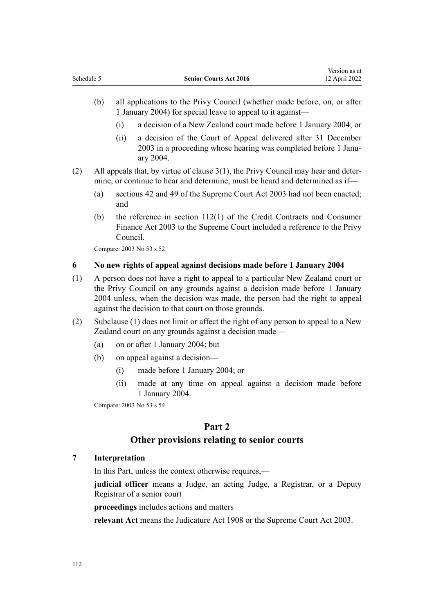- <span id="page-111-0"></span>(b) all applications to the Privy Council (whether made before, on, or after 1 January 2004) for special leave to appeal to it against—
	- (i) a decision of a New Zealand court made before 1 January 2004; or
	- (ii) a decision of the Court of Appeal delivered after 31 December 2003 in a proceeding whose hearing was completed before 1 Janu‐ ary 2004.
- (2) All appeals that, by virtue of [clause 3\(1\),](#page-109-0) the Privy Council may hear and deter‐ mine, or continue to hear and determine, must be heard and determined as if—
	- (a) [sections 42](http://legislation.govt.nz/pdflink.aspx?id=DLM214507) and [49](http://legislation.govt.nz/pdflink.aspx?id=DLM214523) of the Supreme Court Act 2003 had not been enacted; and
	- (b) the reference in [section 112\(1\)](http://legislation.govt.nz/pdflink.aspx?id=DLM213198) of the Credit Contracts and Consumer Finance Act 2003 to the Supreme Court included a reference to the Privy Council.

Compare: 2003 No 53 [s 52](http://legislation.govt.nz/pdflink.aspx?id=DLM214527)

#### **6 No new rights of appeal against decisions made before 1 January 2004**

- (1) A person does not have a right to appeal to a particular New Zealand court or the Privy Council on any grounds against a decision made before 1 January 2004 unless, when the decision was made, the person had the right to appeal against the decision to that court on those grounds.
- (2) Subclause (1) does not limit or affect the right of any person to appeal to a New Zealand court on any grounds against a decision made—
	- (a) on or after 1 January 2004; but
	- (b) on appeal against a decision—
		- (i) made before 1 January 2004; or
		- (ii) made at any time on appeal against a decision made before 1 January 2004.

Compare: 2003 No 53 [s 54](http://legislation.govt.nz/pdflink.aspx?id=DLM214529)

#### **Part 2**

#### **Other provisions relating to senior courts**

#### **7 Interpretation**

In this Part, unless the context otherwise requires,—

**judicial officer** means a Judge, an acting Judge, a Registrar, or a Deputy Registrar of a senior court

**proceedings** includes actions and matters

**relevant Act** means the [Judicature Act 1908](http://legislation.govt.nz/pdflink.aspx?id=DLM144692) or the [Supreme Court Act 2003.](http://legislation.govt.nz/pdflink.aspx?id=DLM214027)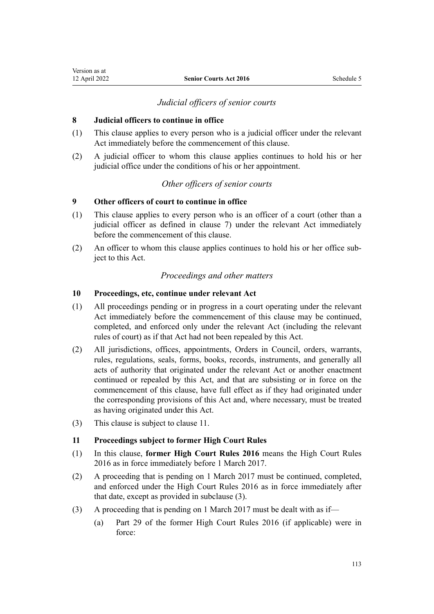### *Judicial officers of senior courts*

#### **8 Judicial officers to continue in office**

- (1) This clause applies to every person who is a judicial officer under the relevant Act immediately before the commencement of this clause.
- (2) A judicial officer to whom this clause applies continues to hold his or her judicial office under the conditions of his or her appointment.

### *Other officers of senior courts*

### **9 Other officers of court to continue in office**

- (1) This clause applies to every person who is an officer of a court (other than a judicial officer as defined in [clause 7\)](#page-111-0) under the relevant Act immediately before the commencement of this clause.
- (2) An officer to whom this clause applies continues to hold his or her office sub‐ ject to this Act.

### *Proceedings and other matters*

#### **10 Proceedings, etc, continue under relevant Act**

- (1) All proceedings pending or in progress in a court operating under the relevant Act immediately before the commencement of this clause may be continued, completed, and enforced only under the relevant Act (including the relevant rules of court) as if that Act had not been repealed by this Act.
- (2) All jurisdictions, offices, appointments, Orders in Council, orders, warrants, rules, regulations, seals, forms, books, records, instruments, and generally all acts of authority that originated under the relevant Act or another enactment continued or repealed by this Act, and that are subsisting or in force on the commencement of this clause, have full effect as if they had originated under the corresponding provisions of this Act and, where necessary, must be treated as having originated under this Act.
- (3) This clause is subject to clause 11.

#### **11 Proceedings subject to former High Court Rules**

- (1) In this clause, **former High Court Rules 2016** means the High Court Rules 2016 as in force immediately before 1 March 2017.
- (2) A proceeding that is pending on 1 March 2017 must be continued, completed, and enforced under the [High Court Rules 2016](http://legislation.govt.nz/pdflink.aspx?id=DLM6959800) as in force immediately after that date, except as provided in subclause (3).
- (3) A proceeding that is pending on 1 March 2017 must be dealt with as if—
	- (a) Part 29 of the former High Court Rules 2016 (if applicable) were in force: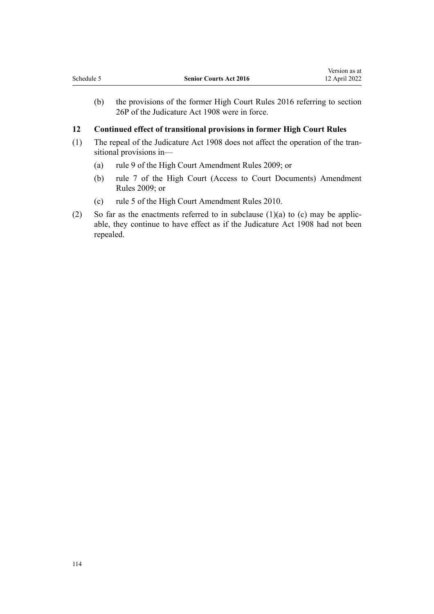(b) the provisions of the former High Court Rules 2016 referring to [section](http://legislation.govt.nz/pdflink.aspx?id=DLM146424) [26P](http://legislation.govt.nz/pdflink.aspx?id=DLM146424) of the Judicature Act 1908 were in force.

### **12 Continued effect of transitional provisions in former High Court Rules**

- (1) The repeal of the [Judicature Act 1908](http://legislation.govt.nz/pdflink.aspx?id=DLM144692) does not affect the operation of the tran‐ sitional provisions in—
	- (a) [rule 9](http://legislation.govt.nz/pdflink.aspx?id=DLM1933013) of the High Court Amendment Rules 2009; or
	- (b) [rule 7](http://legislation.govt.nz/pdflink.aspx?id=DLM1933011) of the High Court (Access to Court Documents) Amendment Rules 2009; or
	- (c) [rule 5](http://legislation.govt.nz/pdflink.aspx?id=DLM1933008) of the High Court Amendment Rules 2010.
- (2) So far as the enactments referred to in subclause  $(1)(a)$  to  $(c)$  may be applicable, they continue to have effect as if the [Judicature Act 1908](http://legislation.govt.nz/pdflink.aspx?id=DLM144692) had not been repealed.